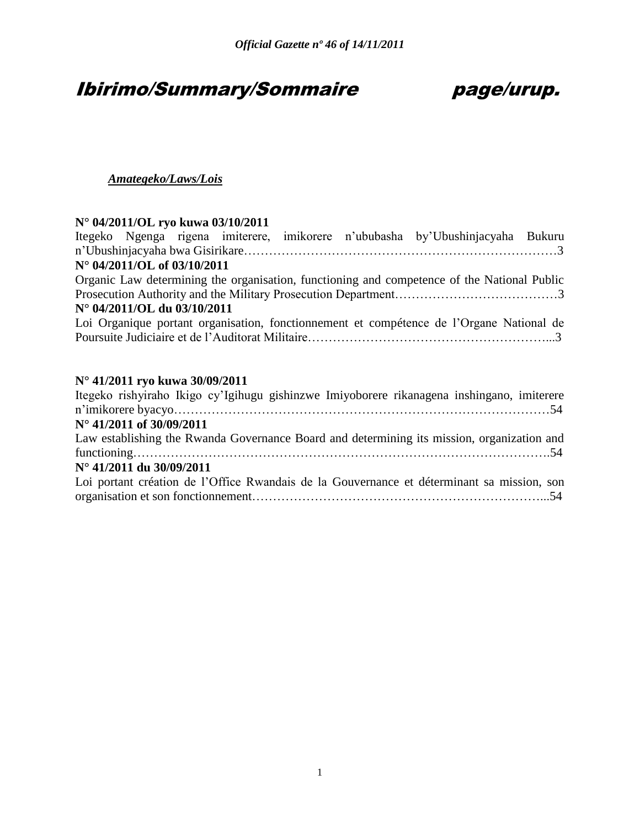# Ibirimo/Summary/Sommaire page/urup.

### *Amategeko/Laws/Lois*

# **N° 04/2011/OL ryo kuwa 03/10/2011**

|                             |  |  | Itegeko Ngenga rigena imiterere, imikorere n'ububasha by'Ubushinjacyaha Bukuru              |  |
|-----------------------------|--|--|---------------------------------------------------------------------------------------------|--|
|                             |  |  |                                                                                             |  |
| N° 04/2011/OL of 03/10/2011 |  |  |                                                                                             |  |
|                             |  |  | Organic Law determining the organisation, functioning and competence of the National Public |  |
|                             |  |  |                                                                                             |  |
| N° 04/2011/OL du 03/10/2011 |  |  |                                                                                             |  |
|                             |  |  | Loi Organique portant organisation, fonctionnement et compétence de l'Organe National de    |  |
|                             |  |  |                                                                                             |  |
|                             |  |  |                                                                                             |  |
|                             |  |  |                                                                                             |  |

### **N° 41/2011 ryo kuwa 30/09/2011**

| Itegeko rishyiraho Ikigo cy'Igihugu gishinzwe Imiyoborere rikanagena inshingano, imiterere |  |
|--------------------------------------------------------------------------------------------|--|
|                                                                                            |  |
| N° 41/2011 of 30/09/2011                                                                   |  |
| Law establishing the Rwanda Governance Board and determining its mission, organization and |  |
|                                                                                            |  |
| $N^{\circ}$ 41/2011 du 30/09/2011                                                          |  |
| Loi portant création de l'Office Rwandais de la Gouvernance et déterminant sa mission, son |  |
|                                                                                            |  |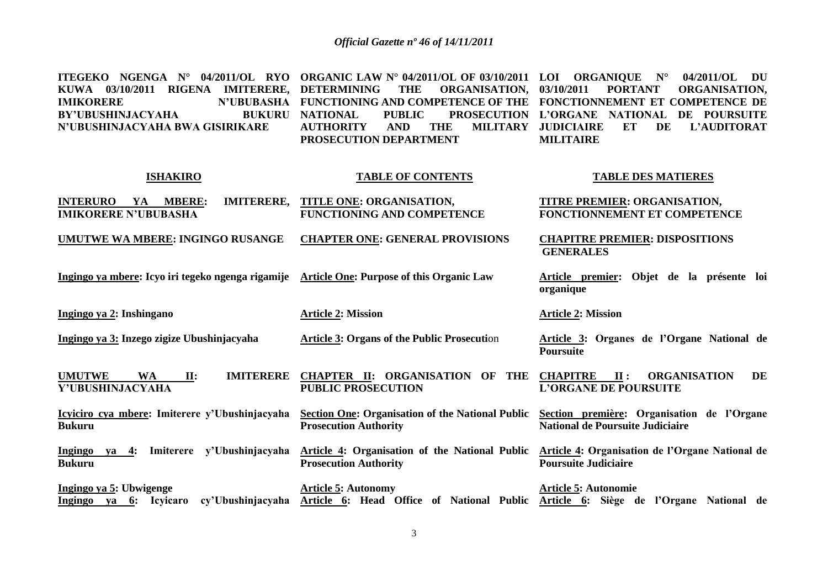| ITEGEKO NGENGA N° 04/2011/OL RYO ORGANIC LAW N° 04/2011/OL OF 03/10/2011 LOI ORGANIQUE N° 04/2011/OL DU |                                                                              |                                             |
|---------------------------------------------------------------------------------------------------------|------------------------------------------------------------------------------|---------------------------------------------|
| KUWA 03/10/2011 RIGENA IMITERERE, DETERMINING THE ORGANISATION, 03/10/2011 PORTANT ORGANISATION,        |                                                                              |                                             |
| <b>IMIKORERE</b>                                                                                        | N'UBUBASHA FUNCTIONING AND COMPETENCE OF THE FONCTIONNEMENT ET COMPETENCE DE |                                             |
| BY'UBUSHINJACYAHA                                                                                       | BUKURU NATIONAL PUBLIC PROSECUTION L'ORGANE NATIONAL DE POURSUITE            |                                             |
|                                                                                                         | AND<br><b>THE</b>                                                            | MILITARY JUDICIAIRE ET<br>DE<br>L'AUDITORAT |
|                                                                                                         | PROSECUTION DEPARTMENT                                                       | <b>MILITAIRE</b>                            |
|                                                                                                         |                                                                              |                                             |
|                                                                                                         |                                                                              |                                             |
| <b>ISHAKIRO</b>                                                                                         | <b>TABLE OF CONTENTS</b>                                                     | <b>TABLE DES MATIERES</b>                   |

| <b>IMITERERE,</b><br><b>INTERURO</b><br>YA<br><b>MBERE:</b><br><b>IMIKORERE N'UBUBASHA</b> | TITLE ONE: ORGANISATION,<br><b>FUNCTIONING AND COMPETENCE</b>                           | TITRE PREMIER: ORGANISATION,<br>FONCTIONNEMENT ET COMPETENCE                                    |
|--------------------------------------------------------------------------------------------|-----------------------------------------------------------------------------------------|-------------------------------------------------------------------------------------------------|
| <u>UMUTWE WA MBERE: INGINGO RUSANGE</u>                                                    | <b>CHAPTER ONE: GENERAL PROVISIONS</b>                                                  | <b>CHAPITRE PREMIER: DISPOSITIONS</b><br><b>GENERALES</b>                                       |
| Ingingo ya mbere: Icyo iri tegeko ngenga rigamije Article One: Purpose of this Organic Law |                                                                                         | Article premier: Objet de la présente loi<br>organique                                          |
| <u> Ingingo ya 2</u> : Inshingano                                                          | <b>Article 2: Mission</b>                                                               | <b>Article 2: Mission</b>                                                                       |
| <u>Ingingo ya 3: Inzego zigize Ubushinjacyaha</u>                                          | <b>Article 3: Organs of the Public Prosecution</b>                                      | Article 3: Organes de l'Organe National de<br><b>Poursuite</b>                                  |
| <b>WA</b><br>II:<br><b>IMITERERE</b><br><b>UMUTWE</b><br>Y'UBUSHINJACYAHA                  | <b>CHAPTER II: ORGANISATION OF</b><br>THE<br><b>PUBLIC PROSECUTION</b>                  | $\mathbf{II}$ :<br><b>ORGANISATION</b><br><b>CHAPITRE</b><br>DE<br><b>L'ORGANE DE POURSUITE</b> |
| Icyiciro cya mbere: Imiterere y'Ubushinjacyaha<br>Bukuru                                   | <b>Section One: Organisation of the National Public</b><br><b>Prosecution Authority</b> | Section première: Organisation de l'Organe<br><b>National de Poursuite Judiciaire</b>           |
| Ingingo ya 4: Imiterere y'Ubushinjacyaha<br>Bukuru                                         | <b>Article 4: Organisation of the National Public</b><br><b>Prosecution Authority</b>   | Article 4: Organisation de l'Organe National de<br><b>Poursuite Judiciaire</b>                  |
| Ingingo ya 5: Ubwigenge<br>Ingingo<br>cy'Ubushinjacyaha<br>ya 6: Icyicaro                  | <b>Article 5: Autonomy</b><br>Article 6: Head Office of National Public                 | <b>Article 5: Autonomie</b><br>Article 6:<br>Siège de l'Organe National de                      |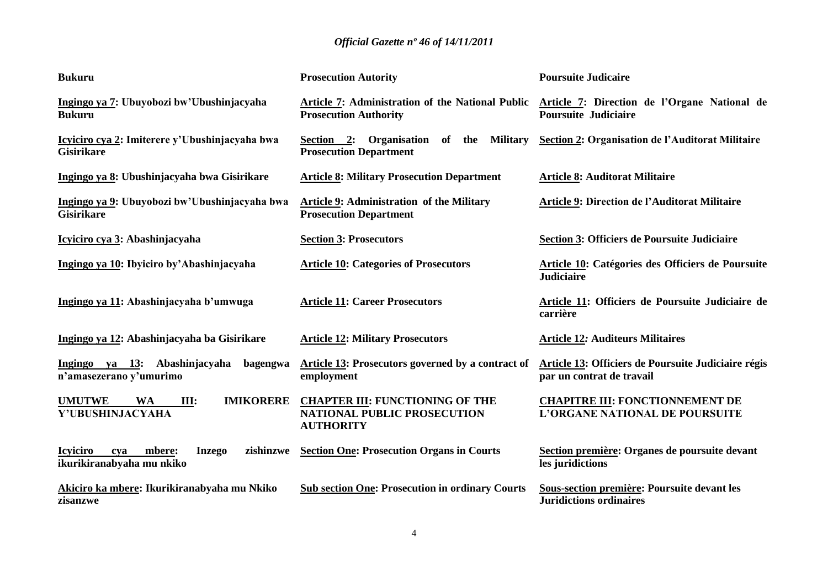| <b>Bukuru</b>                                                                               | <b>Prosecution Autority</b>                                                                      | <b>Poursuite Judicaire</b>                                                       |
|---------------------------------------------------------------------------------------------|--------------------------------------------------------------------------------------------------|----------------------------------------------------------------------------------|
| Ingingo ya 7: Ubuyobozi bw'Ubushinjacyaha<br><b>Bukuru</b>                                  | Article 7: Administration of the National Public<br><b>Prosecution Authority</b>                 | Article 7: Direction de l'Organe National de<br><b>Poursuite Judiciaire</b>      |
| Icyiciro cya 2: Imiterere y'Ubushinjacyaha bwa<br><b>Gisirikare</b>                         | Section 2: Organisation of the<br><b>Military</b><br><b>Prosecution Department</b>               | <b>Section 2: Organisation de l'Auditorat Militaire</b>                          |
| Ingingo ya 8: Ubushinjacyaha bwa Gisirikare                                                 | <b>Article 8: Military Prosecution Department</b>                                                | <b>Article 8: Auditorat Militaire</b>                                            |
| Ingingo ya 9: Ubuyobozi bw'Ubushinjacyaha bwa<br><b>Gisirikare</b>                          | <b>Article 9: Administration of the Military</b><br><b>Prosecution Department</b>                | Article 9: Direction de l'Auditorat Militaire                                    |
| Icyiciro cya 3: Abashinjacyaha                                                              | <b>Section 3: Prosecutors</b>                                                                    | <b>Section 3: Officiers de Poursuite Judiciaire</b>                              |
| Ingingo ya 10: Ibyiciro by'Abashinjacyaha                                                   | <b>Article 10: Categories of Prosecutors</b>                                                     | Article 10: Catégories des Officiers de Poursuite<br><b>Judiciaire</b>           |
| Ingingo ya 11: Abashinjacyaha b'umwuga                                                      | <b>Article 11: Career Prosecutors</b>                                                            | Article 11: Officiers de Poursuite Judiciaire de<br>carrière                     |
| Ingingo ya 12: Abashinjacyaha ba Gisirikare                                                 | <b>Article 12: Military Prosecutors</b>                                                          | <b>Article 12: Auditeurs Militaires</b>                                          |
| Ingingo ya 13: Abashinjacyaha<br>bagengwa<br>n'amasezerano y'umurimo                        | Article 13: Prosecutors governed by a contract of<br>employment                                  | Article 13: Officiers de Poursuite Judiciaire régis<br>par un contrat de travail |
| <b>UMUTWE</b><br><b>IMIKORERE</b><br><b>WA</b><br>Ш:<br>Y'UBUSHINJACYAHA                    | <b>CHAPTER III: FUNCTIONING OF THE</b><br><b>NATIONAL PUBLIC PROSECUTION</b><br><b>AUTHORITY</b> | <b>CHAPITRE III: FONCTIONNEMENT DE</b><br>L'ORGANE NATIONAL DE POURSUITE         |
| <b>Icyiciro</b><br>zishinzwe<br>mbere:<br><b>Inzego</b><br>cya<br>ikurikiranabyaha mu nkiko | <b>Section One: Prosecution Organs in Courts</b>                                                 | Section première: Organes de poursuite devant<br>les juridictions                |
| Akiciro ka mbere: Ikurikiranabyaha mu Nkiko<br>zisanzwe                                     | <b>Sub section One: Prosecution in ordinary Courts</b>                                           | Sous-section première: Poursuite devant les<br><b>Juridictions ordinaires</b>    |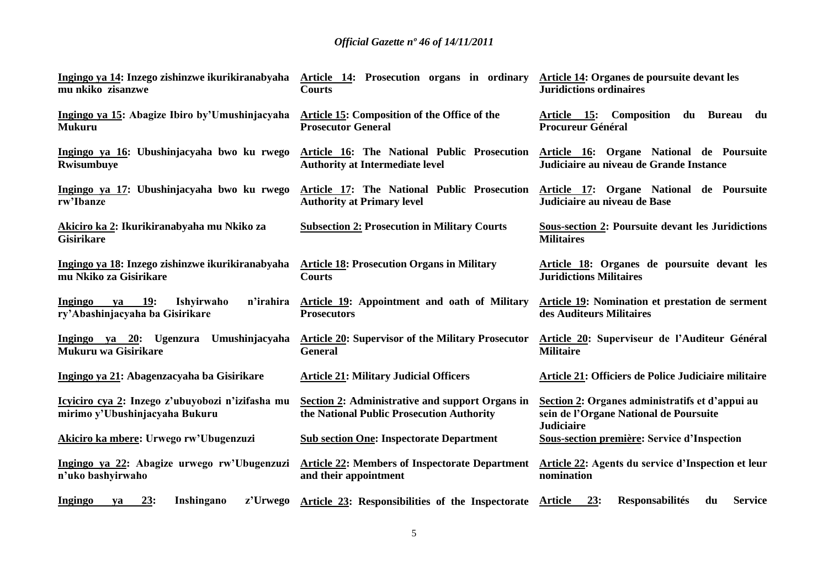| Ingingo ya 14: Inzego zishinzwe ikurikiranabyaha                                       | Article 14: Prosecution organs in ordinary                                                   | Article 14: Organes de poursuite devant les                                                                    |
|----------------------------------------------------------------------------------------|----------------------------------------------------------------------------------------------|----------------------------------------------------------------------------------------------------------------|
| mu nkiko zisanzwe                                                                      | <b>Courts</b>                                                                                | <b>Juridictions ordinaires</b>                                                                                 |
| Ingingo ya 15: Abagize Ibiro by'Umushinjacyaha                                         | Article 15: Composition of the Office of the                                                 | Article 15: Composition du Bureau du                                                                           |
| <b>Mukuru</b>                                                                          | <b>Prosecutor General</b>                                                                    | <b>Procureur Général</b>                                                                                       |
| Ingingo ya 16: Ubushinjacyaha bwo ku rwego                                             | Article 16: The National Public Prosecution                                                  | Article 16: Organe National de Poursuite                                                                       |
| Rwisumbuye                                                                             | <b>Authority at Intermediate level</b>                                                       | Judiciaire au niveau de Grande Instance                                                                        |
| Ingingo ya 17: Ubushinjacyaha bwo ku rwego                                             | Article 17: The National Public Prosecution                                                  | Article 17: Organe National de Poursuite                                                                       |
| rw'Ibanze                                                                              | <b>Authority at Primary level</b>                                                            | Judiciaire au niveau de Base                                                                                   |
| Akiciro ka 2: Ikurikiranabyaha mu Nkiko za<br><b>Gisirikare</b>                        | <b>Subsection 2: Prosecution in Military Courts</b>                                          | <b>Sous-section 2: Poursuite devant les Juridictions</b><br><b>Militaires</b>                                  |
| Ingingo ya 18: Inzego zishinzwe ikurikiranabyaha                                       | <b>Article 18: Prosecution Organs in Military</b>                                            | Article 18: Organes de poursuite devant les                                                                    |
| mu Nkiko za Gisirikare                                                                 | <b>Courts</b>                                                                                | <b>Juridictions Militaires</b>                                                                                 |
| ya 19:<br>Ishyirwaho<br>n'irahira<br><b>Ingingo</b><br>ry'Abashinjacyaha ba Gisirikare | Article 19: Appointment and oath of Military<br><b>Prosecutors</b>                           | Article 19: Nomination et prestation de serment<br>des Auditeurs Militaires                                    |
| Ingingo ya 20: Ugenzura Umushinjacyaha                                                 | <b>Article 20: Supervisor of the Military Prosecutor</b>                                     | Article 20: Superviseur de l'Auditeur Général                                                                  |
| Mukuru wa Gisirikare                                                                   | <b>General</b>                                                                               | <b>Militaire</b>                                                                                               |
| Ingingo ya 21: Abagenzacyaha ba Gisirikare                                             | <b>Article 21: Military Judicial Officers</b>                                                | Article 21: Officiers de Police Judiciaire militaire                                                           |
| Icyiciro cya 2: Inzego z'ubuyobozi n'izifasha mu<br>mirimo y'Ubushinjacyaha Bukuru     | Section 2: Administrative and support Organs in<br>the National Public Prosecution Authority | Section 2: Organes administratifs et d'appui au<br>sein de l'Organe National de Poursuite<br><b>Judiciaire</b> |
| Akiciro ka mbere: Urwego rw'Ubugenzuzi                                                 | <b>Sub section One: Inspectorate Department</b>                                              | Sous-section première: Service d'Inspection                                                                    |
| Ingingo ya 22: Abagize urwego rw'Ubugenzuzi                                            | <b>Article 22: Members of Inspectorate Department</b>                                        | Article 22: Agents du service d'Inspection et leur                                                             |
| n'uko bashyirwaho                                                                      | and their appointment                                                                        | nomination                                                                                                     |
| 23:<br>z'Urwego<br>Inshingano<br><b>Ingingo</b><br>va                                  | Article 23: Responsibilities of the Inspectorate                                             | 23:<br><b>Responsabilités</b><br><b>Service</b><br>Article<br>du                                               |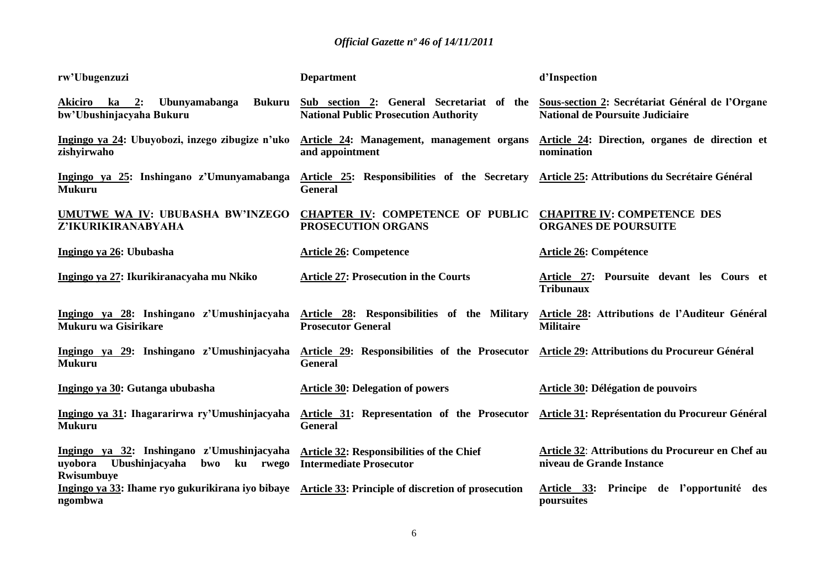| rw'Ubugenzuzi                                                                                         | <b>Department</b>                                                                                              | d'Inspection                                                                               |
|-------------------------------------------------------------------------------------------------------|----------------------------------------------------------------------------------------------------------------|--------------------------------------------------------------------------------------------|
| Ubunyamabanga<br><b>Bukuru</b><br>Akiciro ka 2:<br>bw'Ubushinjacyaha Bukuru                           | Sub section 2: General Secretariat of the<br><b>National Public Prosecution Authority</b>                      | Sous-section 2: Secrétariat Général de l'Organe<br><b>National de Poursuite Judiciaire</b> |
| Ingingo ya 24: Ubuyobozi, inzego zibugize n'uko<br>zishyirwaho                                        | Article 24: Management, management organs<br>and appointment                                                   | Article 24: Direction, organes de direction et<br>nomination                               |
| Ingingo ya 25: Inshingano z'Umunyamabanga<br><b>Mukuru</b>                                            | Article 25: Responsibilities of the Secretary<br><b>General</b>                                                | Article 25: Attributions du Secrétaire Général                                             |
| UMUTWE WA IV: UBUBASHA BW'INZEGO<br>Z'IKURIKIRANABYAHA                                                | <b>CHAPTER IV: COMPETENCE OF PUBLIC</b><br>PROSECUTION ORGANS                                                  | <b>CHAPITRE IV: COMPETENCE DES</b><br><b>ORGANES DE POURSUITE</b>                          |
| Ingingo ya 26: Ububasha                                                                               | <b>Article 26: Competence</b>                                                                                  | <b>Article 26: Compétence</b>                                                              |
| Ingingo ya 27: Ikurikiranacyaha mu Nkiko                                                              | <b>Article 27: Prosecution in the Courts</b>                                                                   | Article 27: Poursuite devant les Cours et<br><b>Tribunaux</b>                              |
| Ingingo ya 28: Inshingano z'Umushinjacyaha<br>Mukuru wa Gisirikare                                    | Article 28: Responsibilities of the Military<br><b>Prosecutor General</b>                                      | Article 28: Attributions de l'Auditeur Général<br><b>Militaire</b>                         |
| Ingingo ya 29: Inshingano z'Umushinjacyaha<br><b>Mukuru</b>                                           | Article 29: Responsibilities of the Prosecutor Article 29: Attributions du Procureur Général<br><b>General</b> |                                                                                            |
| Ingingo ya 30: Gutanga ububasha                                                                       | <b>Article 30: Delegation of powers</b>                                                                        | Article 30: Délégation de pouvoirs                                                         |
| Ingingo ya 31: Ihagararirwa ry'Umushinjacyaha<br><b>Mukuru</b>                                        | Article 31: Representation of the Prosecutor<br><b>General</b>                                                 | Article 31: Représentation du Procureur Général                                            |
| Ingingo ya 32: Inshingano z'Umushinjacyaha<br>Ubushinjacyaha bwo<br>uyobora<br>ku rwego<br>Rwisumbuye | Article 32: Responsibilities of the Chief<br><b>Intermediate Prosecutor</b>                                    | Article 32: Attributions du Procureur en Chef au<br>niveau de Grande Instance              |
| Ingingo ya 33: Ihame ryo gukurikirana iyo bibaye<br>ngombwa                                           | Article 33: Principle of discretion of prosecution                                                             | Article 33:<br>Principe de l'opportunité des<br>poursuites                                 |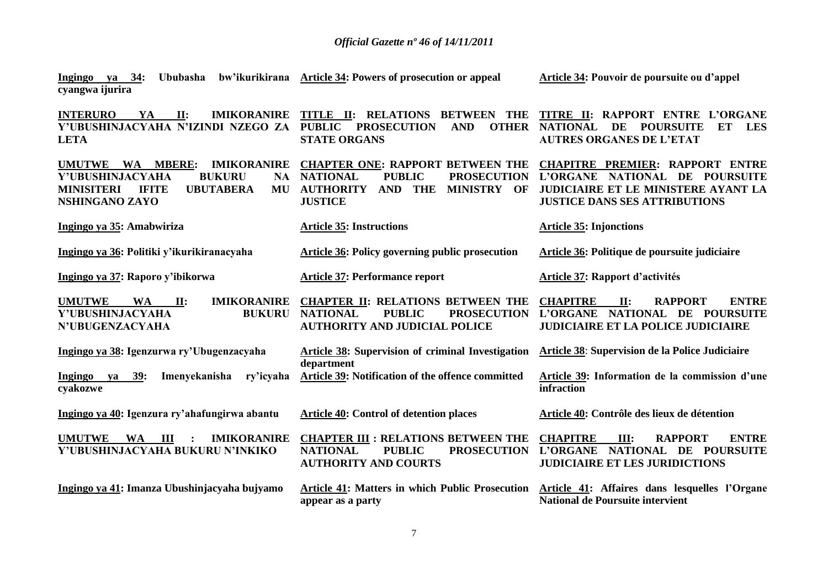| ya 34:<br>Ububasha<br>Ingingo<br>cyangwa ijurira                                                                                                                               | bw'ikurikirana Article 34: Powers of prosecution or appeal                                                                                                                         | Article 34: Pouvoir de poursuite ou d'appel                                                                                                             |
|--------------------------------------------------------------------------------------------------------------------------------------------------------------------------------|------------------------------------------------------------------------------------------------------------------------------------------------------------------------------------|---------------------------------------------------------------------------------------------------------------------------------------------------------|
| <b>INTERURO</b><br>YA<br>$\Pi$ :<br><b>IMIKORANIRE</b><br>Y'UBUSHINJACYAHA N'IZINDI NZEGO ZA<br><b>LETA</b>                                                                    | TITLE II:<br><b>RELATIONS BETWEEN THE</b><br><b>PROSECUTION</b><br><b>OTHER</b><br><b>PUBLIC</b><br><b>AND</b><br><b>STATE ORGANS</b>                                              | TITRE II: RAPPORT ENTRE L'ORGANE<br><b>NATIONAL</b><br><b>POURSUITE</b><br>ET<br><b>LES</b><br>DE<br><b>AUTRES ORGANES DE L'ETAT</b>                    |
| UMUTWE WA<br><b>MBERE:</b><br><b>IMIKORANIRE</b><br>Y'UBUSHINJACYAHA<br><b>BUKURU</b><br>NA -<br><b>MINISITERI</b><br><b>TRITE</b><br><b>UBUTABERA</b><br>MU<br>NSHINGANO ZAYO | <b>CHAPTER ONE: RAPPORT BETWEEN THE</b><br><b>NATIONAL</b><br><b>PUBLIC</b><br><b>PROSECUTION</b><br><b>AUTHORITY</b><br><b>THE</b><br>MINISTRY OF<br><b>AND</b><br><b>JUSTICE</b> | <b>CHAPITRE PREMIER: RAPPORT ENTRE</b><br>L'ORGANE NATIONAL DE POURSUITE<br>JUDICIAIRE ET LE MINISTERE AYANT LA<br><b>JUSTICE DANS SES ATTRIBUTIONS</b> |
| Ingingo ya 35: Amabwiriza                                                                                                                                                      | <b>Article 35: Instructions</b>                                                                                                                                                    | <b>Article 35: Injonctions</b>                                                                                                                          |
| Ingingo ya 36: Politiki y'ikurikiranacyaha                                                                                                                                     | Article 36: Policy governing public prosecution                                                                                                                                    | Article 36: Politique de poursuite judiciaire                                                                                                           |
| Ingingo ya 37: Raporo y'ibikorwa                                                                                                                                               | <b>Article 37: Performance report</b>                                                                                                                                              | Article 37: Rapport d'activités                                                                                                                         |
| <b>UMUTWE</b><br><b>WA</b><br><b>IMIKORANIRE</b><br>$\mathbf{II}$ :<br>Y'UBUSHINJACYAHA<br><b>BUKURU</b><br><b>N'UBUGENZACYAHA</b>                                             | <b>CHAPTER II: RELATIONS BETWEEN THE</b><br><b>NATIONAL</b><br><b>PUBLIC</b><br><b>PROSECUTION</b><br><b>AUTHORITY AND JUDICIAL POLICE</b>                                         | <b>ENTRE</b><br><b>CHAPITRE</b><br><b>RAPPORT</b><br>$\Pi$ :<br>NATIONAL DE POURSUITE<br><b>L'ORGANE</b><br>JUDICIAIRE ET LA POLICE JUDICIAIRE          |
| Ingingo ya 38: Igenzurwa ry'Ubugenzacyaha                                                                                                                                      | Article 38: Supervision of criminal Investigation<br>department                                                                                                                    | Article 38: Supervision de la Police Judiciaire                                                                                                         |
| 39:<br>Imenyekanisha<br>ry'icyaha<br>Ingingo<br>ya<br>cyakozwe                                                                                                                 | <b>Article 39: Notification of the offence committed</b>                                                                                                                           | Article 39: Information de la commission d'une<br>infraction                                                                                            |
| Ingingo ya 40: Igenzura ry'ahafungirwa abantu                                                                                                                                  | <b>Article 40: Control of detention places</b>                                                                                                                                     | Article 40: Contrôle des lieux de détention                                                                                                             |
| <b>UMUTWE</b><br><b>WA</b><br>$\blacksquare$<br><b>IMIKORANIRE</b><br>Y'UBUSHINJACYAHA BUKURU N'INKIKO                                                                         | <b>CHAPTER III : RELATIONS BETWEEN THE</b><br><b>NATIONAL</b><br><b>PUBLIC</b><br><b>PROSECUTION</b><br><b>AUTHORITY AND COURTS</b>                                                | <b>CHAPITRE</b><br><b>ENTRE</b><br>III:<br><b>RAPPORT</b><br>NATIONAL DE POURSUITE<br>L'ORGANE<br><b>JUDICIAIRE ET LES JURIDICTIONS</b>                 |
| Ingingo ya 41: Imanza Ubushinjacyaha bujyamo                                                                                                                                   | <b>Article 41: Matters in which Public Prosecution</b><br>appear as a party                                                                                                        | Article 41: Affaires dans lesquelles l'Organe<br>National de Poursuite intervient                                                                       |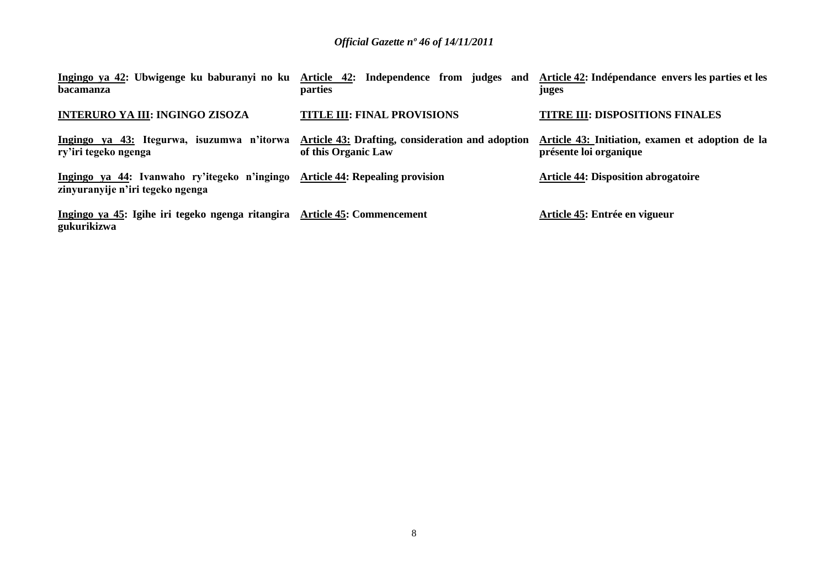| Ingingo ya 42: Ubwigenge ku baburanyi no ku<br>bacamanza                                                         | Article 42: Independence from judges and<br>parties                            | Article 42: Indépendance envers les parties et les<br>juges                |
|------------------------------------------------------------------------------------------------------------------|--------------------------------------------------------------------------------|----------------------------------------------------------------------------|
| <b>INTERURO YA III: INGINGO ZISOZA</b>                                                                           | <b>TITLE III: FINAL PROVISIONS</b>                                             | <b>TITRE III: DISPOSITIONS FINALES</b>                                     |
| Ingingo ya 43: Itegurwa, isuzumwa n'itorwa<br>ry'iri tegeko ngenga                                               | <b>Article 43: Drafting, consideration and adoption</b><br>of this Organic Law | Article 43: Initiation, examen et adoption de la<br>présente loi organique |
| Ingingo ya 44: Ivanwaho ry'itegeko n'ingingo Article 44: Repealing provision<br>zinyuranyije n'iri tegeko ngenga |                                                                                | <b>Article 44: Disposition abrogatoire</b>                                 |
| Ingingo ya 45: Igihe iri tegeko ngenga ritangira Article 45: Commencement<br>gukurikizwa                         |                                                                                | Article 45: Entrée en vigueur                                              |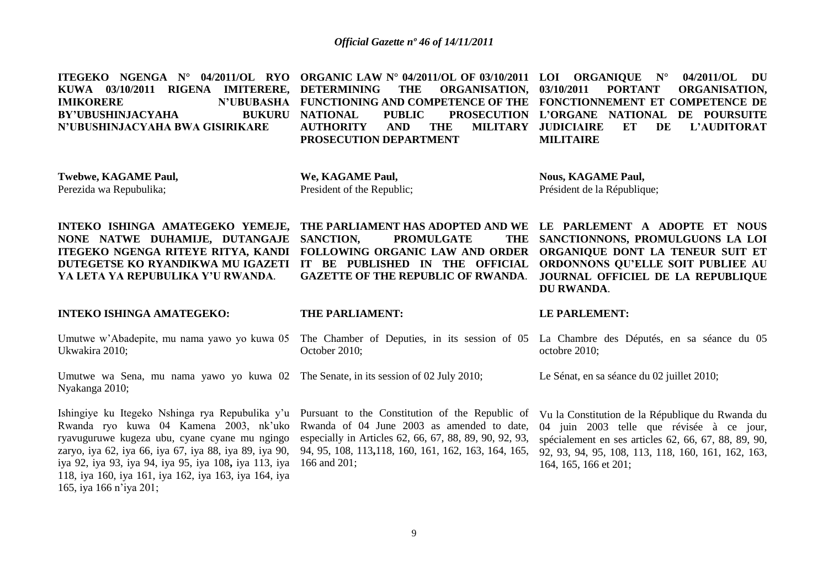**ITEGEKO NGENGA N° 04/2011/OL RYO ORGANIC LAW N° 04/2011/OL OF 03/10/2011 LOI ORGANIQUE N° 04/2011/OL DU KUWA 03/10/2011 RIGENA IMITERERE, IMIKORERE N'UBUBASHA FUNCTIONING AND COMPETENCE OF THE FONCTIONNEMENT ET COMPETENCE DE BY'UBUSHINJACYAHA BUKURU N'UBUSHINJACYAHA BWA GISIRIKARE**  THE ORGANISATION, 03/10/2011 **NATIONAL PUBLIC PROSECUTION L'ORGANE NATIONAL DE POURSUITE AUTHORITY AND THE MILITARY PROSECUTION DEPARTMENT PORTANT ORGANISATION.** ET DE L'AUDITORAT **MILITAIRE** 

**Twebwe, KAGAME Paul,** Perezida wa Repubulika;

**We, KAGAME Paul,** President of the Republic;

**SANCTION, PROMULGATE** 

**Nous, KAGAME Paul,** Président de la République;

**INTEKO ISHINGA AMATEGEKO YEMEJE, NONE NATWE DUHAMIJE, DUTANGAJE ITEGEKO NGENGA RITEYE RITYA, KANDI DUTEGETSE KO RYANDIKWA MU IGAZETI IT BE PUBLISHED IN THE OFFICIAL ORDONNONS QU'ELLE SOIT PUBLIEE AU YA LETA YA REPUBULIKA Y'U RWANDA***.*

**INTEKO ISHINGA AMATEGEKO:**

**THE PARLIAMENT:**

#### **LE PARLEMENT:**

**DU RWANDA**.

**THE PARLIAMENT HAS ADOPTED AND WE LE PARLEMENT A ADOPTE ET NOUS** 

**FOLLOWING ORGANIC LAW AND ORDER ORGANIQUE DONT LA TENEUR SUIT ET** 

Umutwe w'Abadepite, mu nama yawo yo kuwa 05 The Chamber of Deputies, in its session of 05 La Chambre des Députés, en sa séance du 05 Ukwakira 2010; October 2010; octobre 2010;

**GAZETTE OF THE REPUBLIC OF RWANDA**.

Umutwe wa Sena, mu nama yawo yo kuwa 02 The Senate, in its session of 02 July 2010; Nyakanga 2010;

Ishingiye ku Itegeko Nshinga rya Repubulika y'u Pursuant to the Constitution of the Republic of Rwanda ryo kuwa 04 Kamena 2003, nk"uko ryavuguruwe kugeza ubu, cyane cyane mu ngingo zaryo, iya 62, iya 66, iya 67, iya 88, iya 89, iya 90, iya 92, iya 93, iya 94, iya 95, iya 108**,** iya 113, iya 118, iya 160, iya 161, iya 162, iya 163, iya 164, iya 165, iya 166 n"iya 201;

Rwanda of 04 June 2003 as amended to date, especially in Articles 62, 66, 67, 88, 89, 90, 92, 93, 94, 95, 108, 113**,**118, 160, 161, 162, 163, 164, 165, 166 and 201;

**JOURNAL OFFICIEL DE LA REPUBLIQUE** 

THE SANCTIONNONS, PROMULGUONS LA LOI

Le Sénat, en sa séance du 02 juillet 2010:

Vu la Constitution de la République du Rwanda du 04 juin 2003 telle que révisée à ce jour, spécialement en ses articles 62, 66, 67, 88, 89, 90, 92, 93, 94, 95, 108, 113, 118, 160, 161, 162, 163, 164, 165, 166 et 201;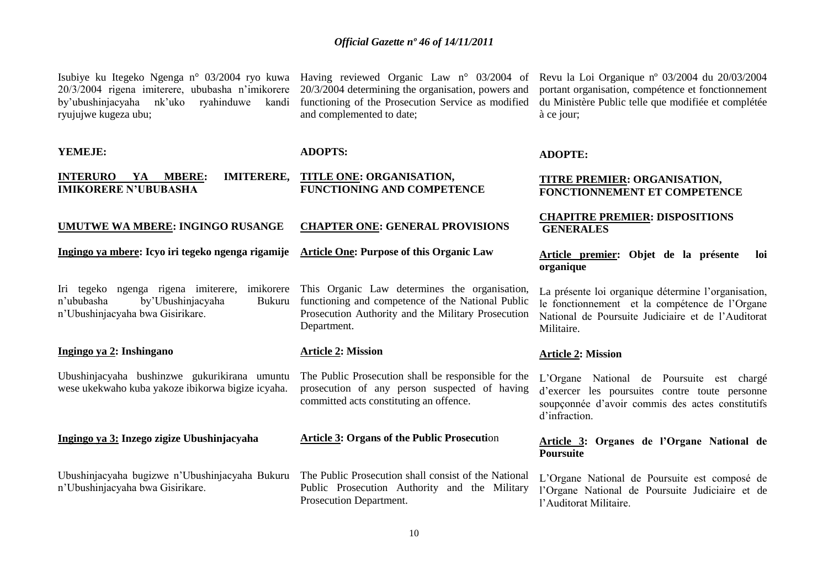20/3/2004 rigena imiterere, ububasha n"imikorere by'ubushinjacyaha nk'uko ryahinduwe kandi functioning of the Prosecution Service as modified du Ministère Public telle que modifiée et complétée ryujujwe kugeza ubu;

20/3/2004 determining the organisation, powers and and complemented to date;

Isubiye ku Itegeko Ngenga n° 03/2004 ryo kuwa Having reviewed Organic Law n° 03/2004 of Revu la Loi Organique nº 03/2004 du 20/03/2004 portant organisation, compétence et fonctionnement à ce jour;

| YEMEJE:                                                                                                                           | <b>ADOPTS:</b>                                                                                                                                                          | <b>ADOPTE:</b>                                                                                                                                                            |
|-----------------------------------------------------------------------------------------------------------------------------------|-------------------------------------------------------------------------------------------------------------------------------------------------------------------------|---------------------------------------------------------------------------------------------------------------------------------------------------------------------------|
| <b>IMITERERE,</b><br><b>INTERURO</b><br><b>MBERE:</b><br>YA<br><b>IMIKORERE N'UBUBASHA</b>                                        | TITLE ONE: ORGANISATION,<br><b>FUNCTIONING AND COMPETENCE</b>                                                                                                           | <b>TITRE PREMIER: ORGANISATION,</b><br>FONCTIONNEMENT ET COMPETENCE                                                                                                       |
| <b>UMUTWE WA MBERE: INGINGO RUSANGE</b>                                                                                           | <b>CHAPTER ONE: GENERAL PROVISIONS</b>                                                                                                                                  | <b>CHAPITRE PREMIER: DISPOSITIONS</b><br><b>GENERALES</b>                                                                                                                 |
| Ingingo ya mbere: Icyo iri tegeko ngenga rigamije                                                                                 | <b>Article One: Purpose of this Organic Law</b>                                                                                                                         | Article premier: Objet de la présente<br>-loi<br>organique                                                                                                                |
| Iri tegeko ngenga rigena imiterere,<br>imikorere<br>by'Ubushinjacyaha<br>n'ububasha<br>Bukuru<br>n'Ubushinjacyaha bwa Gisirikare. | This Organic Law determines the organisation,<br>functioning and competence of the National Public<br>Prosecution Authority and the Military Prosecution<br>Department. | La présente loi organique détermine l'organisation,<br>le fonctionnement et la compétence de l'Organe<br>National de Poursuite Judiciaire et de l'Auditorat<br>Militaire. |
| Ingingo ya 2: Inshingano                                                                                                          | <b>Article 2: Mission</b>                                                                                                                                               | <b>Article 2: Mission</b>                                                                                                                                                 |
| Ubushinjacyaha bushinzwe gukurikirana umuntu<br>wese ukekwaho kuba yakoze ibikorwa bigize icyaha.                                 | The Public Prosecution shall be responsible for the<br>prosecution of any person suspected of having<br>committed acts constituting an offence.                         | L'Organe National de Poursuite est chargé<br>d'exercer les poursuites contre toute personne<br>soupçonnée d'avoir commis des actes constitutifs<br>d'infraction.          |
|                                                                                                                                   |                                                                                                                                                                         |                                                                                                                                                                           |
| Ingingo ya 3: Inzego zigize Ubushinjacyaha                                                                                        | <b>Article 3: Organs of the Public Prosecution</b>                                                                                                                      | Article 3: Organes de l'Organe National de<br><b>Poursuite</b>                                                                                                            |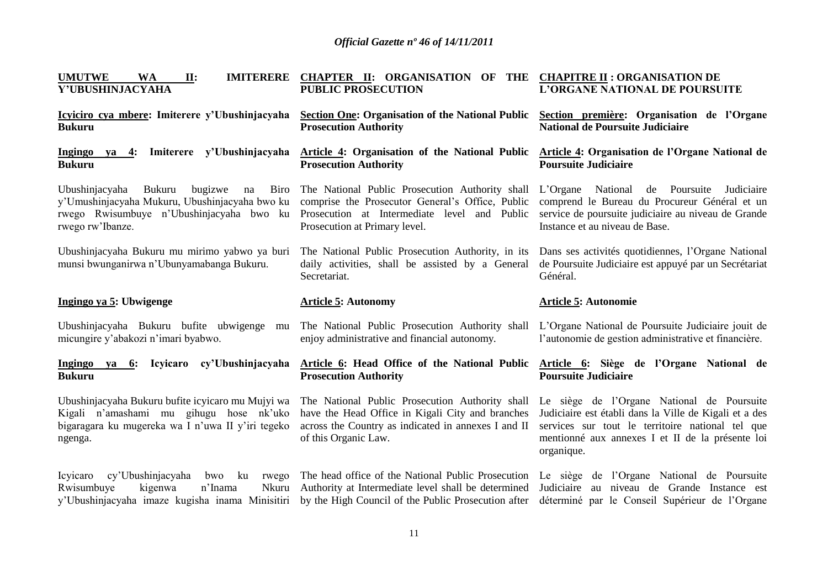| <b>WA</b><br><b>UMUTWE</b><br>II:<br><b>IMITERERE</b><br>Y'UBUSHINJACYAHA                                                                                           | CHAPTER II: ORGANISATION OF THE CHAPITRE II : ORGANISATION DE<br><b>PUBLIC PROSECUTION</b>                                                                                           | L'ORGANE NATIONAL DE POURSUITE                                                                                                                                                                                             |
|---------------------------------------------------------------------------------------------------------------------------------------------------------------------|--------------------------------------------------------------------------------------------------------------------------------------------------------------------------------------|----------------------------------------------------------------------------------------------------------------------------------------------------------------------------------------------------------------------------|
| Icyiciro cya mbere: Imiterere y'Ubushinjacyaha<br><b>Bukuru</b>                                                                                                     | <b>Section One: Organisation of the National Public</b><br><b>Prosecution Authority</b>                                                                                              | Section première: Organisation de l'Organe<br><b>National de Poursuite Judiciaire</b>                                                                                                                                      |
| Ingingo ya 4: Imiterere y'Ubushinjacyaha<br><b>Bukuru</b>                                                                                                           | <b>Article 4: Organisation of the National Public</b><br><b>Prosecution Authority</b>                                                                                                | <b>Article 4: Organisation de l'Organe National de</b><br><b>Poursuite Judiciaire</b>                                                                                                                                      |
| Bukuru<br>bugizwe<br>Biro<br>Ubushinjacyaha<br>na<br>y'Umushinjacyaha Mukuru, Ubushinjacyaha bwo ku<br>rwego Rwisumbuye n'Ubushinjacyaha bwo ku<br>rwego rw'Ibanze. | The National Public Prosecution Authority shall<br>comprise the Prosecutor General's Office, Public<br>Prosecution at Intermediate level and Public<br>Prosecution at Primary level. | L'Organe National de Poursuite<br>Judiciaire<br>comprend le Bureau du Procureur Général et un<br>service de poursuite judiciaire au niveau de Grande<br>Instance et au niveau de Base.                                     |
| Ubushinjacyaha Bukuru mu mirimo yabwo ya buri<br>munsi bwunganirwa n'Ubunyamabanga Bukuru.                                                                          | The National Public Prosecution Authority, in its<br>daily activities, shall be assisted by a General<br>Secretariat.                                                                | Dans ses activités quotidiennes, l'Organe National<br>de Poursuite Judiciaire est appuyé par un Secrétariat<br>Général.                                                                                                    |
|                                                                                                                                                                     |                                                                                                                                                                                      |                                                                                                                                                                                                                            |
| Ingingo ya 5: Ubwigenge                                                                                                                                             | <b>Article 5: Autonomy</b>                                                                                                                                                           | <b>Article 5: Autonomie</b>                                                                                                                                                                                                |
| Ubushinjacyaha Bukuru bufite ubwigenge mu<br>micungire y'abakozi n'imari byabwo.                                                                                    | The National Public Prosecution Authority shall<br>enjoy administrative and financial autonomy.                                                                                      | L'Organe National de Poursuite Judiciaire jouit de<br>l'autonomie de gestion administrative et financière.                                                                                                                 |
| Icyicaro cy'Ubushinjacyaha<br>Ingingo<br>ya<br>6:<br><b>Bukuru</b>                                                                                                  | Article 6: Head Office of the National Public<br><b>Prosecution Authority</b>                                                                                                        | Article 6: Siège de l'Organe National de<br><b>Poursuite Judiciaire</b>                                                                                                                                                    |
| Ubushinjacyaha Bukuru bufite icyicaro mu Mujyi wa<br>Kigali n'amashami mu gihugu hose nk'uko<br>bigaragara ku mugereka wa I n'uwa II y'iri tegeko<br>ngenga.        | The National Public Prosecution Authority shall<br>have the Head Office in Kigali City and branches<br>across the Country as indicated in annexes I and II<br>of this Organic Law.   | Le siège de l'Organe National de Poursuite<br>Judiciaire est établi dans la Ville de Kigali et a des<br>services sur tout le territoire national tel que<br>mentionné aux annexes I et II de la présente loi<br>organique. |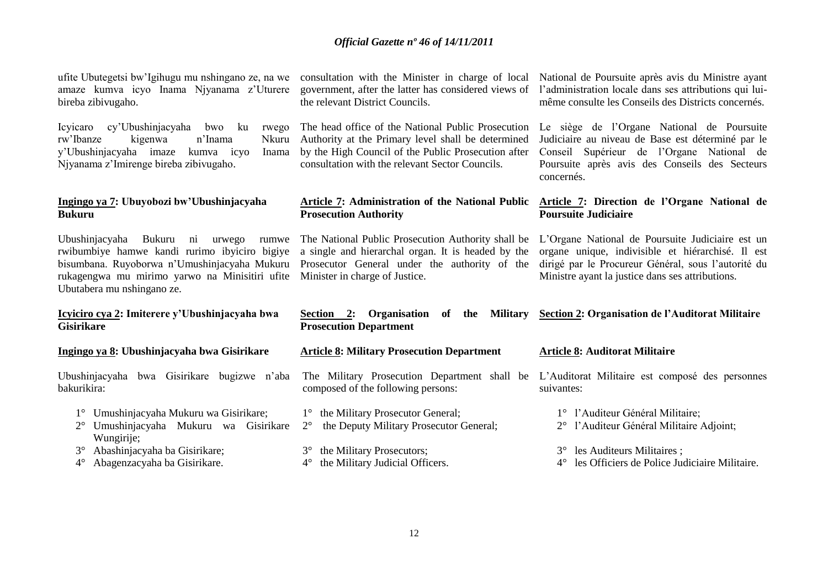ufite Ubutegetsi bw"Igihugu mu nshingano ze, na we consultation with the Minister in charge of local amaze kumva icyo Inama Njyanama z"Uturere bireba zibivugaho.

Icyicaro cy"Ubushinjacyaha bwo ku rwego rw'Ibanze kigenwa n'Inama y'Ubushinjacyaha imaze kumva icyo Njyanama z"Imirenge bireba zibivugaho.

#### **Ingingo ya 7: Ubuyobozi bw'Ubushinjacyaha Bukuru**

Ubushinjacyaha Bukuru ni urwego rumwe rwibumbiye hamwe kandi rurimo ibyiciro bigiye bisumbana. Ruyoborwa n"Umushinjacyaha Mukuru rukagengwa mu mirimo yarwo na Minisitiri ufite Minister in charge of Justice. Ubutabera mu nshingano ze.

#### **Icyiciro cya 2: Imiterere y'Ubushinjacyaha bwa Gisirikare**

#### **Ingingo ya 8: Ubushinjacyaha bwa Gisirikare**

Ubushinjacyaha bwa Gisirikare bugizwe n"aba bakurikira:

- 1° Umushinjacyaha Mukuru wa Gisirikare;
- 2° Umushinjacyaha Mukuru wa Gisirikare Wungirije;
- 3° Abashinjacyaha ba Gisirikare;
- 4° Abagenzacyaha ba Gisirikare.

government, after the latter has considered views of the relevant District Councils.

The head office of the National Public Prosecution Authority at the Primary level shall be determined by the High Council of the Public Prosecution after consultation with the relevant Sector Councils.

#### **Article 7: Administration of the National Public Prosecution Authority**

The National Public Prosecution Authority shall be a single and hierarchal organ. It is headed by the Prosecutor General under the authority of the

#### Section 2: Organisation of the Military Section 2: Organisation de l'Auditorat Militaire **Prosecution Department**

#### **Article 8: Military Prosecution Department**

- composed of the following persons:
- 1° the Military Prosecutor General;
- 2° the Deputy Military Prosecutor General;
- 3° the Military Prosecutors;
- 4° the Military Judicial Officers.

National de Poursuite après avis du Ministre ayant l"administration locale dans ses attributions qui luimême consulte les Conseils des Districts concernés.

Le siège de l"Organe National de Poursuite Judiciaire au niveau de Base est déterminé par le Conseil Supérieur de l"Organe National de Poursuite après avis des Conseils des Secteurs concernés.

#### **Article 7: Direction de l'Organe National de Poursuite Judiciaire**

L"Organe National de Poursuite Judiciaire est un organe unique, indivisible et hiérarchisé. Il est dirigé par le Procureur Général, sous l"autorité du Ministre ayant la justice dans ses attributions.

#### **Article 8: Auditorat Militaire**

The Military Prosecution Department shall be L"Auditorat Militaire est composé des personnes suivantes:

- 1° l"Auditeur Général Militaire;
- 2° l"Auditeur Général Militaire Adjoint;
- 3° les Auditeurs Militaires ;
- 4° les Officiers de Police Judiciaire Militaire.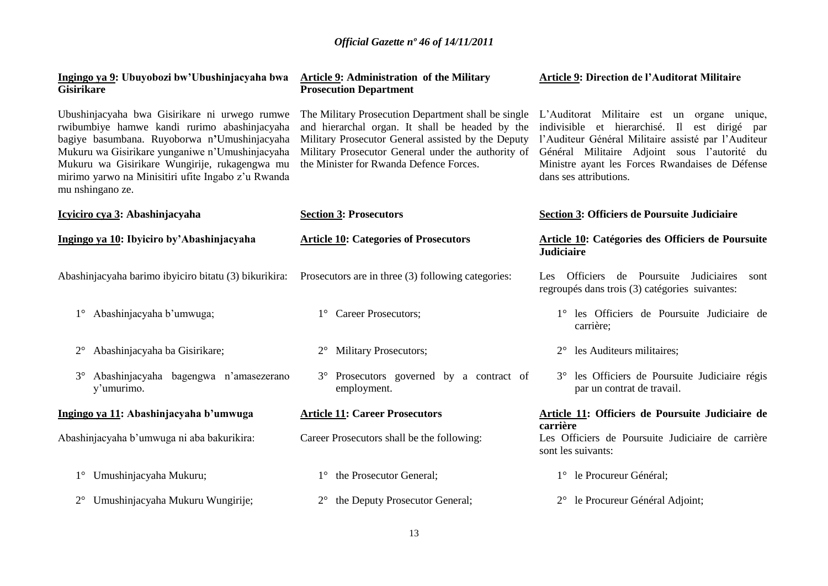| Ingingo ya 9: Ubuyobozi bw'Ubushinjacyaha bwa<br><b>Gisirikare</b>                                                                                                                                                                                                                                                          | <b>Article 9: Administration of the Military</b><br><b>Prosecution Department</b>                                                                                                                                                                             | <b>Article 9: Direction de l'Auditorat Militaire</b>                                                                                                                                                                                                                             |
|-----------------------------------------------------------------------------------------------------------------------------------------------------------------------------------------------------------------------------------------------------------------------------------------------------------------------------|---------------------------------------------------------------------------------------------------------------------------------------------------------------------------------------------------------------------------------------------------------------|----------------------------------------------------------------------------------------------------------------------------------------------------------------------------------------------------------------------------------------------------------------------------------|
| Ubushinjacyaha bwa Gisirikare ni urwego rumwe<br>rwibumbiye hamwe kandi rurimo abashinjacyaha<br>bagiye basumbana. Ruyoborwa n'Umushinjacyaha<br>Mukuru wa Gisirikare yunganiwe n'Umushinjacyaha<br>Mukuru wa Gisirikare Wungirije, rukagengwa mu<br>mirimo yarwo na Minisitiri ufite Ingabo z'u Rwanda<br>mu nshingano ze. | The Military Prosecution Department shall be single<br>and hierarchal organ. It shall be headed by the<br>Military Prosecutor General assisted by the Deputy<br>Military Prosecutor General under the authority of<br>the Minister for Rwanda Defence Forces. | L'Auditorat Militaire est un organe unique,<br>indivisible et hierarchisé. Il est dirigé par<br>l'Auditeur Général Militaire assisté par l'Auditeur<br>Général Militaire Adjoint sous l'autorité du<br>Ministre ayant les Forces Rwandaises de Défense<br>dans ses attributions. |
| Icyiciro cya 3: Abashinjacyaha                                                                                                                                                                                                                                                                                              | <b>Section 3: Prosecutors</b>                                                                                                                                                                                                                                 | Section 3: Officiers de Poursuite Judiciaire                                                                                                                                                                                                                                     |
| Ingingo ya 10: Ibyiciro by'Abashinjacyaha                                                                                                                                                                                                                                                                                   | <b>Article 10: Categories of Prosecutors</b>                                                                                                                                                                                                                  | Article 10: Catégories des Officiers de Poursuite<br><b>Judiciaire</b>                                                                                                                                                                                                           |
| Abashinjacyaha barimo ibyiciro bitatu (3) bikurikira:                                                                                                                                                                                                                                                                       | Prosecutors are in three (3) following categories:                                                                                                                                                                                                            | de Poursuite Judiciaires<br><b>Officiers</b><br>Les<br>sont<br>regroupés dans trois (3) catégories suivantes:                                                                                                                                                                    |
| Abashinjacyaha b'umwuga;<br>$1^{\circ}$                                                                                                                                                                                                                                                                                     | 1° Career Prosecutors;                                                                                                                                                                                                                                        | 1° les Officiers de Poursuite Judiciaire de<br>carrière;                                                                                                                                                                                                                         |
| Abashinjacyaha ba Gisirikare;                                                                                                                                                                                                                                                                                               | <b>Military Prosecutors;</b>                                                                                                                                                                                                                                  | les Auditeurs militaires;                                                                                                                                                                                                                                                        |
| Abashinjacyaha bagengwa n'amasezerano<br>$3^\circ$<br>y'umurimo.                                                                                                                                                                                                                                                            | 3° Prosecutors governed by a contract of<br>employment.                                                                                                                                                                                                       | 3° les Officiers de Poursuite Judiciaire régis<br>par un contrat de travail.                                                                                                                                                                                                     |
| Ingingo ya 11: Abashinjacyaha b'umwuga                                                                                                                                                                                                                                                                                      | <b>Article 11: Career Prosecutors</b>                                                                                                                                                                                                                         | Article 11: Officiers de Poursuite Judiciaire de<br>carrière                                                                                                                                                                                                                     |
| Abashinjacyaha b'umwuga ni aba bakurikira:                                                                                                                                                                                                                                                                                  | Career Prosecutors shall be the following:                                                                                                                                                                                                                    | Les Officiers de Poursuite Judiciaire de carrière<br>sont les suivants:                                                                                                                                                                                                          |
| Umushinjacyaha Mukuru;<br>$1^{\circ}$                                                                                                                                                                                                                                                                                       | 1° the Prosecutor General;                                                                                                                                                                                                                                    | 1° le Procureur Général;                                                                                                                                                                                                                                                         |
| Umushinjacyaha Mukuru Wungirije;<br>$2^{\circ}$                                                                                                                                                                                                                                                                             | 2° the Deputy Prosecutor General;                                                                                                                                                                                                                             | 2° le Procureur Général Adjoint;                                                                                                                                                                                                                                                 |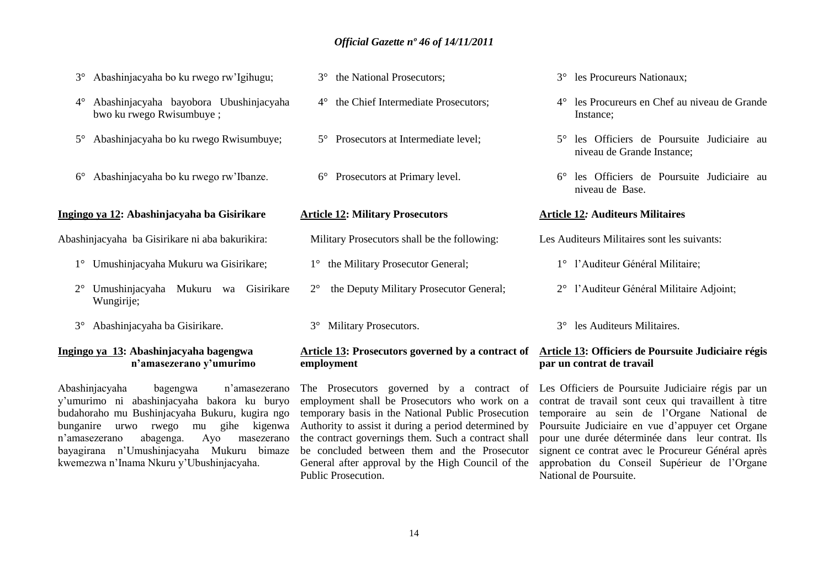- 3° Abashinjacyaha bo ku rwego rw"Igihugu;
- 4° Abashinjacyaha bayobora Ubushinjacyaha bwo ku rwego Rwisumbuye ;
- 5° Abashinjacyaha bo ku rwego Rwisumbuye;
- 6° Abashinjacyaha bo ku rwego rw"Ibanze.

#### **Ingingo ya 12: Abashinjacyaha ba Gisirikare**

Abashinjacyaha ba Gisirikare ni aba bakurikira:

- 1° Umushinjacyaha Mukuru wa Gisirikare;
- 2° Umushinjacyaha Mukuru wa Gisirikare Wungirije;
- 3° Abashinjacyaha ba Gisirikare.

#### **Ingingo ya 13: Abashinjacyaha bagengwa n'amasezerano y'umurimo**

Abashinjacyaha bagengwa n"amasezerano y"umurimo ni abashinjacyaha bakora ku buryo budahoraho mu Bushinjacyaha Bukuru, kugira ngo bunganire urwo rwego mu gihe kigenwa n"amasezerano abagenga. Ayo masezerano bayagirana n"Umushinjacyaha Mukuru bimaze kwemezwa n"Inama Nkuru y"Ubushinjacyaha.

- 3° the National Prosecutors;
- 4° the Chief Intermediate Prosecutors;
- 5° Prosecutors at Intermediate level;
- 6° Prosecutors at Primary level.

#### **Article 12: Military Prosecutors**

- Military Prosecutors shall be the following:
- 1° the Military Prosecutor General;
- 2° the Deputy Military Prosecutor General;
- 3° Military Prosecutors.

# **employment**

The Prosecutors governed by a contract of employment shall be Prosecutors who work on a temporary basis in the National Public Prosecution Authority to assist it during a period determined by the contract governings them. Such a contract shall be concluded between them and the Prosecutor General after approval by the High Council of the Public Prosecution.

- 3° les Procureurs Nationaux;
- 4° les Procureurs en Chef au niveau de Grande Instance;
- 5° les Officiers de Poursuite Judiciaire au niveau de Grande Instance;
- 6° les Officiers de Poursuite Judiciaire au niveau de Base.

#### **Article 12***:* **Auditeurs Militaires**

Les Auditeurs Militaires sont les suivants:

- 1° l"Auditeur Général Militaire;
- 2° l"Auditeur Général Militaire Adjoint;
- 3° les Auditeurs Militaires.

#### **Article 13: Prosecutors governed by a contract of Article 13: Officiers de Poursuite Judiciaire régis par un contrat de travail**

Les Officiers de Poursuite Judiciaire régis par un contrat de travail sont ceux qui travaillent à titre temporaire au sein de l"Organe National de Poursuite Judiciaire en vue d"appuyer cet Organe pour une durée déterminée dans leur contrat. Ils signent ce contrat avec le Procureur Général après approbation du Conseil Supérieur de l"Organe National de Poursuite.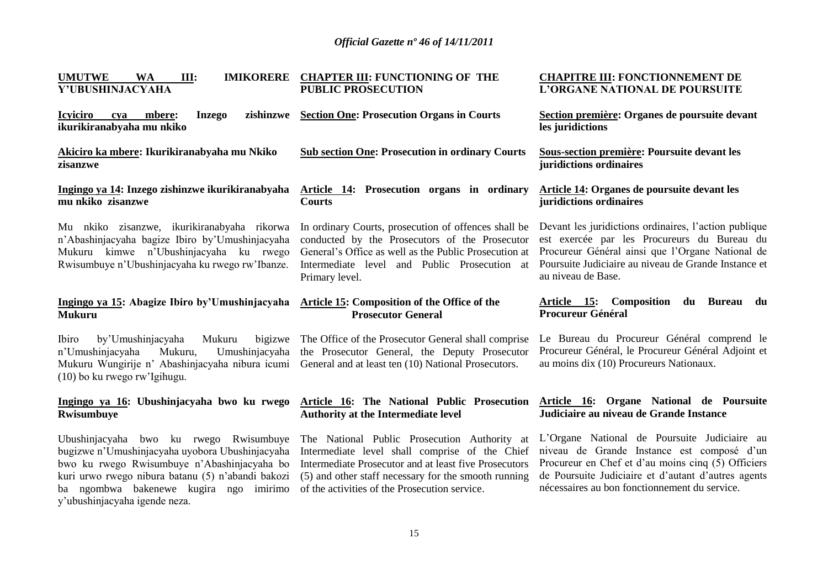| <b>UMUTWE</b><br>IMIKORERE CHAPTER III: FUNCTIONING OF THE<br><b>WA</b><br>III:<br>Y'UBUSHINJACYAHA<br><b>PUBLIC PROSECUTION</b>                                                            |                                                                                                                                                                                                                                   | <b>CHAPITRE III: FONCTIONNEMENT DE</b><br>L'ORGANE NATIONAL DE POURSUITE                                                                                                                                                               |
|---------------------------------------------------------------------------------------------------------------------------------------------------------------------------------------------|-----------------------------------------------------------------------------------------------------------------------------------------------------------------------------------------------------------------------------------|----------------------------------------------------------------------------------------------------------------------------------------------------------------------------------------------------------------------------------------|
| <b>Icyiciro</b><br>zishinzwe<br>mbere:<br><b>Inzego</b><br>cya<br>ikurikiranabyaha mu nkiko                                                                                                 | <b>Section One: Prosecution Organs in Courts</b>                                                                                                                                                                                  | Section première: Organes de poursuite devant<br>les juridictions                                                                                                                                                                      |
| Akiciro ka mbere: Ikurikiranabyaha mu Nkiko<br>zisanzwe                                                                                                                                     | <b>Sub section One: Prosecution in ordinary Courts</b>                                                                                                                                                                            | Sous-section première: Poursuite devant les<br>juridictions ordinaires                                                                                                                                                                 |
| Ingingo ya 14: Inzego zishinzwe ikurikiranabyaha<br>mu nkiko zisanzwe                                                                                                                       | Article 14: Prosecution organs in ordinary<br><b>Courts</b>                                                                                                                                                                       | <b>Article 14: Organes de poursuite devant les</b><br>juridictions ordinaires                                                                                                                                                          |
| Mu nkiko zisanzwe, ikurikiranabyaha rikorwa<br>n'Abashinjacyaha bagize Ibiro by'Umushinjacyaha<br>Mukuru kimwe n'Ubushinjacyaha ku rwego<br>Rwisumbuye n'Ubushinjacyaha ku rwego rw'Ibanze. | In ordinary Courts, prosecution of offences shall be<br>conducted by the Prosecutors of the Prosecutor<br>General's Office as well as the Public Prosecution at<br>Intermediate level and Public Prosecution at<br>Primary level. | Devant les juridictions ordinaires, l'action publique<br>est exercée par les Procureurs du Bureau du<br>Procureur Général ainsi que l'Organe National de<br>Poursuite Judiciaire au niveau de Grande Instance et<br>au niveau de Base. |
|                                                                                                                                                                                             |                                                                                                                                                                                                                                   |                                                                                                                                                                                                                                        |
| Ingingo ya 15: Abagize Ibiro by'Umushinjacyaha<br><b>Mukuru</b>                                                                                                                             | <b>Article 15: Composition of the Office of the</b><br><b>Prosecutor General</b>                                                                                                                                                  | Article 15: Composition du Bureau<br>du<br><b>Procureur Général</b>                                                                                                                                                                    |
| by'Umushinjacyaha<br>Ibiro<br>Mukuru<br>bigizwe<br>n'Umushinjacyaha<br>Mukuru,<br>Umushinjacyaha<br>Mukuru Wungirije n' Abashinjacyaha nibura icumi<br>(10) bo ku rwego rw'Igihugu.         | The Office of the Prosecutor General shall comprise<br>the Prosecutor General, the Deputy Prosecutor<br>General and at least ten (10) National Prosecutors.                                                                       | Le Bureau du Procureur Général comprend le<br>Procureur Général, le Procureur Général Adjoint et<br>au moins dix (10) Procureurs Nationaux.                                                                                            |
| Ingingo ya 16: Ubushinjacyaha bwo ku rwego<br>Rwisumbuye                                                                                                                                    | Article 16: The National Public Prosecution<br><b>Authority at the Intermediate level</b>                                                                                                                                         | Article 16: Organe National de Poursuite<br>Judiciaire au niveau de Grande Instance                                                                                                                                                    |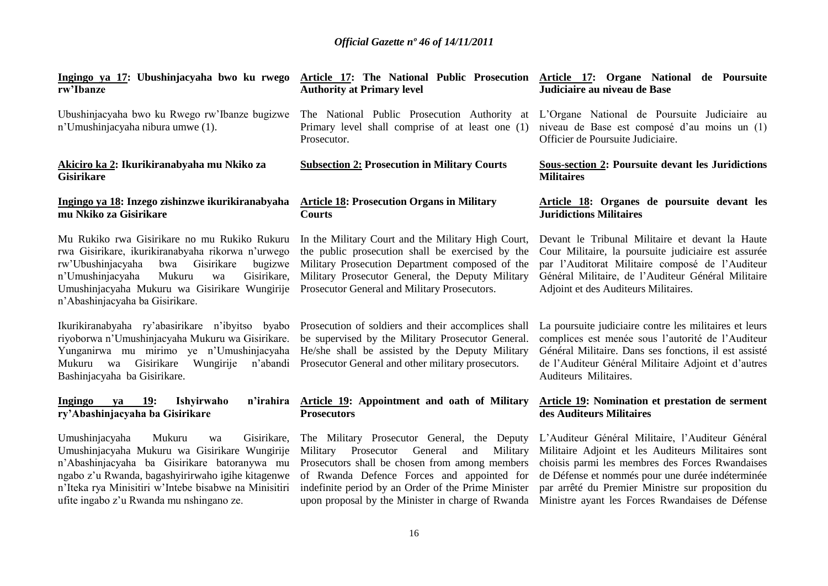| Ingingo ya 17: Ubushinjacyaha bwo ku rwego<br>rw'Ibanze                                                                                                                                                                                                                                                  | Article 17: The National Public Prosecution<br><b>Authority at Primary level</b>                                                                                                                                                                                                                                | Article 17: Organe National de Poursuite<br>Judiciaire au niveau de Base                                                                                                                                                                                                                                              |
|----------------------------------------------------------------------------------------------------------------------------------------------------------------------------------------------------------------------------------------------------------------------------------------------------------|-----------------------------------------------------------------------------------------------------------------------------------------------------------------------------------------------------------------------------------------------------------------------------------------------------------------|-----------------------------------------------------------------------------------------------------------------------------------------------------------------------------------------------------------------------------------------------------------------------------------------------------------------------|
| Ubushinjacyaha bwo ku Rwego rw'Ibanze bugizwe<br>n'Umushinjacyaha nibura umwe (1).                                                                                                                                                                                                                       | The National Public Prosecution Authority at<br>Primary level shall comprise of at least one (1)<br>Prosecutor.                                                                                                                                                                                                 | L'Organe National de Poursuite Judiciaire au<br>niveau de Base est composé d'au moins un (1)<br>Officier de Poursuite Judiciaire.                                                                                                                                                                                     |
| Akiciro ka 2: Ikurikiranabyaha mu Nkiko za<br><b>Gisirikare</b>                                                                                                                                                                                                                                          | <b>Subsection 2: Prosecution in Military Courts</b>                                                                                                                                                                                                                                                             | <b>Sous-section 2: Poursuite devant les Juridictions</b><br><b>Militaires</b>                                                                                                                                                                                                                                         |
| Ingingo ya 18: Inzego zishinzwe ikurikiranabyaha<br>mu Nkiko za Gisirikare                                                                                                                                                                                                                               | <b>Article 18: Prosecution Organs in Military</b><br><b>Courts</b>                                                                                                                                                                                                                                              | Article 18: Organes de poursuite devant les<br><b>Juridictions Militaires</b>                                                                                                                                                                                                                                         |
| Mu Rukiko rwa Gisirikare no mu Rukiko Rukuru<br>rwa Gisirikare, ikurikiranabyaha rikorwa n'urwego<br>rw'Ubushinjacyaha<br>bwa<br>Gisirikare<br>bugizwe<br>Gisirikare,<br>n'Umushinjacyaha<br>Mukuru<br>wa<br>Umushinjacyaha Mukuru wa Gisirikare Wungirije<br>n'Abashinjacyaha ba Gisirikare.            | In the Military Court and the Military High Court,<br>the public prosecution shall be exercised by the<br>Military Prosecution Department composed of the<br>Military Prosecutor General, the Deputy Military<br>Prosecutor General and Military Prosecutors.                                                   | Devant le Tribunal Militaire et devant la Haute<br>Cour Militaire, la poursuite judiciaire est assurée<br>par l'Auditorat Militaire composé de l'Auditeur<br>Général Militaire, de l'Auditeur Général Militaire<br>Adjoint et des Auditeurs Militaires.                                                               |
| Ikurikiranabyaha ry'abasirikare n'ibyitso byabo<br>riyoborwa n'Umushinjacyaha Mukuru wa Gisirikare.<br>Yunganirwa mu mirimo ye n'Umushinjacyaha<br>Mukuru wa Gisirikare<br>Wungirije<br>n'abandi<br>Bashinjacyaha ba Gisirikare.                                                                         | Prosecution of soldiers and their accomplices shall<br>be supervised by the Military Prosecutor General.<br>He/she shall be assisted by the Deputy Military<br>Prosecutor General and other military prosecutors.                                                                                               | La poursuite judiciaire contre les militaires et leurs<br>complices est menée sous l'autorité de l'Auditeur<br>Général Militaire. Dans ses fonctions, il est assisté<br>de l'Auditeur Général Militaire Adjoint et d'autres<br>Auditeurs Militaires.                                                                  |
| <b>19:</b><br>n'irahira<br>Ingingo<br>Ishyirwaho<br>ya<br>ry'Abashinjacyaha ba Gisirikare                                                                                                                                                                                                                | Article 19: Appointment and oath of Military<br><b>Prosecutors</b>                                                                                                                                                                                                                                              | <b>Article 19:</b> Nomination et prestation de serment<br>des Auditeurs Militaires                                                                                                                                                                                                                                    |
| Umushinjacyaha<br>Mukuru<br>Gisirikare,<br>wa<br>Umushinjacyaha Mukuru wa Gisirikare Wungirije<br>n'Abashinjacyaha ba Gisirikare batoranywa mu<br>ngabo z'u Rwanda, bagashyirirwaho igihe kitagenwe<br>n'Iteka rya Minisitiri w'Intebe bisabwe na Minisitiri<br>ufite ingabo z'u Rwanda mu nshingano ze. | The Military Prosecutor General, the Deputy<br>Prosecutor<br>Military<br>General<br>and<br>Military<br>Prosecutors shall be chosen from among members<br>of Rwanda Defence Forces and appointed for<br>indefinite period by an Order of the Prime Minister<br>upon proposal by the Minister in charge of Rwanda | L'Auditeur Général Militaire, l'Auditeur Général<br>Militaire Adjoint et les Auditeurs Militaires sont<br>choisis parmi les membres des Forces Rwandaises<br>de Défense et nommés pour une durée indéterminée<br>par arrêté du Premier Ministre sur proposition du<br>Ministre ayant les Forces Rwandaises de Défense |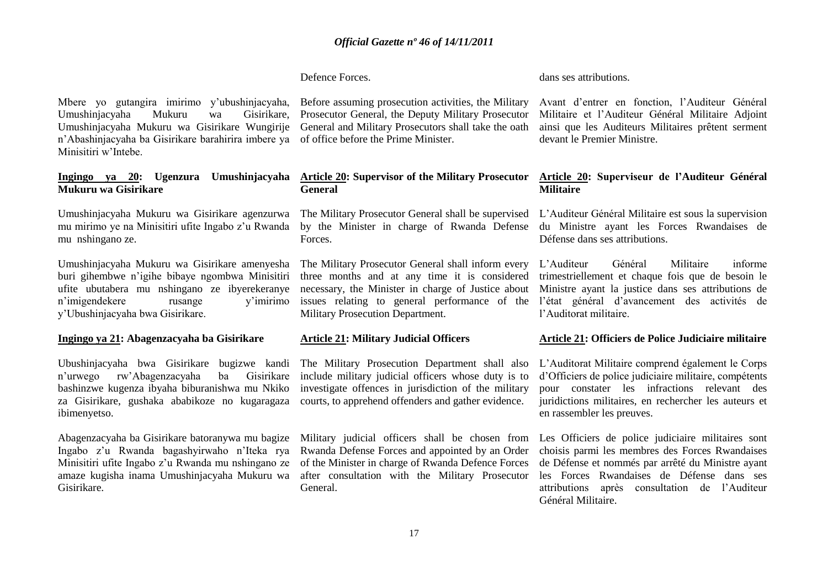Defence Forces.

dans ses attributions.

Mbere yo gutangira imirimo y"ubushinjacyaha, Umushinjacyaha Mukuru wa Gisirikare, Umushinjacyaha Mukuru wa Gisirikare Wungirije n"Abashinjacyaha ba Gisirikare barahirira imbere ya of office before the Prime Minister. Minisitiri w"Intebe.

#### **Ingingo ya 20: Ugenzura Umushinjacyaha Mukuru wa Gisirikare**

Umushinjacyaha Mukuru wa Gisirikare agenzurwa mu mirimo ye na Minisitiri ufite Ingabo z"u Rwanda mu nshingano ze.

Umushinjacyaha Mukuru wa Gisirikare amenyesha buri gihembwe n"igihe bibaye ngombwa Minisitiri ufite ubutabera mu nshingano ze ibyerekeranye n"imigendekere rusange y"imirimo y"Ubushinjacyaha bwa Gisirikare.

#### **Ingingo ya 21: Abagenzacyaha ba Gisirikare**

Ubushinjacyaha bwa Gisirikare bugizwe kandi n"urwego rw"Abagenzacyaha ba Gisirikare bashinzwe kugenza ibyaha biburanishwa mu Nkiko za Gisirikare, gushaka ababikoze no kugaragaza ibimenyetso.

Abagenzacyaha ba Gisirikare batoranywa mu bagize Ingabo z"u Rwanda bagashyirwaho n"Iteka rya Minisitiri ufite Ingabo z"u Rwanda mu nshingano ze amaze kugisha inama Umushinjacyaha Mukuru wa Gisirikare.

Before assuming prosecution activities, the Military Prosecutor General, the Deputy Military Prosecutor General and Military Prosecutors shall take the oath

#### **Article 20: Supervisor of the Military Prosecutor General**

The Military Prosecutor General shall be supervised by the Minister in charge of Rwanda Defense Forces.

The Military Prosecutor General shall inform every three months and at any time it is considered necessary, the Minister in charge of Justice about issues relating to general performance of the Military Prosecution Department.

#### **Article 21: Military Judicial Officers**

The Military Prosecution Department shall also include military judicial officers whose duty is to investigate offences in jurisdiction of the military courts, to apprehend offenders and gather evidence.

Military judicial officers shall be chosen from Rwanda Defense Forces and appointed by an Order of the Minister in charge of Rwanda Defence Forces after consultation with the Military Prosecutor General.

Avant d"entrer en fonction, l"Auditeur Général Militaire et l"Auditeur Général Militaire Adjoint ainsi que les Auditeurs Militaires prêtent serment devant le Premier Ministre.

#### **Article 20: Superviseur de l'Auditeur Général Militaire**

L"Auditeur Général Militaire est sous la supervision du Ministre ayant les Forces Rwandaises de Défense dans ses attributions.

L"Auditeur Général Militaire informe trimestriellement et chaque fois que de besoin le Ministre ayant la justice dans ses attributions de l"état général d"avancement des activités de l"Auditorat militaire.

#### **Article 21: Officiers de Police Judiciaire militaire**

L"Auditorat Militaire comprend également le Corps d"Officiers de police judiciaire militaire, compétents pour constater les infractions relevant des juridictions militaires, en rechercher les auteurs et en rassembler les preuves.

Les Officiers de police judiciaire militaires sont choisis parmi les membres des Forces Rwandaises de Défense et nommés par arrêté du Ministre ayant les Forces Rwandaises de Défense dans ses attributions après consultation de l"Auditeur Général Militaire.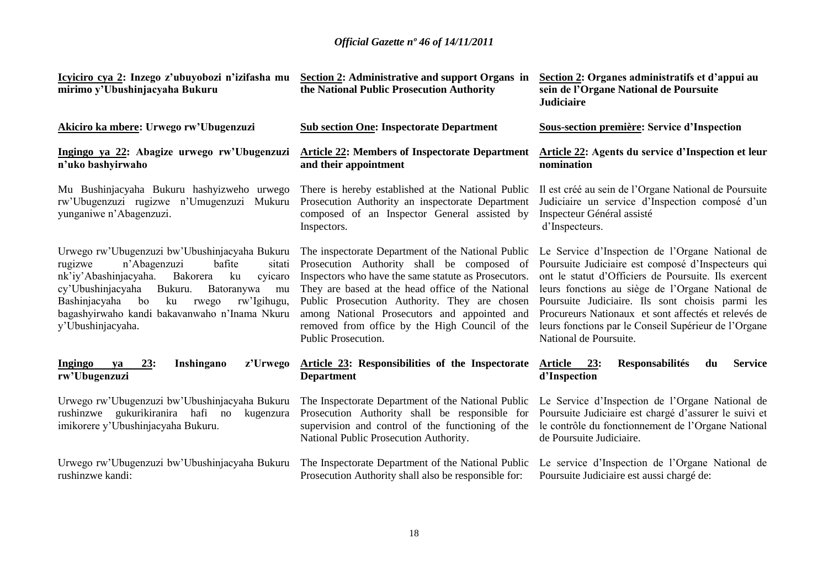| Icyiciro cya 2: Inzego z'ubuyobozi n'izifasha mu<br>mirimo y'Ubushinjacyaha Bukuru                                                                                                                                                                                                                                             | Section 2: Administrative and support Organs in<br>the National Public Prosecution Authority                                                                                                                                                                                                                                                                                                      | Section 2: Organes administratifs et d'appui au<br>sein de l'Organe National de Poursuite<br><b>Judiciaire</b>                                                                                                                                                                                                                                                                                                 |
|--------------------------------------------------------------------------------------------------------------------------------------------------------------------------------------------------------------------------------------------------------------------------------------------------------------------------------|---------------------------------------------------------------------------------------------------------------------------------------------------------------------------------------------------------------------------------------------------------------------------------------------------------------------------------------------------------------------------------------------------|----------------------------------------------------------------------------------------------------------------------------------------------------------------------------------------------------------------------------------------------------------------------------------------------------------------------------------------------------------------------------------------------------------------|
| Akiciro ka mbere: Urwego rw'Ubugenzuzi                                                                                                                                                                                                                                                                                         | <b>Sub section One: Inspectorate Department</b><br>Sous-section première: Service d'Inspection                                                                                                                                                                                                                                                                                                    |                                                                                                                                                                                                                                                                                                                                                                                                                |
| Ingingo ya 22: Abagize urwego rw'Ubugenzuzi<br>n'uko bashyirwaho                                                                                                                                                                                                                                                               | <b>Article 22: Members of Inspectorate Department</b><br>and their appointment                                                                                                                                                                                                                                                                                                                    | Article 22: Agents du service d'Inspection et leur<br>nomination                                                                                                                                                                                                                                                                                                                                               |
| Mu Bushinjacyaha Bukuru hashyizweho urwego<br>rw'Ubugenzuzi rugizwe n'Umugenzuzi Mukuru<br>yunganiwe n'Abagenzuzi.                                                                                                                                                                                                             | There is hereby established at the National Public<br>Prosecution Authority an inspectorate Department<br>composed of an Inspector General assisted by<br>Inspectors.                                                                                                                                                                                                                             | Il est créé au sein de l'Organe National de Poursuite<br>Judiciaire un service d'Inspection composé d'un<br>Inspecteur Général assisté<br>d'Inspecteurs.                                                                                                                                                                                                                                                       |
| Urwego rw'Ubugenzuzi bw'Ubushinjacyaha Bukuru<br>bafite<br>rugizwe<br>n'Abagenzuzi<br>sitati<br>nk'iy'Abashinjacyaha.<br>Bakorera<br>ku<br>cyicaro<br>Bukuru.<br>Batoranywa<br>cy'Ubushinjacyaha<br>mu<br>Bashinjacyaha bo<br>rw'Igihugu,<br>ku<br>rwego<br>bagashyirwaho kandi bakavanwaho n'Inama Nkuru<br>y'Ubushinjacyaha. | The inspectorate Department of the National Public<br>Prosecution Authority shall be composed of<br>Inspectors who have the same statute as Prosecutors.<br>They are based at the head office of the National<br>Public Prosecution Authority. They are chosen<br>among National Prosecutors and appointed and<br>removed from office by the High Council of the<br>Public Prosecution.           | Le Service d'Inspection de l'Organe National de<br>Poursuite Judiciaire est composé d'Inspecteurs qui<br>ont le statut d'Officiers de Poursuite. Ils exercent<br>leurs fonctions au siège de l'Organe National de<br>Poursuite Judiciaire. Ils sont choisis parmi les<br>Procureurs Nationaux et sont affectés et relevés de<br>leurs fonctions par le Conseil Supérieur de l'Organe<br>National de Poursuite. |
| Inshingano<br>Ingingo<br><u>23:</u><br>z'Urwego<br>ya<br>rw'Ubugenzuzi                                                                                                                                                                                                                                                         | Article 23: Responsibilities of the Inspectorate<br><b>Department</b>                                                                                                                                                                                                                                                                                                                             | <b>Responsabilités</b><br><b>Service</b><br>Article 23:<br>du<br>d'Inspection                                                                                                                                                                                                                                                                                                                                  |
| Urwego rw'Ubugenzuzi bw'Ubushinjacyaha Bukuru<br>rushinzwe gukurikiranira hafi no<br>kugenzura<br>imikorere y'Ubushinjacyaha Bukuru.                                                                                                                                                                                           | The Inspectorate Department of the National Public<br>Le Service d'Inspection de l'Organe National de<br>Prosecution Authority shall be responsible for<br>Poursuite Judiciaire est chargé d'assurer le suivi et<br>supervision and control of the functioning of the<br>le contrôle du fonctionnement de l'Organe National<br>National Public Prosecution Authority.<br>de Poursuite Judiciaire. |                                                                                                                                                                                                                                                                                                                                                                                                                |
| Urwego rw'Ubugenzuzi bw'Ubushinjacyaha Bukuru<br>rushinzwe kandi:                                                                                                                                                                                                                                                              | The Inspectorate Department of the National Public<br>Prosecution Authority shall also be responsible for:                                                                                                                                                                                                                                                                                        | Le service d'Inspection de l'Organe National de<br>Poursuite Judiciaire est aussi chargé de:                                                                                                                                                                                                                                                                                                                   |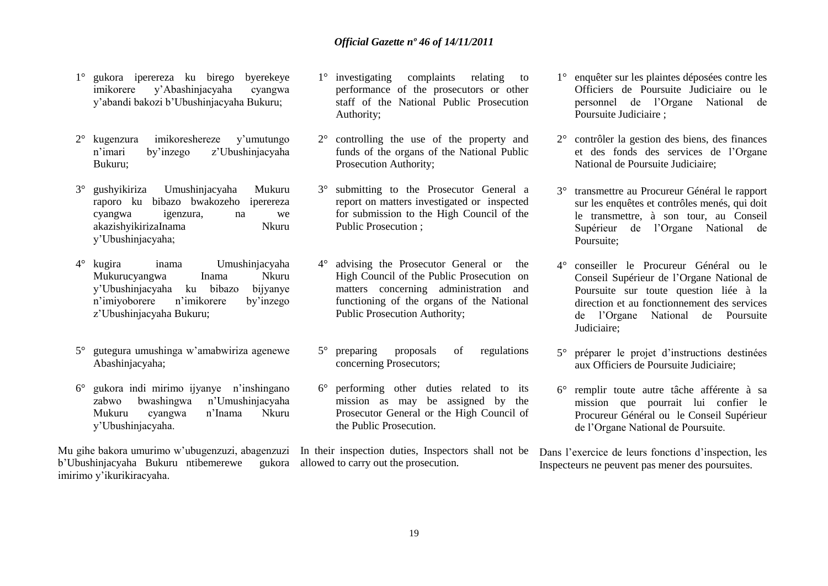- 1° gukora iperereza ku birego byerekeye imikorere y"Abashinjacyaha cyangwa y"abandi bakozi b"Ubushinjacyaha Bukuru;
- 2° kugenzura imikoreshereze y"umutungo n"imari by"inzego z"Ubushinjacyaha Bukuru;
- 3° gushyikiriza Umushinjacyaha Mukuru raporo ku bibazo bwakozeho iperereza cyangwa igenzura, na we akazishyikirizaInama Nkuru y"Ubushinjacyaha;
- 4° kugira inama Umushinjacyaha Mukurucyangwa Inama Nkuru y"Ubushinjacyaha ku bibazo bijyanye n"imiyoborere n"imikorere by"inzego z"Ubushinjacyaha Bukuru;
- 5° gutegura umushinga w"amabwiriza agenewe Abashinjacyaha;
- $6^{\circ}$  gukora indi mirimo ijyanye n'inshingano zabwo bwashingwa n"Umushinjacyaha Mukuru cyangwa n"Inama Nkuru y"Ubushinjacyaha.

Mu gihe bakora umurimo w"ubugenzuzi, abagenzuzi In their inspection duties, Inspectors shall not be b"Ubushinjacyaha Bukuru ntibemerewe gukora allowed to carry out the prosecution. imirimo y"ikurikiracyaha.

- 1° investigating complaints relating to performance of the prosecutors or other staff of the National Public Prosecution Authority;
- 2° controlling the use of the property and funds of the organs of the National Public Prosecution Authority;
- 3° submitting to the Prosecutor General a report on matters investigated or inspected for submission to the High Council of the Public Prosecution ;
- 4° advising the Prosecutor General or the High Council of the Public Prosecution on matters concerning administration and functioning of the organs of the National Public Prosecution Authority;
- 5° preparing proposals of regulations concerning Prosecutors;
- 6° performing other duties related to its mission as may be assigned by the Prosecutor General or the High Council of the Public Prosecution.

- 1° enquêter sur les plaintes déposées contre les Officiers de Poursuite Judiciaire ou le personnel de l"Organe National de Poursuite Judiciaire ;
- 2° contrôler la gestion des biens, des finances et des fonds des services de l"Organe National de Poursuite Judiciaire;
- 3° transmettre au Procureur Général le rapport sur les enquêtes et contrôles menés, qui doit le transmettre, à son tour, au Conseil Supérieur de l"Organe National de Poursuite;
- 4° conseiller le Procureur Général ou le Conseil Supérieur de l"Organe National de Poursuite sur toute question liée à la direction et au fonctionnement des services de l"Organe National de Poursuite Judiciaire;
- 5° préparer le projet d"instructions destinées aux Officiers de Poursuite Judiciaire;
- 6° remplir toute autre tâche afférente à sa mission que pourrait lui confier le Procureur Général ou le Conseil Supérieur de l"Organe National de Poursuite.

Dans l'exercice de leurs fonctions d'inspection, les Inspecteurs ne peuvent pas mener des poursuites.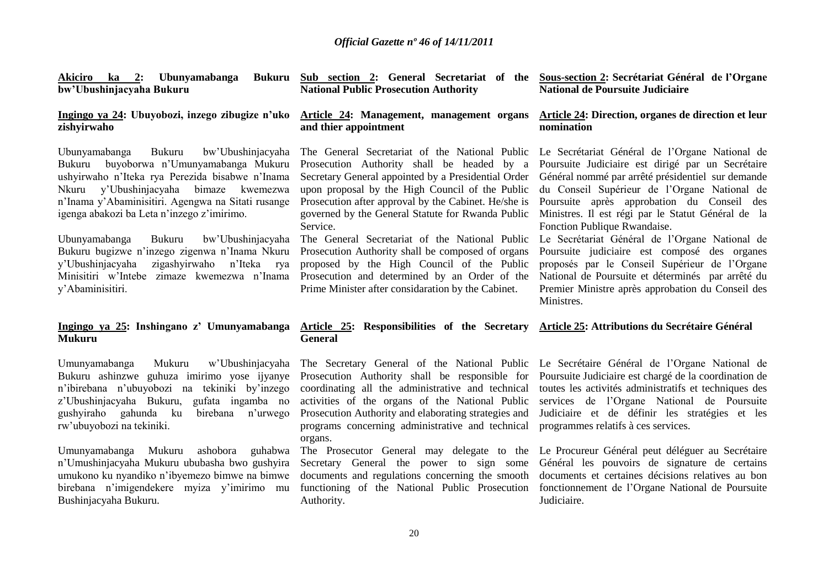| <u>Akiciro ka 2:</u> Ubunyamabanga<br><b>Bukuru</b><br>bw'Ubushinjacyaha Bukuru                                                                                                                                                                                                                                                                                                                                                                                                                                     | Sub section 2: General Secretariat of the Sous-section 2: Secrétariat Général de l'Organe<br><b>National Public Prosecution Authority</b>                                                                                                                                                                                                                                                                                                                                                                                                                                                   | National de Poursuite Judiciaire                                                                                                                                                                                                                                                                                                                                                                                                                                                                                                                                                                                        |  |
|---------------------------------------------------------------------------------------------------------------------------------------------------------------------------------------------------------------------------------------------------------------------------------------------------------------------------------------------------------------------------------------------------------------------------------------------------------------------------------------------------------------------|---------------------------------------------------------------------------------------------------------------------------------------------------------------------------------------------------------------------------------------------------------------------------------------------------------------------------------------------------------------------------------------------------------------------------------------------------------------------------------------------------------------------------------------------------------------------------------------------|-------------------------------------------------------------------------------------------------------------------------------------------------------------------------------------------------------------------------------------------------------------------------------------------------------------------------------------------------------------------------------------------------------------------------------------------------------------------------------------------------------------------------------------------------------------------------------------------------------------------------|--|
| Ingingo ya 24: Ubuyobozi, inzego zibugize n'uko<br>zishyirwaho                                                                                                                                                                                                                                                                                                                                                                                                                                                      | Article 24: Management, management organs<br>and thier appointment                                                                                                                                                                                                                                                                                                                                                                                                                                                                                                                          | Article 24: Direction, organes de direction et leur<br>nomination                                                                                                                                                                                                                                                                                                                                                                                                                                                                                                                                                       |  |
| Ubunyamabanga<br>Bukuru<br>bw'Ubushinjacyaha<br>buyoborwa n'Umunyamabanga Mukuru<br>Bukuru<br>ushyirwaho n'Iteka rya Perezida bisabwe n'Inama<br>y'Ubushinjacyaha bimaze kwemezwa<br>Nkuru<br>n'Inama y'Abaminisitiri. Agengwa na Sitati rusange<br>igenga abakozi ba Leta n'inzego z'imirimo.<br>bw'Ubushinjacyaha<br>Ubunyamabanga<br>Bukuru<br>Bukuru bugizwe n'inzego zigenwa n'Inama Nkuru<br>y'Ubushinjacyaha zigashyirwaho<br>n'Iteka rya<br>Minisitiri w'Intebe zimaze kwemezwa n'Inama<br>y'Abaminisitiri. | The General Secretariat of the National Public<br>Prosecution Authority shall be headed by a<br>Secretary General appointed by a Presidential Order<br>upon proposal by the High Council of the Public<br>Prosecution after approval by the Cabinet. He/she is<br>governed by the General Statute for Rwanda Public<br>Service.<br>The General Secretariat of the National Public<br>Prosecution Authority shall be composed of organs<br>proposed by the High Council of the Public<br>Prosecution and determined by an Order of the<br>Prime Minister after considaration by the Cabinet. | Le Secrétariat Général de l'Organe National de<br>Poursuite Judiciaire est dirigé par un Secrétaire<br>Général nommé par arrêté présidentiel sur demande<br>du Conseil Supérieur de l'Organe National de<br>Poursuite après approbation du Conseil des<br>Ministres. Il est régi par le Statut Général de la<br>Fonction Publique Rwandaise.<br>Le Secrétariat Général de l'Organe National de<br>Poursuite judiciaire est composé des organes<br>proposés par le Conseil Supérieur de l'Organe<br>National de Poursuite et déterminés par arrêté du<br>Premier Ministre après approbation du Conseil des<br>Ministres. |  |
| Ingingo ya 25: Inshingano z' Umunyamabanga<br>Mukuru                                                                                                                                                                                                                                                                                                                                                                                                                                                                | Article 25: Responsibilities of the Secretary Article 25: Attributions du Secrétaire Général<br><b>General</b>                                                                                                                                                                                                                                                                                                                                                                                                                                                                              |                                                                                                                                                                                                                                                                                                                                                                                                                                                                                                                                                                                                                         |  |
| Mukuru<br>w'Ubushinjacyaha<br>Umunyamabanga<br>Bukuru ashinzwe guhuza imirimo yose ijyanye<br>n'ibirebana n'ubuyobozi na tekiniki by'inzego<br>z'Ubushinjacyaha Bukuru, gufata ingamba no<br>gushyiraho gahunda ku<br>birebana n'urwego<br>rw'ubuyobozi na tekiniki.                                                                                                                                                                                                                                                | The Secretary General of the National Public Le Secrétaire Général de l'Organe National de<br>Prosecution Authority shall be responsible for<br>coordinating all the administrative and technical<br>activities of the organs of the National Public<br>Prosecution Authority and elaborating strategies and<br>programs concerning administrative and technical<br>organs.                                                                                                                                                                                                                 | Poursuite Judiciaire est chargé de la coordination de<br>toutes les activités administratifs et techniques des<br>services de l'Organe National de Poursuite<br>Judiciaire et de définir les stratégies et les<br>programmes relatifs à ces services.                                                                                                                                                                                                                                                                                                                                                                   |  |

n"Umushinjacyaha Mukuru ububasha bwo gushyira umukono ku nyandiko n"ibyemezo bimwe na bimwe birebana n"imigendekere myiza y"imirimo mu Bushinjacyaha Bukuru.

functioning of the National Public Prosecution fonctionnement de l'Organe National de Poursuite Authority.

Umunyamabanga Mukuru ashobora guhabwa The Prosecutor General may delegate to the Le-Procureur-Général-peut-déléguer au Secrétaire Secretary General the power to sign some Général les pouvoirs de signature de certains documents and regulations concerning the smooth documents et certaines décisions relatives au bon

Judiciaire.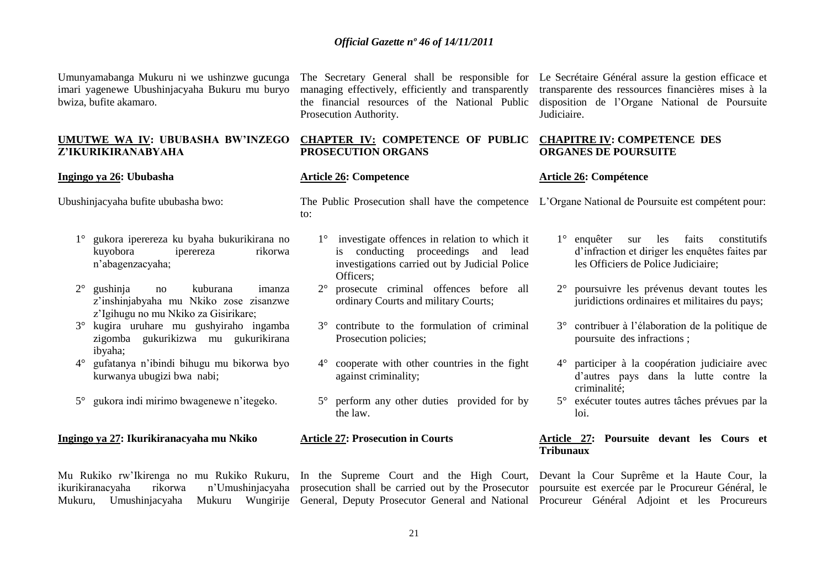Umunyamabanga Mukuru ni we ushinzwe gucunga imari yagenewe Ubushinjacyaha Bukuru mu buryo bwiza, bufite akamaro.

# **Z'IKURIKIRANABYAHA**

#### **Ingingo ya 26: Ububasha**

Ubushinjacyaha bufite ububasha bwo:

- 1° gukora iperereza ku byaha bukurikirana no kuyobora iperereza rikorwa n"abagenzacyaha;
- 2° gushinja no kuburana imanza z"inshinjabyaha mu Nkiko zose zisanzwe z"Igihugu no mu Nkiko za Gisirikare;
- 3° kugira uruhare mu gushyiraho ingamba zigomba gukurikizwa mu gukurikirana ibyaha;
- 4° gufatanya n"ibindi bihugu mu bikorwa byo kurwanya ubugizi bwa nabi;
- 5° gukora indi mirimo bwagenewe n"itegeko.

#### **Ingingo ya 27: Ikurikiranacyaha mu Nkiko**

Mu Rukiko rw'Ikirenga no mu Rukiko Rukuru, In the Supreme Court and the High Court, Devant la Cour Suprême et la Haute Cour, la

managing effectively, efficiently and transparently the financial resources of the National Public Prosecution Authority.

#### **UMUTWE WA IV: UBUBASHA BW'INZEGO CHAPTER IV: COMPETENCE OF PUBLIC PROSECUTION ORGANS**

#### **Article 26: Competence**

The Secretary General shall be responsible for Le Secrétaire Général assure la gestion efficace et transparente des ressources financières mises à la disposition de l"Organe National de Poursuite Judiciaire.

#### **CHAPITRE IV: COMPETENCE DES ORGANES DE POURSUITE**

#### **Article 26: Compétence**

The Public Prosecution shall have the competence L"Organe National de Poursuite est compétent pour: to:

- 1° investigate offences in relation to which it is conducting proceedings and lead investigations carried out by Judicial Police Officers;
- 2° prosecute criminal offences before all ordinary Courts and military Courts;
- 3° contribute to the formulation of criminal Prosecution policies;
- 4° cooperate with other countries in the fight against criminality;
- 5° perform any other duties provided for by the law.

### **Article 27: Prosecution in Courts**

- 1° enquêter sur les faits constitutifs d"infraction et diriger les enquêtes faites par les Officiers de Police Judiciaire;
- 2° poursuivre les prévenus devant toutes les juridictions ordinaires et militaires du pays;
- 3° contribuer à l"élaboration de la politique de poursuite des infractions ;
- 4° participer à la coopération judiciaire avec d"autres pays dans la lutte contre la criminalité;
- 5° exécuter toutes autres tâches prévues par la loi.

#### **Article 27: Poursuite devant les Cours et Tribunaux**

ikurikiranacyaha rikorwa n'Umushinjacyaha prosecution shall be carried out by the Prosecutor poursuite est exercée par le Procureur Général, le Mukuru, Umushinjacyaha Mukuru Wungirije General, Deputy Prosecutor General and National Procureur Général Adjoint et les Procureurs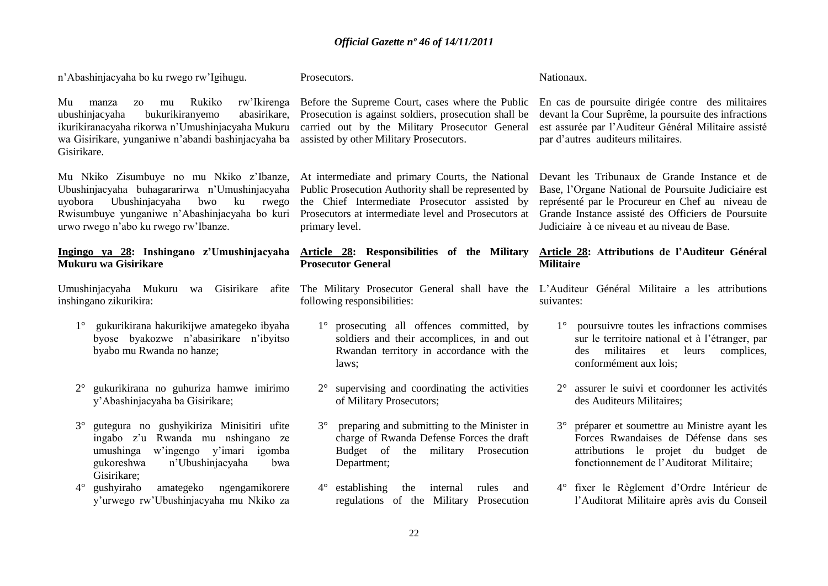n"Abashinjacyaha bo ku rwego rw"Igihugu.

Prosecutors.

Mu manza zo mu Rukiko rw"Ikirenga ubushinjacyaha bukurikiranyemo abasirikare, ikurikiranacyaha rikorwa n"Umushinjacyaha Mukuru wa Gisirikare, yunganiwe n"abandi bashinjacyaha ba Gisirikare.

Mu Nkiko Zisumbuye no mu Nkiko z"Ibanze, Ubushinjacyaha buhagararirwa n"Umushinjacyaha uyobora Ubushinjacyaha bwo ku rwego Rwisumbuye yunganiwe n"Abashinjacyaha bo kuri urwo rwego n"abo ku rwego rw"Ibanze.

#### **Ingingo ya 28: Inshingano z'Umushinjacyaha Mukuru wa Gisirikare**

inshingano zikurikira:

- 1° gukurikirana hakurikijwe amategeko ibyaha byose byakozwe n"abasirikare n"ibyitso byabo mu Rwanda no hanze;
- 2° gukurikirana no guhuriza hamwe imirimo y"Abashinjacyaha ba Gisirikare;
- 3° gutegura no gushyikiriza Minisitiri ufite ingabo z"u Rwanda mu nshingano ze umushinga w"ingengo y"imari igomba gukoreshwa n"Ubushinjacyaha bwa Gisirikare;<br>4° gushyiraho
- 4° gushyiraho amategeko ngengamikorere y"urwego rw"Ubushinjacyaha mu Nkiko za

Prosecution is against soldiers, prosecution shall be carried out by the Military Prosecutor General assisted by other Military Prosecutors.

At intermediate and primary Courts, the National Public Prosecution Authority shall be represented by the Chief Intermediate Prosecutor assisted by Prosecutors at intermediate level and Prosecutors at primary level.

#### **Article 28: Responsibilities of the Military Prosecutor General**

following responsibilities:

- 1° prosecuting all offences committed, by soldiers and their accomplices, in and out Rwandan territory in accordance with the laws;
- 2° supervising and coordinating the activities of Military Prosecutors;
- 3° preparing and submitting to the Minister in charge of Rwanda Defense Forces the draft Budget of the military Prosecution Department;
- 4° establishing the internal rules and regulations of the Military Prosecution

Before the Supreme Court, cases where the Public En cas de poursuite dirigée contre des militaires devant la Cour Suprême, la poursuite des infractions est assurée par l"Auditeur Général Militaire assisté par d"autres auditeurs militaires.

Nationaux.

Devant les Tribunaux de Grande Instance et de Base, l"Organe National de Poursuite Judiciaire est représenté par le Procureur en Chef au niveau de Grande Instance assisté des Officiers de Poursuite Judiciaire à ce niveau et au niveau de Base.

#### **Article 28: Attributions de l'Auditeur Général Militaire**

Umushinjacyaha Mukuru wa Gisirikare afite The Military Prosecutor General shall have the L'Auditeur Général Militaire a les attributions suivantes:

- 1° poursuivre toutes les infractions commises sur le territoire national et à l"étranger, par des militaires et leurs complices, conformément aux lois;
- 2° assurer le suivi et coordonner les activités des Auditeurs Militaires;
- 3° préparer et soumettre au Ministre ayant les Forces Rwandaises de Défense dans ses attributions le projet du budget de fonctionnement de l"Auditorat Militaire;
- 4° fixer le Règlement d"Ordre Intérieur de l"Auditorat Militaire après avis du Conseil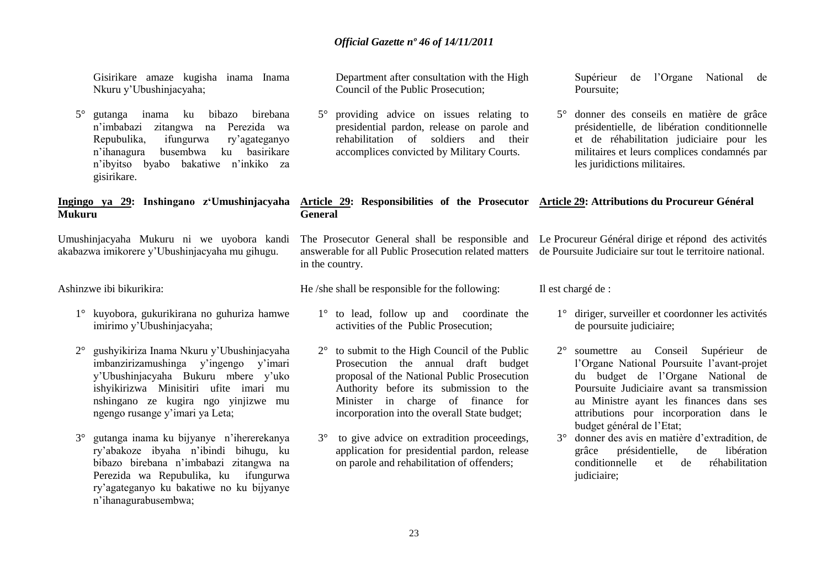Gisirikare amaze kugisha inama Inama Nkuru y"Ubushinjacyaha;

5° gutanga inama ku bibazo birebana n"imbabazi zitangwa na Perezida wa Repubulika, ifungurwa ry"agateganyo n"ihanagura busembwa ku basirikare n"ibyitso byabo bakatiwe n"inkiko za gisirikare.

# **Mukuru**

Umushinjacyaha Mukuru ni we uyobora kandi akabazwa imikorere y"Ubushinjacyaha mu gihugu.

Ashinzwe ibi bikurikira:

- 1° kuyobora, gukurikirana no guhuriza hamwe imirimo y"Ubushinjacyaha;
- 2° gushyikiriza Inama Nkuru y"Ubushinjacyaha imbanzirizamushinga y"ingengo y"imari y"Ubushinjacyaha Bukuru mbere y"uko ishyikirizwa Minisitiri ufite imari mu nshingano ze kugira ngo yinjizwe mu ngengo rusange y"imari ya Leta;
- 3° gutanga inama ku bijyanye n"ihererekanya ry"abakoze ibyaha n"ibindi bihugu, ku bibazo birebana n"imbabazi zitangwa na Perezida wa Repubulika, kuifungurwa ry"agateganyo ku bakatiwe no ku bijyanye n"ihanagurabusembwa;

Department after consultation with the High Council of the Public Prosecution;

5° providing advice on issues relating to presidential pardon, release on parole and rehabilitation of soldiers and their accomplices convicted by Military Courts.

Supérieur de l"Organe National de Poursuite;

5° donner des conseils en matière de grâce présidentielle, de libération conditionnelle et de réhabilitation judiciaire pour les militaires et leurs complices condamnés par les juridictions militaires.

### **Ingingo ya 29: Inshingano z'Umushinjacyaha Article 29: Responsibilities of the Prosecutor Article 29: Attributions du Procureur Général**

The Prosecutor General shall be responsible and Le Procureur Général dirige et répond des activités answerable for all Public Prosecution related matters de Poursuite Judiciaire sur tout le territoire national. in the country.

He /she shall be responsible for the following:

**General**

- 1° to lead, follow up and coordinate the activities of the Public Prosecution;
- 2° to submit to the High Council of the Public Prosecution the annual draft budget proposal of the National Public Prosecution Authority before its submission to the Minister in charge of finance for incorporation into the overall State budget;
- 3° to give advice on extradition proceedings, application for presidential pardon, release on parole and rehabilitation of offenders;

Il est chargé de :

- 1° diriger, surveiller et coordonner les activités de poursuite judiciaire;
- 2° soumettre au Conseil Supérieur de l"Organe National Poursuite l"avant-projet du budget de l"Organe National de Poursuite Judiciaire avant sa transmission au Ministre ayant les finances dans ses attributions pour incorporation dans le budget général de l"Etat;
- 3° donner des avis en matière d"extradition, de grâce présidentielle, de libération conditionnelle et de réhabilitation judiciaire: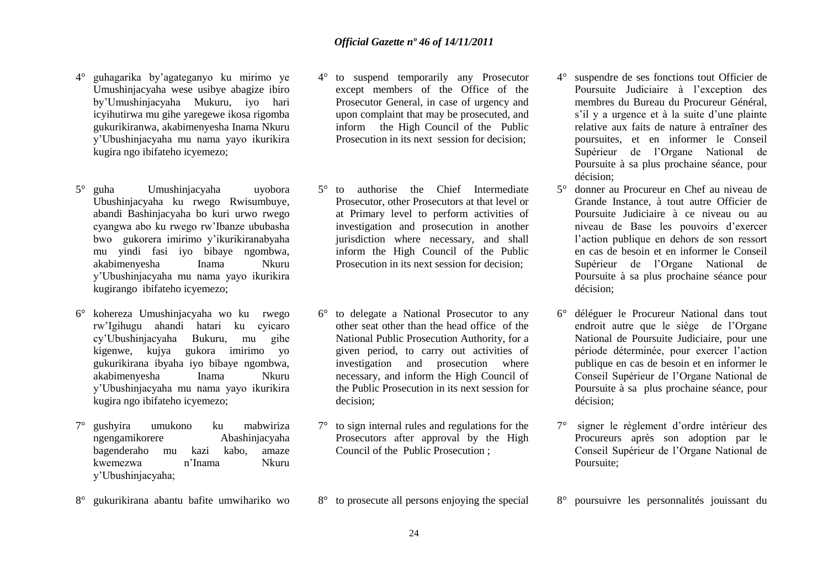- 4° guhagarika by"agateganyo ku mirimo ye Umushinjacyaha wese usibye abagize ibiro by"Umushinjacyaha Mukuru, iyo hari icyihutirwa mu gihe yaregewe ikosa rigomba gukurikiranwa, akabimenyesha Inama Nkuru y"Ubushinjacyaha mu nama yayo ikurikira kugira ngo ibifateho icyemezo;
- 5° guha Umushinjacyaha uyobora Ubushinjacyaha ku rwego Rwisumbuye, abandi Bashinjacyaha bo kuri urwo rwego cyangwa abo ku rwego rw"Ibanze ububasha bwo gukorera imirimo y"ikurikiranabyaha mu yindi fasi iyo bibaye ngombwa, akabimenyesha Inama Nkuru y"Ubushinjacyaha mu nama yayo ikurikira kugirango ibifateho icyemezo;
- 6° kohereza Umushinjacyaha wo ku rwego rw"Igihugu ahandi hatari ku cyicaro cy"Ubushinjacyaha Bukuru, mu gihe kigenwe, kujya gukora imirimo yo gukurikirana ibyaha iyo bibaye ngombwa, akabimenyesha Inama Nkuru y"Ubushinjacyaha mu nama yayo ikurikira kugira ngo ibifateho icyemezo;
- 7° gushyira umukono ku mabwiriza ngengamikorere Abashinjacyaha bagenderaho mu kazi kabo, amaze kwemezwa n"Inama Nkuru y"Ubushinjacyaha;
- 8° gukurikirana abantu bafite umwihariko wo
- 4° to suspend temporarily any Prosecutor except members of the Office of the Prosecutor General, in case of urgency and upon complaint that may be prosecuted, and inform the High Council of the Public Prosecution in its next session for decision;
- 5° to authorise the Chief Intermediate Prosecutor, other Prosecutors at that level or at Primary level to perform activities of investigation and prosecution in another jurisdiction where necessary, and shall inform the High Council of the Public Prosecution in its next session for decision;
- 6° to delegate a National Prosecutor to any other seat other than the head office of the National Public Prosecution Authority, for a given period, to carry out activities of investigation and prosecution where necessary, and inform the High Council of the Public Prosecution in its next session for decision;
- 7° to sign internal rules and regulations for the Prosecutors after approval by the High Council of the Public Prosecution ;
- 8° to prosecute all persons enjoying the special
- 4° suspendre de ses fonctions tout Officier de Poursuite Judiciaire à l"exception des membres du Bureau du Procureur Général, s'il y a urgence et à la suite d'une plainte relative aux faits de nature à entraîner des poursuites, et en informer le Conseil Supérieur de l"Organe National de Poursuite à sa plus prochaine séance, pour décision;
- 5° donner au Procureur en Chef au niveau de Grande Instance, à tout autre Officier de Poursuite Judiciaire à ce niveau ou au niveau de Base les pouvoirs d"exercer l"action publique en dehors de son ressort en cas de besoin et en informer le Conseil Supérieur de l"Organe National de Poursuite à sa plus prochaine séance pour décision;
- 6° déléguer le Procureur National dans tout endroit autre que le siège de l"Organe National de Poursuite Judiciaire, pour une période déterminée, pour exercer l"action publique en cas de besoin et en informer le Conseil Supérieur de l"Organe National de Poursuite à sa plus prochaine séance, pour décision;
- 7° signer le règlement d"ordre intérieur des Procureurs après son adoption par le Conseil Supérieur de l"Organe National de Poursuite;
- 8° poursuivre les personnalités jouissant du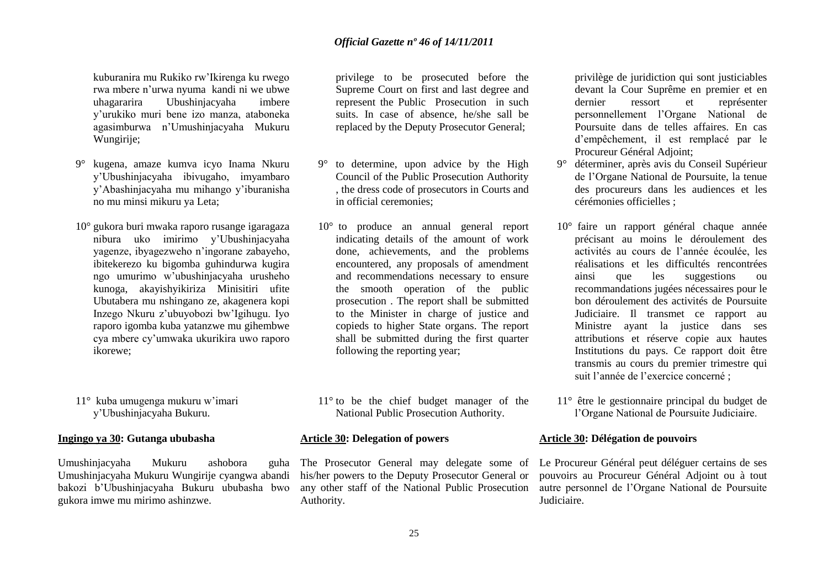kuburanira mu Rukiko rw"Ikirenga ku rwego rwa mbere n"urwa nyuma kandi ni we ubwe uhagararira Ubushinjacyaha imbere y"urukiko muri bene izo manza, ataboneka agasimburwa n"Umushinjacyaha Mukuru Wungirije;

- 9° kugena, amaze kumva icyo Inama Nkuru y"Ubushinjacyaha ibivugaho, imyambaro y"Abashinjacyaha mu mihango y"iburanisha no mu minsi mikuru ya Leta;
- 10° gukora buri mwaka raporo rusange igaragaza nibura uko imirimo y"Ubushinjacyaha yagenze, ibyagezweho n"ingorane zabayeho, ibitekerezo ku bigomba guhindurwa kugira ngo umurimo w"ubushinjacyaha urusheho kunoga, akayishyikiriza Minisitiri ufite Ubutabera mu nshingano ze, akagenera kopi Inzego Nkuru z"ubuyobozi bw"Igihugu. Iyo raporo igomba kuba yatanzwe mu gihembwe cya mbere cy"umwaka ukurikira uwo raporo ikorewe;
- 11° kuba umugenga mukuru w"imari y"Ubushinjacyaha Bukuru.

#### **Ingingo ya 30: Gutanga ububasha**

Umushinjacyaha Mukuru ashobora guha Umushinjacyaha Mukuru Wungirije cyangwa abandi bakozi b"Ubushinjacyaha Bukuru ububasha bwo gukora imwe mu mirimo ashinzwe.

privilege to be prosecuted before the Supreme Court on first and last degree and represent the Public Prosecution in such suits. In case of absence, he/she sall be replaced by the Deputy Prosecutor General;

- 9° to determine, upon advice by the High Council of the Public Prosecution Authority , the dress code of prosecutors in Courts and in official ceremonies;
- 10° to produce an annual general report indicating details of the amount of work done, achievements, and the problems encountered, any proposals of amendment and recommendations necessary to ensure the smooth operation of the public prosecution . The report shall be submitted to the Minister in charge of justice and copieds to higher State organs. The report shall be submitted during the first quarter following the reporting year;
- 11° to be the chief budget manager of the National Public Prosecution Authority.

#### **Article 30: Delegation of powers**

his/her powers to the Deputy Prosecutor General or any other staff of the National Public Prosecution Authority.

privilège de juridiction qui sont justiciables devant la Cour Suprême en premier et en dernier ressort et représenter personnellement l"Organe National de Poursuite dans de telles affaires. En cas d"empêchement, il est remplacé par le Procureur Général Adjoint;

- 9° déterminer, après avis du Conseil Supérieur de l"Organe National de Poursuite, la tenue des procureurs dans les audiences et les cérémonies officielles ;
- 10° faire un rapport général chaque année précisant au moins le déroulement des activités au cours de l"année écoulée, les réalisations et les difficultés rencontrées ainsi que les suggestions ou recommandations jugées nécessaires pour le bon déroulement des activités de Poursuite Judiciaire. Il transmet ce rapport au Ministre ayant la justice dans ses attributions et réserve copie aux hautes Institutions du pays. Ce rapport doit être transmis au cours du premier trimestre qui suit l"année de l"exercice concerné ;
- 11° être le gestionnaire principal du budget de l"Organe National de Poursuite Judiciaire.

#### **Article 30: Délégation de pouvoirs**

The Prosecutor General may delegate some of Le Procureur Général peut déléguer certains de ses pouvoirs au Procureur Général Adjoint ou à tout autre personnel de l"Organe National de Poursuite Judiciaire.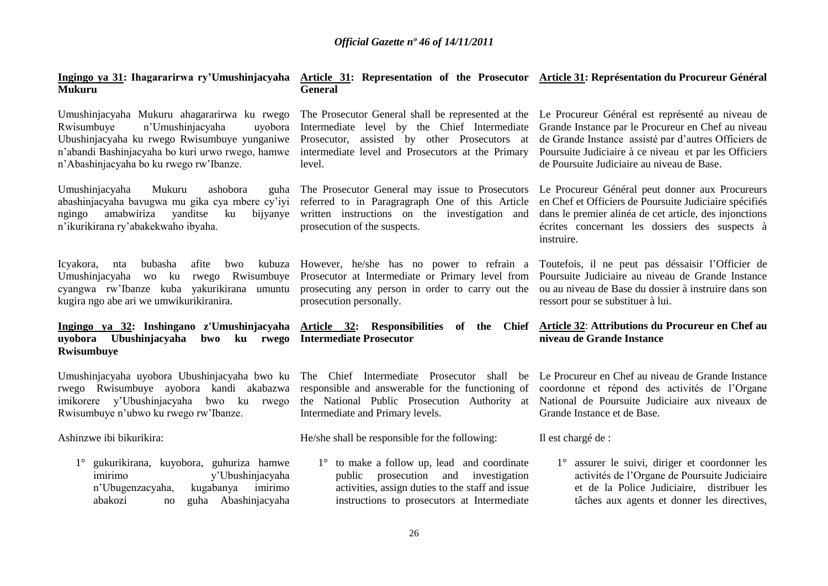# **Mukuru**

Umushinjacyaha Mukuru ahagararirwa ku rwego Rwisumbuye n"Umushinjacyaha uyobora Ubushinjacyaha ku rwego Rwisumbuye yunganiwe n"abandi Bashinjacyaha bo kuri urwo rwego, hamwe n"Abashinjacyaha bo ku rwego rw"Ibanze.

Umushinjacyaha Mukuru ashobora guha abashinjacyaha bavugwa mu gika cya mbere cy"iyi ngingo amabwiriza yanditse ku n"ikurikirana ry"abakekwaho ibyaha.

Icyakora, nta bubasha afite Umushinjacyaha wo ku rwego Rwisumbuye cyangwa rw"Ibanze kuba yakurikirana umuntu kugira ngo abe ari we umwikurikiranira.

# **uyobora Ubushinjacyaha bwo ku rwego Intermediate Prosecutor Rwisumbuye**

rwego Rwisumbuye ayobora kandi akabazwa imikorere y"Ubushinjacyaha bwo ku rwego Rwisumbuye n"ubwo ku rwego rw"Ibanze.

Ashinzwe ibi bikurikira:

1° gukurikirana, kuyobora, guhuriza hamwe imirimo y"Ubushinjacyaha n"Ubugenzacyaha, kugabanya imirimo abakozi no guha Abashinjacyaha

#### **Ingingo ya 31: Ihagararirwa ry'Umushinjacyaha Article 31: Representation of the Prosecutor Article 31: Représentation du Procureur Général General**

Intermediate level by the Chief Intermediate Prosecutor, assisted by other Prosecutors at intermediate level and Prosecutors at the Primary level.

The Prosecutor General may issue to Prosecutors referred to in Paragragraph One of this Article bijvanve written instructions on the investigation and prosecution of the suspects.

bwo kubuza However, he/she has no power to refrain a Prosecutor at Intermediate or Primary level from prosecution personally.

# **Ingingo ya 32: Inshingano z'Umushinjacyaha Article 32: Responsibilities of the Chief**

responsible and answerable for the functioning of Intermediate and Primary levels.

He/she shall be responsible for the following:

1° to make a follow up, lead and coordinate public prosecution and investigation activities, assign duties to the staff and issue instructions to prosecutors at Intermediate

The Prosecutor General shall be represented at the Le Procureur Général est représenté au niveau de Grande Instance par le Procureur en Chef au niveau de Grande Instance assisté par d"autres Officiers de Poursuite Judiciaire à ce niveau et par les Officiers de Poursuite Judiciaire au niveau de Base.

> Le Procureur Général peut donner aux Procureurs en Chef et Officiers de Poursuite Judiciaire spécifiés dans le premier alinéa de cet article, des injonctions écrites concernant les dossiers des suspects à instruire.

prosecuting any person in order to carry out the ou au niveau de Base du dossier à instruire dans son Toutefois, il ne peut pas déssaisir l"Officier de Poursuite Judiciaire au niveau de Grande Instance ressort pour se substituer à lui.

### **Article 32**: **Attributions du Procureur en Chef au niveau de Grande Instance**

Umushinjacyaha uyobora Ubushinjacyaha bwo ku The Chief Intermediate Prosecutor shall be Le Procureur en Chef au niveau de Grande Instance the National Public Prosecution Authority at National de Poursuite Judiciaire aux niveaux de coordonne et répond des activités de l"Organe Grande Instance et de Base.

Il est chargé de :

1° assurer le suivi, diriger et coordonner les activités de l"Organe de Poursuite Judiciaire et de la Police Judiciaire, distribuer les tâches aux agents et donner les directives,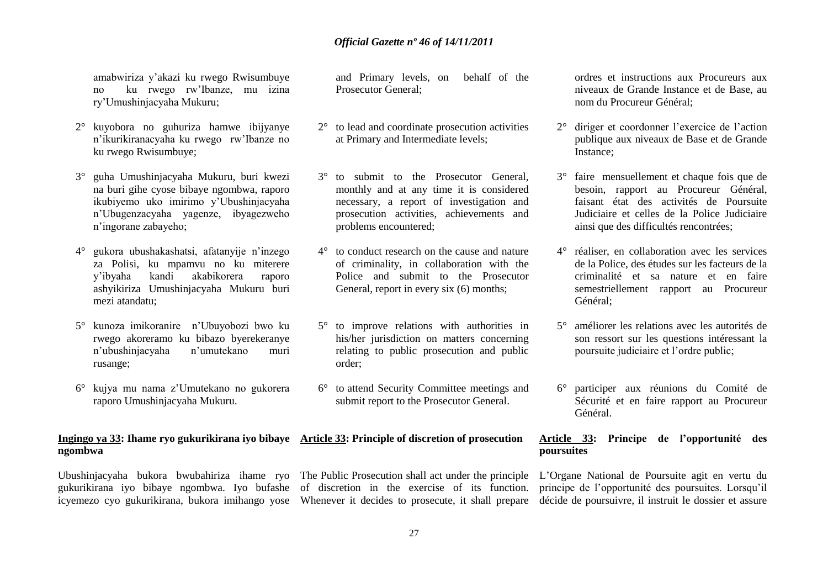amabwiriza y"akazi ku rwego Rwisumbuye no ku rwego rw"Ibanze, mu izina ry"Umushinjacyaha Mukuru;

- 2° kuyobora no guhuriza hamwe ibijyanye n"ikurikiranacyaha ku rwego rw"Ibanze no ku rwego Rwisumbuye;
- 3° guha Umushinjacyaha Mukuru, buri kwezi na buri gihe cyose bibaye ngombwa, raporo ikubiyemo uko imirimo y"Ubushinjacyaha n"Ubugenzacyaha yagenze, ibyagezweho n"ingorane zabayeho;
- 4° gukora ubushakashatsi, afatanyije n"inzego za Polisi, ku mpamvu no ku miterere y"ibyaha kandi akabikorera raporo ashyikiriza Umushinjacyaha Mukuru buri mezi atandatu;
- 5° kunoza imikoranire n"Ubuyobozi bwo ku rwego akoreramo ku bibazo byerekeranye n"ubushinjacyaha n"umutekano muri rusange;
- 6° kujya mu nama z"Umutekano no gukorera raporo Umushinjacyaha Mukuru.

# **ngombwa**

gukurikirana iyo bibaye ngombwa. Iyo bufashe of discretion in the exercise of its function.

and Primary levels, on behalf of the Prosecutor General;

- 2° to lead and coordinate prosecution activities at Primary and Intermediate levels;
- 3° to submit to the Prosecutor General, monthly and at any time it is considered necessary, a report of investigation and prosecution activities, achievements and problems encountered;
- 4° to conduct research on the cause and nature of criminality, in collaboration with the Police and submit to the Prosecutor General, report in every six  $(6)$  months;
- 5° to improve relations with authorities in his/her jurisdiction on matters concerning relating to public prosecution and public order;
- 6° to attend Security Committee meetings and submit report to the Prosecutor General.

# **Ingingo ya 33: Ihame ryo gukurikirana iyo bibaye Article 33: Principle of discretion of prosecution**

ordres et instructions aux Procureurs aux niveaux de Grande Instance et de Base, au nom du Procureur Général;

- 2° diriger et coordonner l"exercice de l"action publique aux niveaux de Base et de Grande Instance;
- 3° faire mensuellement et chaque fois que de besoin, rapport au Procureur Général, faisant état des activités de Poursuite Judiciaire et celles de la Police Judiciaire ainsi que des difficultés rencontrées;
- 4° réaliser, en collaboration avec les services de la Police, des études sur les facteurs de la criminalité et sa nature et en faire semestriellement rapport au Procureur Général;
- 5° améliorer les relations avec les autorités de son ressort sur les questions intéressant la poursuite judiciaire et l"ordre public;
- 6° participer aux réunions du Comité de Sécurité et en faire rapport au Procureur Général.

#### **Article 33: Principe de l'opportunité des poursuites**

Ubushinjacyaha bukora bwubahiriza ihame ryo The Public Prosecution shall act under the principle L"Organe National de Poursuite agit en vertu du icyemezo cyo gukurikirana, bukora imihango yose Whenever it decides to prosecute, it shall prepare décide de poursuivre, il instruit le dossier et assure principe de l"opportunité des poursuites. Lorsqu"il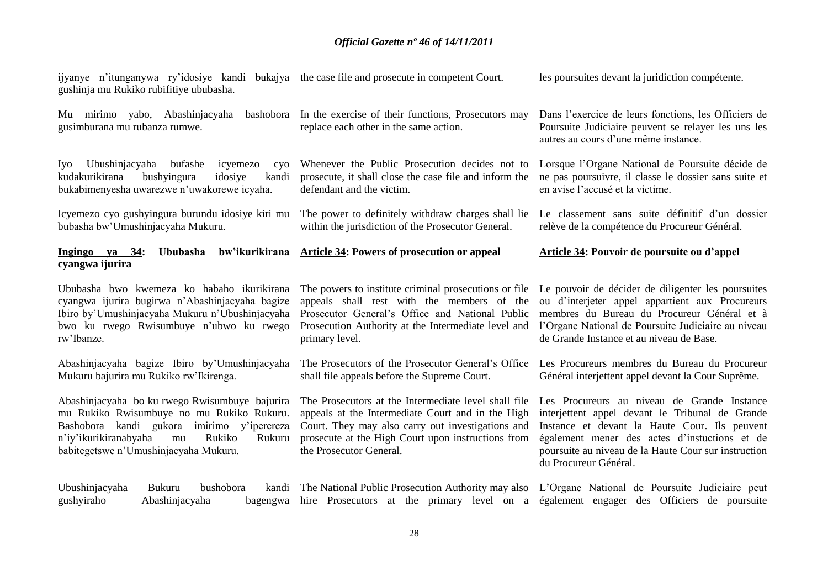| ijyanye n'itunganywa ry'idosiye kandi bukajya the case file and prosecute in competent Court.<br>gushinja mu Rukiko rubifitiye ububasha.                                                                                              |                                                                                                                                                                                                                                                 | les poursuites devant la juridiction compétente.                                                                                                                                                                                                                                                              |  |
|---------------------------------------------------------------------------------------------------------------------------------------------------------------------------------------------------------------------------------------|-------------------------------------------------------------------------------------------------------------------------------------------------------------------------------------------------------------------------------------------------|---------------------------------------------------------------------------------------------------------------------------------------------------------------------------------------------------------------------------------------------------------------------------------------------------------------|--|
| Mu mirimo yabo, Abashinjacyaha<br>bashobora<br>gusimburana mu rubanza rumwe.                                                                                                                                                          | In the exercise of their functions, Prosecutors may<br>replace each other in the same action.                                                                                                                                                   | Dans l'exercice de leurs fonctions, les Officiers de<br>Poursuite Judiciaire peuvent se relayer les uns les<br>autres au cours d'une même instance.                                                                                                                                                           |  |
| Ubushinjacyaha bufashe<br>icyemezo<br>Iyo  <br>cyo<br>kudakurikirana<br>bushyingura<br>idosiye<br>kandi<br>bukabimenyesha uwarezwe n'uwakorewe icyaha.                                                                                | Whenever the Public Prosecution decides not to<br>prosecute, it shall close the case file and inform the<br>defendant and the victim.                                                                                                           | Lorsque l'Organe National de Poursuite décide de<br>ne pas poursuivre, il classe le dossier sans suite et<br>en avise l'accusé et la victime.                                                                                                                                                                 |  |
| Icyemezo cyo gushyingura burundu idosiye kiri mu<br>bubasha bw'Umushinjacyaha Mukuru.                                                                                                                                                 | The power to definitely withdraw charges shall lie<br>within the jurisdiction of the Prosecutor General.                                                                                                                                        | Le classement sans suite définitif d'un dossier<br>relève de la compétence du Procureur Général.                                                                                                                                                                                                              |  |
| bw'ikurikirana<br><u>Ingingo ya 34</u> : Ububasha<br>cyangwa ijurira                                                                                                                                                                  | <b>Article 34: Powers of prosecution or appeal</b>                                                                                                                                                                                              | <b>Article 34: Pouvoir de poursuite ou d'appel</b>                                                                                                                                                                                                                                                            |  |
| Ububasha bwo kwemeza ko habaho ikurikirana<br>cyangwa ijurira bugirwa n'Abashinjacyaha bagize<br>Ibiro by'Umushinjacyaha Mukuru n'Ubushinjacyaha<br>bwo ku rwego Rwisumbuye n'ubwo ku rwego<br>rw'Ibanze.                             | appeals shall rest with the members of the<br>Prosecutor General's Office and National Public<br>Prosecution Authority at the Intermediate level and<br>primary level.                                                                          | The powers to institute criminal prosecutions or file Le pouvoir de décider de diligenter les poursuites<br>ou d'interjeter appel appartient aux Procureurs<br>membres du Bureau du Procureur Général et à<br>l'Organe National de Poursuite Judiciaire au niveau<br>de Grande Instance et au niveau de Base. |  |
| Abashinjacyaha bagize Ibiro by'Umushinjacyaha<br>Mukuru bajurira mu Rukiko rw'Ikirenga.                                                                                                                                               | The Prosecutors of the Prosecutor General's Office<br>shall file appeals before the Supreme Court.                                                                                                                                              | Les Procureurs membres du Bureau du Procureur<br>Général interjettent appel devant la Cour Suprême.                                                                                                                                                                                                           |  |
| Abashinjacyaha bo ku rwego Rwisumbuye bajurira<br>mu Rukiko Rwisumbuye no mu Rukiko Rukuru.<br>Bashobora kandi gukora imirimo y'iperereza<br>n'iy'ikurikiranabyaha<br>Rukiko<br>Rukuru<br>mu<br>babitegetswe n'Umushinjacyaha Mukuru. | The Prosecutors at the Intermediate level shall file<br>appeals at the Intermediate Court and in the High<br>Court. They may also carry out investigations and<br>prosecute at the High Court upon instructions from<br>the Prosecutor General. | Les Procureurs au niveau de Grande Instance<br>interjettent appel devant le Tribunal de Grande<br>Instance et devant la Haute Cour. Ils peuvent<br>également mener des actes d'instuctions et de<br>poursuite au niveau de la Haute Cour sur instruction<br>du Procureur Général.                             |  |
| Ubushinjacyaha<br>Bukuru<br>bushobora<br>kandi<br>gushyiraho<br>Abashinjacyaha<br>bagengwa                                                                                                                                            | hire Prosecutors at the primary level on a                                                                                                                                                                                                      | The National Public Prosecution Authority may also L'Organe National de Poursuite Judiciaire peut<br>également engager des Officiers de poursuite                                                                                                                                                             |  |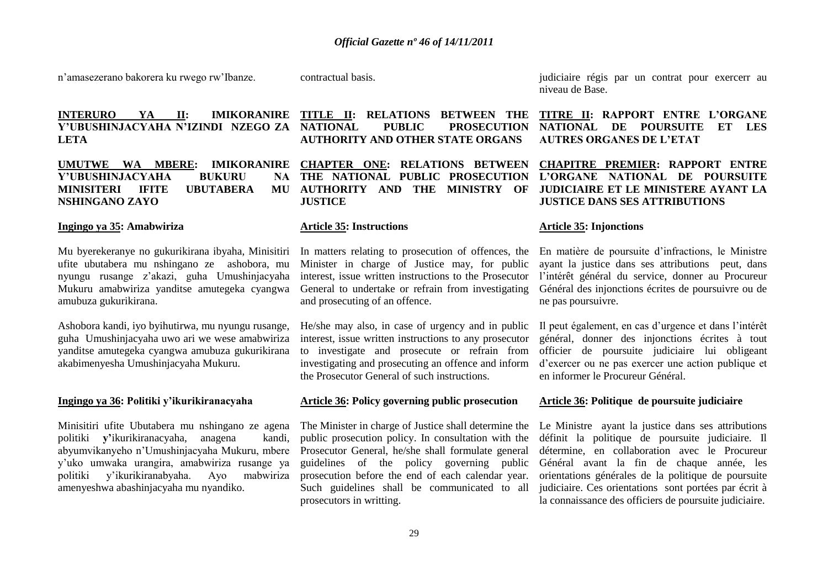n"amasezerano bakorera ku rwego rw"Ibanze.

contractual basis.

**INTERURO YA II: IMIKORANIRE Y'UBUSHINJACYAHA N'IZINDI NZEGO ZA LETA**

Y'UBUSHINJACYAHA BUKURU **MINISITERI IFITE UBUTABERA MU NSHINGANO ZAYO**

#### **Ingingo ya 35: Amabwiriza**

Mu byerekeranye no gukurikirana ibyaha, Minisitiri ufite ubutabera mu nshingano ze ashobora, mu nyungu rusange z"akazi, guha Umushinjacyaha Mukuru amabwiriza yanditse amutegeka cyangwa amubuza gukurikirana.

Ashobora kandi, iyo byihutirwa, mu nyungu rusange, guha Umushinjacyaha uwo ari we wese amabwiriza yanditse amutegeka cyangwa amubuza gukurikirana akabimenyesha Umushinjacyaha Mukuru.

#### **Ingingo ya 36: Politiki y'ikurikiranacyaha**

Minisitiri ufite Ubutabera mu nshingano ze agena politiki **y'**ikurikiranacyaha, anagena kandi, abyumvikanyeho n"Umushinjacyaha Mukuru, mbere y"uko umwaka urangira, amabwiriza rusange ya politiki y"ikurikiranabyaha. Ayo mabwiriza amenyeshwa abashinjacyaha mu nyandiko.

**TITLE II: RELATIONS BETWEEN THE** 

### PUBLIC PROSECUTION **AUTHORITY AND OTHER STATE ORGANS**

**UMUTWE WA MBERE: IMIKORANIRE CHAPTER ONE: RELATIONS BETWEEN THE NATIONAL PUBLIC PROSECUTION AUTHORITY AND THE MINISTRY OF JUSTICE** 

#### **Article 35: Instructions**

In matters relating to prosecution of offences, the Minister in charge of Justice may, for public interest, issue written instructions to the Prosecutor General to undertake or refrain from investigating and prosecuting of an offence.

He/she may also, in case of urgency and in public interest, issue written instructions to any prosecutor to investigate and prosecute or refrain from investigating and prosecuting an offence and inform the Prosecutor General of such instructions.

#### **Article 36: Policy governing public prosecution**

The Minister in charge of Justice shall determine the public prosecution policy. In consultation with the Prosecutor General, he/she shall formulate general guidelines of the policy governing public prosecution before the end of each calendar year. Such guidelines shall be communicated to all prosecutors in writting.

judiciaire régis par un contrat pour exercerr au niveau de Base.

#### **TITRE II: RAPPORT ENTRE L'ORGANE NATIONAL DE POURSUITE ET LES AUTRES ORGANES DE L'ETAT**

**CHAPITRE PREMIER: RAPPORT ENTRE L'ORGANE NATIONAL DE POURSUITE JUDICIAIRE ET LE MINISTERE AYANT LA JUSTICE DANS SES ATTRIBUTIONS**

#### **Article 35: Injonctions**

En matière de poursuite d"infractions, le Ministre ayant la justice dans ses attributions peut, dans l'intérêt général du service, donner au Procureur Général des injonctions écrites de poursuivre ou de ne pas poursuivre.

Il peut également, en cas d"urgence et dans l"intérêt général, donner des injonctions écrites à tout officier de poursuite judiciaire lui obligeant d"exercer ou ne pas exercer une action publique et en informer le Procureur Général.

#### **Article 36: Politique de poursuite judiciaire**

Le Ministre ayant la justice dans ses attributions définit la politique de poursuite judiciaire. Il détermine, en collaboration avec le Procureur Général avant la fin de chaque année, les orientations générales de la politique de poursuite judiciaire. Ces orientations sont portées par écrit à la connaissance des officiers de poursuite judiciaire.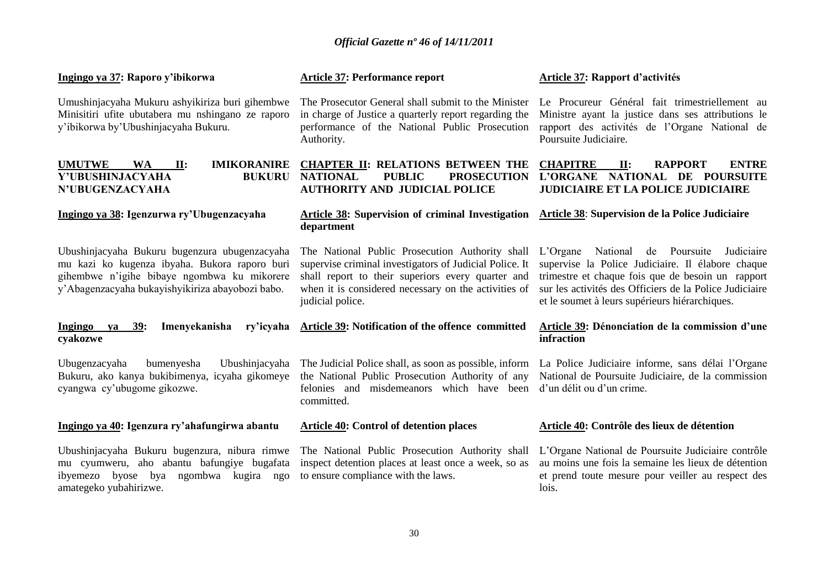#### **Ingingo ya 37: Raporo y'ibikorwa**

Umushinjacyaha Mukuru ashyikiriza buri gihembwe Minisitiri ufite ubutabera mu nshingano ze raporo y"ibikorwa by"Ubushinjacyaha Bukuru.

# **Y'UBUSHINJACYAHA BUKURU N'UBUGENZACYAHA**

#### **Ingingo ya 38: Igenzurwa ry'Ubugenzacyaha**

Ubushinjacyaha Bukuru bugenzura ubugenzacyaha mu kazi ko kugenza ibyaha. Bukora raporo buri gihembwe n"igihe bibaye ngombwa ku mikorere y"Abagenzacyaha bukayishyikiriza abayobozi babo.

# **cyakozwe**

Ubugenzacyaha bumenyesha Ubushinjacyaha Bukuru, ako kanya bukibimenya, icyaha gikomeye cyangwa cy"ubugome gikozwe.

#### **Ingingo ya 40: Igenzura ry'ahafungirwa abantu**

Ubushinjacyaha Bukuru bugenzura, nibura rimwe mu cyumweru, aho abantu bafungiye bugafata ibyemezo byose bya ngombwa kugira ngo amategeko yubahirizwe.

#### **Article 37: Performance report**

The Prosecutor General shall submit to the Minister in charge of Justice a quarterly report regarding the performance of the National Public Prosecution Authority.

#### **UMUTWE WA II: IMIKORANIRE CHAPTER II: RELATIONS BETWEEN THE NATIONAL PUBLIC PROSECUTION AUTHORITY AND JUDICIAL POLICE**

#### **Article 38: Supervision of criminal Investigation Article 38**: **Supervision de la Police Judiciaire department**

The National Public Prosecution Authority shall supervise criminal investigators of Judicial Police. It shall report to their superiors every quarter and when it is considered necessary on the activities of judicial police.

# Ingingo ya 39: Imenyekanisha ry'icyaha Article 39: Notification of the offence committed

The Judicial Police shall, as soon as possible, inform the National Public Prosecution Authority of any felonies and misdemeanors which have been d'un délit ou d'un crime. committed.

#### **Article 40: Control of detention places**

The National Public Prosecution Authority shall inspect detention places at least once a week, so as to ensure compliance with the laws.

#### **Article 37: Rapport d'activités**

Le Procureur Général fait trimestriellement au Ministre ayant la justice dans ses attributions le rapport des activités de l"Organe National de Poursuite Judiciaire.

#### **CHAPITRE II: RAPPORT ENTRE L'ORGANE NATIONAL DE POURSUITE JUDICIAIRE ET LA POLICE JUDICIAIRE**

L"Organe National de Poursuite Judiciaire supervise la Police Judiciaire. Il élabore chaque trimestre et chaque fois que de besoin un rapport sur les activités des Officiers de la Police Judiciaire et le soumet à leurs supérieurs hiérarchiques.

#### **Article 39: Dénonciation de la commission d'une infraction**

La Police Judiciaire informe, sans délai l"Organe National de Poursuite Judiciaire, de la commission

#### **Article 40: Contrôle des lieux de détention**

L"Organe National de Poursuite Judiciaire contrôle au moins une fois la semaine les lieux de détention et prend toute mesure pour veiller au respect des lois.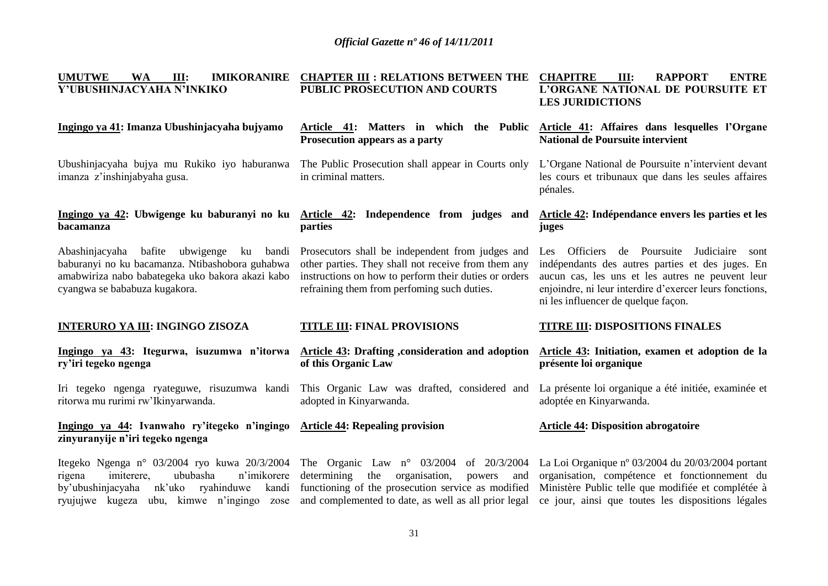| <b>UMUTWE</b><br><b>IMIKORANIRE</b><br><b>WA</b><br>III:<br>Y'UBUSHINJACYAHA N'INKIKO                                                                                         | <b>CHAPTER III : RELATIONS BETWEEN THE</b><br>PUBLIC PROSECUTION AND COURTS                                                                                                                                           | <b>ENTRE</b><br><b>CHAPITRE</b><br>Ш:<br><b>RAPPORT</b><br>L'ORGANE NATIONAL DE POURSUITE ET<br><b>LES JURIDICTIONS</b>                                                                                                                                 |
|-------------------------------------------------------------------------------------------------------------------------------------------------------------------------------|-----------------------------------------------------------------------------------------------------------------------------------------------------------------------------------------------------------------------|---------------------------------------------------------------------------------------------------------------------------------------------------------------------------------------------------------------------------------------------------------|
| Ingingo ya 41: Imanza Ubushinjacyaha bujyamo                                                                                                                                  | Article 41: Matters in which the Public<br>Prosecution appears as a party                                                                                                                                             | Article 41: Affaires dans lesquelles l'Organe<br><b>National de Poursuite intervient</b>                                                                                                                                                                |
| Ubushinjacyaha bujya mu Rukiko iyo haburanwa<br>imanza z'inshinjabyaha gusa.                                                                                                  | The Public Prosecution shall appear in Courts only<br>in criminal matters.                                                                                                                                            | L'Organe National de Poursuite n'intervient devant<br>les cours et tribunaux que dans les seules affaires<br>pénales.                                                                                                                                   |
| Ingingo ya 42: Ubwigenge ku baburanyi no ku Article 42: Independence from judges and<br>bacamanza                                                                             | parties                                                                                                                                                                                                               | Article 42: Indépendance envers les parties et les<br>juges                                                                                                                                                                                             |
| Abashinjacyaha bafite ubwigenge<br>ku<br>baburanyi no ku bacamanza. Ntibashobora guhabwa<br>amabwiriza nabo babategeka uko bakora akazi kabo<br>cyangwa se bababuza kugakora. | bandi Prosecutors shall be independent from judges and<br>other parties. They shall not receive from them any<br>instructions on how to perform their duties or orders<br>refraining them from perfoming such duties. | Les Officiers de Poursuite Judiciaire<br>sont<br>indépendants des autres parties et des juges. En<br>aucun cas, les uns et les autres ne peuvent leur<br>enjoindre, ni leur interdire d'exercer leurs fonctions,<br>ni les influencer de quelque façon. |
|                                                                                                                                                                               |                                                                                                                                                                                                                       |                                                                                                                                                                                                                                                         |
| <b>INTERURO YA III: INGINGO ZISOZA</b>                                                                                                                                        | <b>TITLE III: FINAL PROVISIONS</b>                                                                                                                                                                                    | <b>TITRE III: DISPOSITIONS FINALES</b>                                                                                                                                                                                                                  |
| Ingingo ya 43: Itegurwa, isuzumwa n'itorwa<br>ry'iri tegeko ngenga                                                                                                            | Article 43: Drafting , consideration and adoption<br>of this Organic Law                                                                                                                                              | Article 43: Initiation, examen et adoption de la<br>présente loi organique                                                                                                                                                                              |
| Iri tegeko ngenga ryateguwe, risuzumwa kandi<br>ritorwa mu rurimi rw'Ikinyarwanda.                                                                                            | This Organic Law was drafted, considered and<br>adopted in Kinyarwanda.                                                                                                                                               | La présente loi organique a été initiée, examinée et<br>adoptée en Kinyarwanda.                                                                                                                                                                         |
| Ingingo ya 44: Ivanwaho ry'itegeko n'ingingo<br>zinyuranyije n'iri tegeko ngenga                                                                                              | <b>Article 44: Repealing provision</b>                                                                                                                                                                                | <b>Article 44: Disposition abrogatoire</b>                                                                                                                                                                                                              |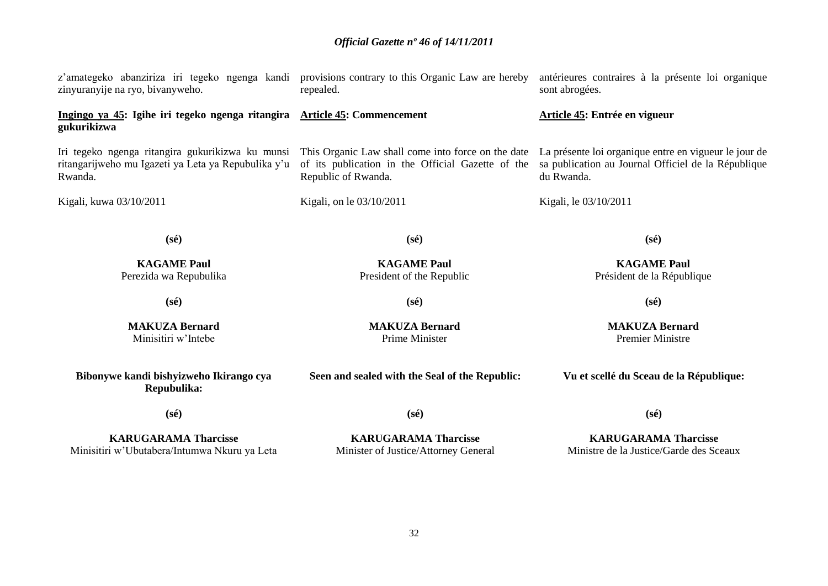| z'amategeko abanziriza iri tegeko ngenga kandi provisions contrary to this Organic Law are hereby<br>zinyuranyije na ryo, bivanyweho. | repealed.                                                                                                                      | antérieures contraires à la présente loi organique<br>sont abrogées.                                                       |
|---------------------------------------------------------------------------------------------------------------------------------------|--------------------------------------------------------------------------------------------------------------------------------|----------------------------------------------------------------------------------------------------------------------------|
| Ingingo ya 45: Igihe iri tegeko ngenga ritangira Article 45: Commencement<br>gukurikizwa                                              |                                                                                                                                | Article 45: Entrée en vigueur                                                                                              |
| Iri tegeko ngenga ritangira gukurikizwa ku munsi<br>ritangarijweho mu Igazeti ya Leta ya Repubulika y'u<br>Rwanda.                    | This Organic Law shall come into force on the date<br>of its publication in the Official Gazette of the<br>Republic of Rwanda. | La présente loi organique entre en vigueur le jour de<br>sa publication au Journal Officiel de la République<br>du Rwanda. |
| Kigali, kuwa 03/10/2011                                                                                                               | Kigali, on le 03/10/2011                                                                                                       | Kigali, le 03/10/2011                                                                                                      |
| $(s\acute{e})$                                                                                                                        | $(s\acute{e})$                                                                                                                 | $(s\acute{e})$                                                                                                             |
| <b>KAGAME Paul</b><br>Perezida wa Repubulika                                                                                          | <b>KAGAME Paul</b><br>President of the Republic                                                                                | <b>KAGAME Paul</b><br>Président de la République                                                                           |
| $(s\acute{e})$                                                                                                                        | $(s\acute{e})$                                                                                                                 | $(s\acute{e})$                                                                                                             |
| <b>MAKUZA Bernard</b><br>Minisitiri w'Intebe                                                                                          | <b>MAKUZA Bernard</b><br>Prime Minister                                                                                        | <b>MAKUZA Bernard</b><br><b>Premier Ministre</b>                                                                           |
| Bibonywe kandi bishyizweho Ikirango cya<br>Repubulika:                                                                                | Seen and sealed with the Seal of the Republic:                                                                                 | Vu et scellé du Sceau de la République:                                                                                    |
| $(s\acute{e})$                                                                                                                        | $(s\acute{e})$                                                                                                                 | $(s\acute{e})$                                                                                                             |
| <b>KARUGARAMA Tharcisse</b><br>Minisitiri w'Ubutabera/Intumwa Nkuru ya Leta                                                           | <b>KARUGARAMA Tharcisse</b><br>Minister of Justice/Attorney General                                                            | <b>KARUGARAMA Tharcisse</b><br>Ministre de la Justice/Garde des Sceaux                                                     |
|                                                                                                                                       |                                                                                                                                |                                                                                                                            |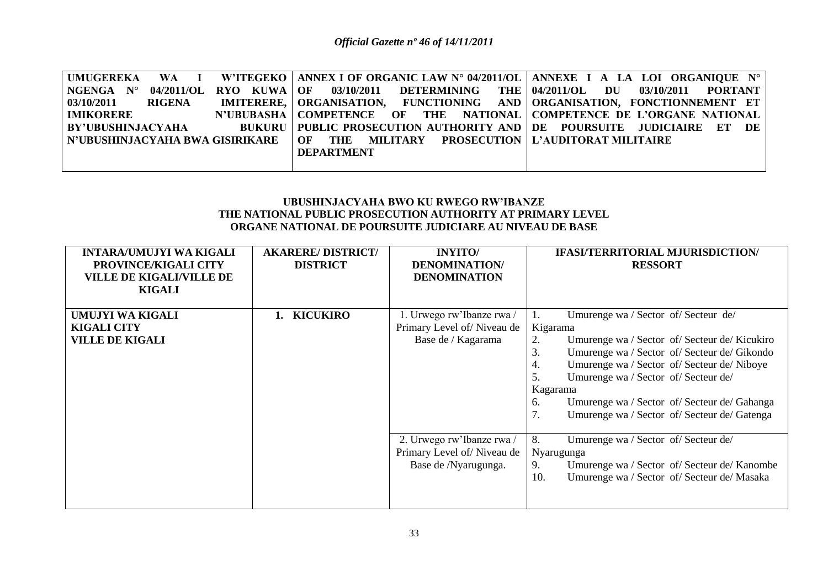|                      | UMUGEREKA WA I W'ITEGEKO ANNEXIOF ORGANIC LAW N° 04/2011/OL ANNEXE I A LA LOI ORGANIQUE N°              |  |
|----------------------|---------------------------------------------------------------------------------------------------------|--|
| $NGENGA$ $N^{\circ}$ | 04/2011/OL RYO KUWA OF 03/10/2011 DETERMINING THE 04/2011/OL DU 03/10/2011 PORTANT                      |  |
| 03/10/2011 RIGENA    | IMITERERE,   ORGANISATION, FUNCTIONING AND   ORGANISATION, FONCTIONNEMENT ET                            |  |
| <b>IMIKORERE</b>     | N'UBUBASHA   COMPETENCE OF THE NATIONAL   COMPETENCE DE L'ORGANE NATIONAL                               |  |
|                      | BY'UBUSHINJACYAHA     BUKURU   PUBLIC PROSECUTION AUTHORITY AND   DE POURSUITE JUDICIAIRE ET DE         |  |
|                      | N'UBUSHINJACYAHA BWA GISIRIKARE      OF      THE      MILITARY      PROSECUTION   L'AUDITORAT MILITAIRE |  |
|                      | <b>DEPARTMENT</b>                                                                                       |  |
|                      |                                                                                                         |  |

### **UBUSHINJACYAHA BWO KU RWEGO RW'IBANZE THE NATIONAL PUBLIC PROSECUTION AUTHORITY AT PRIMARY LEVEL ORGANE NATIONAL DE POURSUITE JUDICIARE AU NIVEAU DE BASE**

| <b>INTARA/UMUJYI WA KIGALI</b><br>PROVINCE/KIGALI CITY<br><b>VILLE DE KIGALI/VILLE DE</b><br><b>KIGALI</b> | <b>AKARERE/DISTRICT/</b><br><b>DISTRICT</b> | <b>INYITO</b><br><b>DENOMINATION</b><br><b>DENOMINATION</b>                     | <b>IFASI/TERRITORIAL MJURISDICTION/</b><br><b>RESSORT</b>                                                                                                                                                                                                                                                                                                                             |
|------------------------------------------------------------------------------------------------------------|---------------------------------------------|---------------------------------------------------------------------------------|---------------------------------------------------------------------------------------------------------------------------------------------------------------------------------------------------------------------------------------------------------------------------------------------------------------------------------------------------------------------------------------|
| UMUJYI WA KIGALI<br><b>KIGALI CITY</b><br><b>VILLE DE KIGALI</b>                                           | <b>KICUKIRO</b>                             | 1. Urwego rw'Ibanze rwa /<br>Primary Level of/Niveau de<br>Base de / Kagarama   | Umurenge wa / Sector of/ Secteur de/<br>Kigarama<br>2.<br>Umurenge wa / Sector of / Secteur de / Kicukiro<br>3.<br>Umurenge wa / Sector of/ Secteur de/ Gikondo<br>Umurenge wa / Sector of/ Secteur de/ Niboye<br>4.<br>Umurenge wa / Sector of/ Secteur de/<br>.5.<br>Kagarama<br>Umurenge wa / Sector of/ Secteur de/ Gahanga<br>6.<br>Umurenge wa / Sector of/ Secteur de/ Gatenga |
|                                                                                                            |                                             | 2. Urwego rw'Ibanze rwa /<br>Primary Level of/Niveau de<br>Base de /Nyarugunga. | 8.<br>Umurenge wa / Sector of/ Secteur de/<br>Nyarugunga<br>Umurenge wa / Sector of/ Secteur de/ Kanombe<br>9.<br>Umurenge wa / Sector of/ Secteur de/ Masaka<br>10.                                                                                                                                                                                                                  |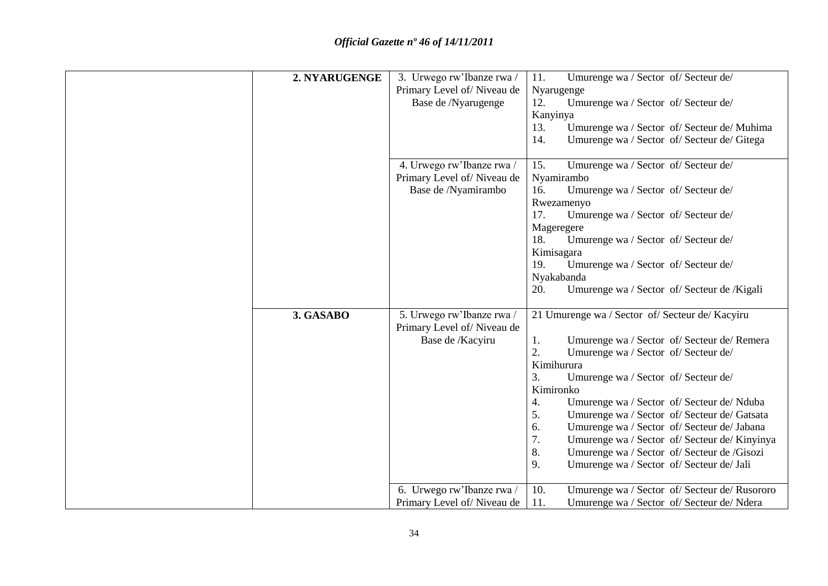| 2. NYARUGENGE | 3. Urwego rw'Ibanze rwa /                               | Umurenge wa / Sector of/ Secteur de/<br>11.          |
|---------------|---------------------------------------------------------|------------------------------------------------------|
|               | Primary Level of/Niveau de                              | Nyarugenge                                           |
|               | Base de /Nyarugenge                                     | 12.<br>Umurenge wa / Sector of/ Secteur de/          |
|               |                                                         | Kanyinya                                             |
|               |                                                         | Umurenge wa / Sector of/ Secteur de/ Muhima<br>13.   |
|               |                                                         | 14.<br>Umurenge wa / Sector of/ Secteur de/ Gitega   |
|               |                                                         |                                                      |
|               | 4. Urwego rw'Ibanze rwa /                               | Umurenge wa / Sector of/ Secteur de/<br>15.          |
|               | Primary Level of/Niveau de                              | Nyamirambo                                           |
|               | Base de /Nyamirambo                                     | Umurenge wa / Sector of/ Secteur de/<br>16.          |
|               |                                                         | Rwezamenyo                                           |
|               |                                                         | 17.<br>Umurenge wa / Sector of/ Secteur de/          |
|               |                                                         | Mageregere                                           |
|               |                                                         | Umurenge wa / Sector of/ Secteur de/<br>18.          |
|               |                                                         | Kimisagara                                           |
|               |                                                         | Umurenge wa / Sector of/ Secteur de/<br>19.          |
|               |                                                         | Nyakabanda                                           |
|               |                                                         | Umurenge wa / Sector of/ Secteur de / Kigali<br>20.  |
|               |                                                         |                                                      |
| 3. GASABO     | 5. Urwego rw'Ibanze rwa /<br>Primary Level of/Niveau de | 21 Umurenge wa / Sector of/ Secteur de/ Kacyiru      |
|               | Base de /Kacyiru                                        | Umurenge wa / Sector of/ Secteur de/ Remera<br>1.    |
|               |                                                         | 2.<br>Umurenge wa / Sector of/ Secteur de/           |
|               |                                                         | Kimihurura                                           |
|               |                                                         | 3.<br>Umurenge wa / Sector of/ Secteur de/           |
|               |                                                         | Kimironko                                            |
|               |                                                         | Umurenge wa / Sector of/ Secteur de/ Nduba<br>4.     |
|               |                                                         | 5.<br>Umurenge wa / Sector of/ Secteur de/ Gatsata   |
|               |                                                         | Umurenge wa / Sector of/ Secteur de/ Jabana<br>6.    |
|               |                                                         | 7.<br>Umurenge wa / Sector of/ Secteur de/ Kinyinya  |
|               |                                                         | 8.<br>Umurenge wa / Sector of/ Secteur de /Gisozi    |
|               |                                                         | 9.<br>Umurenge wa / Sector of/ Secteur de/ Jali      |
|               |                                                         |                                                      |
|               | 6. Urwego rw'Ibanze rwa /                               | 10.<br>Umurenge wa / Sector of/ Secteur de/ Rusororo |
|               | Primary Level of/Niveau de                              | 11.<br>Umurenge wa / Sector of/ Secteur de/ Ndera    |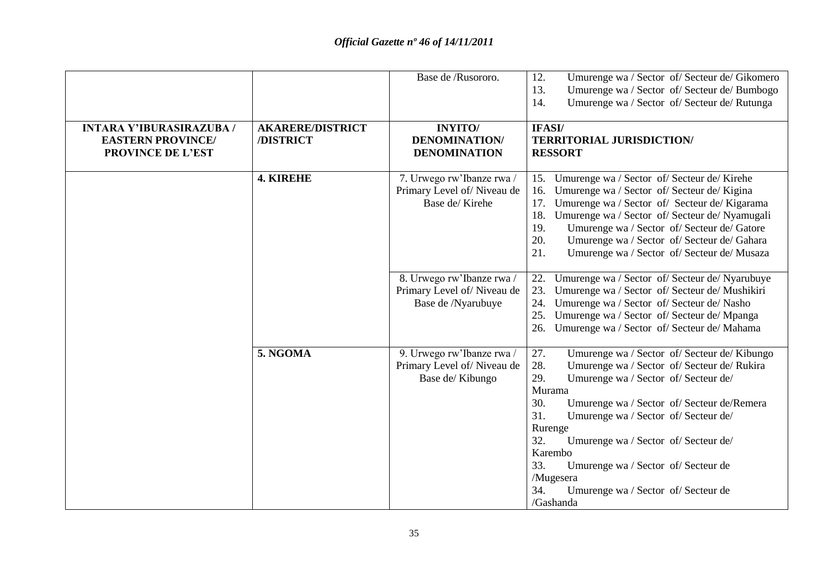|                                                                                         |                                      | Base de /Rusororo.                                                            | 12.<br>Umurenge wa / Sector of/ Secteur de/ Gikomero<br>13.<br>Umurenge wa / Sector of/ Secteur de/ Bumbogo<br>Umurenge wa / Sector of/ Secteur de/ Rutunga<br>14.                                                                                                                                                                                                                                                                                                |
|-----------------------------------------------------------------------------------------|--------------------------------------|-------------------------------------------------------------------------------|-------------------------------------------------------------------------------------------------------------------------------------------------------------------------------------------------------------------------------------------------------------------------------------------------------------------------------------------------------------------------------------------------------------------------------------------------------------------|
| <b>INTARA Y'IBURASIRAZUBA /</b><br><b>EASTERN PROVINCE/</b><br><b>PROVINCE DE L'EST</b> | <b>AKARERE/DISTRICT</b><br>/DISTRICT | <b>INYITO</b> /<br><b>DENOMINATION/</b><br><b>DENOMINATION</b>                | IFASI/<br><b>TERRITORIAL JURISDICTION/</b><br><b>RESSORT</b>                                                                                                                                                                                                                                                                                                                                                                                                      |
|                                                                                         | <b>4. KIREHE</b>                     | 7. Urwego rw'Ibanze rwa /<br>Primary Level of/Niveau de<br>Base de/Kirehe     | Umurenge wa / Sector of/ Secteur de/ Kirehe<br>15.<br>Umurenge wa / Sector of/ Secteur de/ Kigina<br>16.<br>Umurenge wa / Sector of/ Secteur de/ Kigarama<br>17.<br>18. Umurenge wa / Sector of/ Secteur de/ Nyamugali<br>19.<br>Umurenge wa / Sector of/ Secteur de/ Gatore<br>20.<br>Umurenge wa / Sector of/ Secteur de/ Gahara<br>21.<br>Umurenge wa / Sector of/ Secteur de/ Musaza                                                                          |
|                                                                                         |                                      | 8. Urwego rw'Ibanze rwa /<br>Primary Level of/Niveau de<br>Base de /Nyarubuye | Umurenge wa / Sector of/ Secteur de/ Nyarubuye<br>22.<br>Umurenge wa / Sector of/ Secteur de/ Mushikiri<br>23.<br>Umurenge wa / Sector of/ Secteur de/ Nasho<br>24.<br>Umurenge wa / Sector of/ Secteur de/ Mpanga<br>25.<br>Umurenge wa / Sector of/ Secteur de/ Mahama<br>26.                                                                                                                                                                                   |
|                                                                                         | 5. NGOMA                             | 9. Urwego rw'Ibanze rwa /<br>Primary Level of/Niveau de<br>Base de/Kibungo    | Umurenge wa / Sector of/ Secteur de/ Kibungo<br>27.<br>28.<br>Umurenge wa / Sector of/ Secteur de/ Rukira<br>29.<br>Umurenge wa / Sector of/ Secteur de/<br>Murama<br>30.<br>Umurenge wa / Sector of/ Secteur de/Remera<br>31.<br>Umurenge wa / Sector of/ Secteur de/<br>Rurenge<br>32.<br>Umurenge wa / Sector of/ Secteur de/<br>Karembo<br>33.<br>Umurenge wa / Sector of/ Secteur de<br>/Mugesera<br>34.<br>Umurenge wa / Sector of/ Secteur de<br>/Gashanda |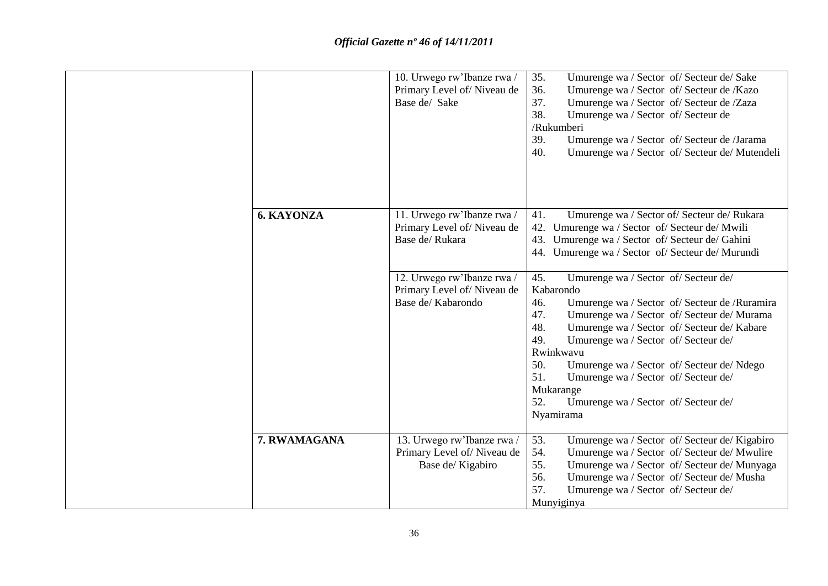|                   | 10. Urwego rw'Ibanze rwa /<br>Primary Level of/Niveau de<br>Base de/ Sake                                                                                    | Umurenge wa / Sector of/ Secteur de/ Sake<br>35.<br>Umurenge wa / Sector of/ Secteur de /Kazo<br>36.<br>37.<br>Umurenge wa / Sector of/ Secteur de /Zaza<br>38.<br>Umurenge wa / Sector of/ Secteur de<br>/Rukumberi<br>39.<br>Umurenge wa / Sector of/ Secteur de /Jarama<br>40.<br>Umurenge wa / Sector of/ Secteur de/ Mutendeli                                                                                                                                                                                                                                                                                                                                                      |
|-------------------|--------------------------------------------------------------------------------------------------------------------------------------------------------------|------------------------------------------------------------------------------------------------------------------------------------------------------------------------------------------------------------------------------------------------------------------------------------------------------------------------------------------------------------------------------------------------------------------------------------------------------------------------------------------------------------------------------------------------------------------------------------------------------------------------------------------------------------------------------------------|
| <b>6. KAYONZA</b> | 11. Urwego rw'Ibanze rwa /<br>Primary Level of/Niveau de<br>Base de/Rukara<br>12. Urwego rw'Ibanze rwa /<br>Primary Level of/Niveau de<br>Base de/ Kabarondo | Umurenge wa / Sector of/ Secteur de/ Rukara<br>41.<br>42. Umurenge wa / Sector of/ Secteur de/ Mwili<br>43.<br>Umurenge wa / Sector of/ Secteur de/ Gahini<br>44. Umurenge wa / Sector of/ Secteur de/ Murundi<br>45.<br>Umurenge wa / Sector of/ Secteur de/<br>Kabarondo<br>46.<br>Umurenge wa / Sector of/ Secteur de / Ruramira<br>47.<br>Umurenge wa / Sector of/ Secteur de/ Murama<br>48.<br>Umurenge wa / Sector of/ Secteur de/ Kabare<br>49.<br>Umurenge wa / Sector of/ Secteur de/<br>Rwinkwavu<br>50.<br>Umurenge wa / Sector of/ Secteur de/ Ndego<br>51.<br>Umurenge wa / Sector of/ Secteur de/<br>Mukarange<br>Umurenge wa / Sector of/ Secteur de/<br>52.<br>Nyamirama |
| 7. RWAMAGANA      | 13. Urwego rw'Ibanze rwa /<br>Primary Level of/Niveau de<br>Base de/Kigabiro                                                                                 | 53.<br>Umurenge wa / Sector of/ Secteur de/ Kigabiro<br>54.<br>Umurenge wa / Sector of/ Secteur de/ Mwulire<br>55.<br>Umurenge wa / Sector of/ Secteur de/ Munyaga<br>56.<br>Umurenge wa / Sector of/ Secteur de/ Musha<br>57.<br>Umurenge wa / Sector of/ Secteur de/<br>Munyiginya                                                                                                                                                                                                                                                                                                                                                                                                     |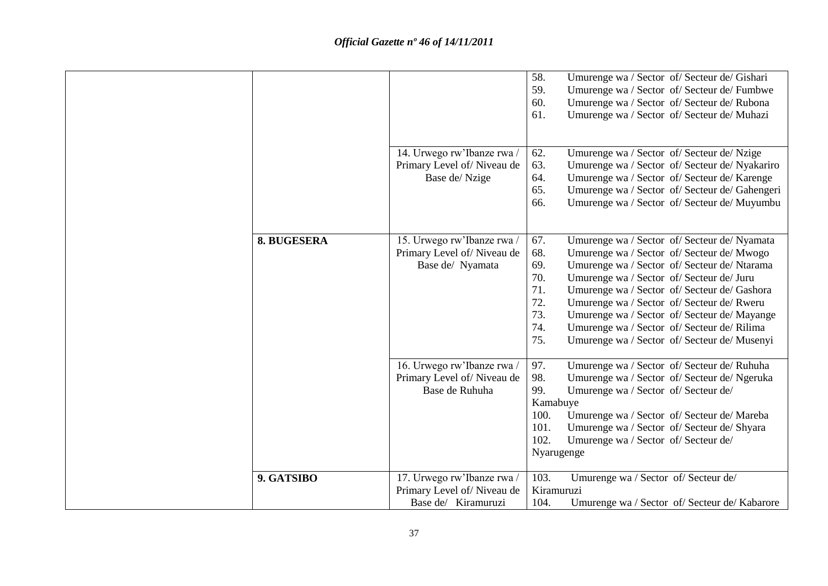|             |                            | 58.<br>Umurenge wa / Sector of/ Secteur de/ Gishari   |
|-------------|----------------------------|-------------------------------------------------------|
|             |                            | 59.<br>Umurenge wa / Sector of/ Secteur de/ Fumbwe    |
|             |                            | Umurenge wa / Sector of/ Secteur de/ Rubona<br>60.    |
|             |                            | 61.<br>Umurenge wa / Sector of/ Secteur de/ Muhazi    |
|             |                            |                                                       |
|             |                            |                                                       |
|             | 14. Urwego rw'Ibanze rwa / | Umurenge wa / Sector of/ Secteur de/ Nzige<br>62.     |
|             | Primary Level of/Niveau de | 63.<br>Umurenge wa / Sector of/ Secteur de/ Nyakariro |
|             | Base de/Nzige              | Umurenge wa / Sector of/ Secteur de/ Karenge<br>64.   |
|             |                            | 65.<br>Umurenge wa / Sector of/ Secteur de/ Gahengeri |
|             |                            | 66.<br>Umurenge wa / Sector of/ Secteur de/ Muyumbu   |
|             |                            |                                                       |
|             |                            |                                                       |
| 8. BUGESERA | 15. Urwego rw'Ibanze rwa/  | 67.<br>Umurenge wa / Sector of/ Secteur de/ Nyamata   |
|             | Primary Level of/Niveau de | 68.<br>Umurenge wa / Sector of/ Secteur de/ Mwogo     |
|             | Base de/ Nyamata           | 69.<br>Umurenge wa / Sector of/ Secteur de/ Ntarama   |
|             |                            | 70.<br>Umurenge wa / Sector of/ Secteur de/ Juru      |
|             |                            | 71.<br>Umurenge wa / Sector of/ Secteur de/ Gashora   |
|             |                            | 72.<br>Umurenge wa / Sector of/ Secteur de/ Rweru     |
|             |                            | 73.<br>Umurenge wa / Sector of/ Secteur de/ Mayange   |
|             |                            | 74.<br>Umurenge wa / Sector of/ Secteur de/ Rilima    |
|             |                            | 75.<br>Umurenge wa / Sector of/ Secteur de/ Musenyi   |
|             |                            |                                                       |
|             | 16. Urwego rw'Ibanze rwa / | 97.<br>Umurenge wa / Sector of/ Secteur de/ Ruhuha    |
|             | Primary Level of/Niveau de | 98.<br>Umurenge wa / Sector of/ Secteur de/ Ngeruka   |
|             | Base de Ruhuha             | 99.<br>Umurenge wa / Sector of/ Secteur de/           |
|             |                            | Kamabuye                                              |
|             |                            | 100.<br>Umurenge wa / Sector of/ Secteur de/ Mareba   |
|             |                            | 101.<br>Umurenge wa / Sector of/ Secteur de/ Shyara   |
|             |                            | 102.<br>Umurenge wa / Sector of/ Secteur de/          |
|             |                            | Nyarugenge                                            |
|             |                            |                                                       |
| 9. GATSIBO  | 17. Urwego rw'Ibanze rwa / | 103.<br>Umurenge wa / Sector of/ Secteur de/          |
|             | Primary Level of/Niveau de | Kiramuruzi                                            |
|             | Base de/ Kiramuruzi        |                                                       |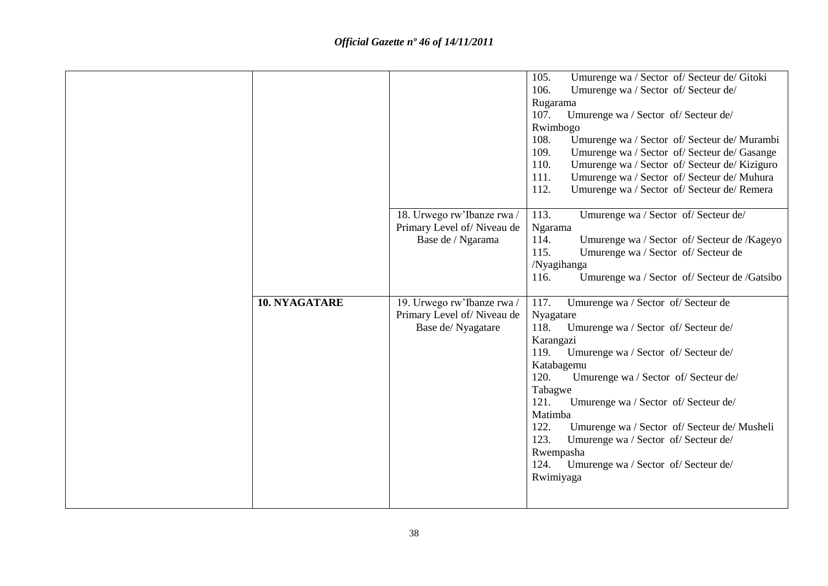|                      |                                                                               | 105.<br>Umurenge wa / Sector of/ Secteur de/ Gitoki<br>106.<br>Umurenge wa / Sector of/ Secteur de/<br>Rugarama<br>Umurenge wa / Sector of/ Secteur de/<br>107.<br>Rwimbogo<br>108.<br>Umurenge wa / Sector of/ Secteur de/ Murambi<br>109.<br>Umurenge wa / Sector of/ Secteur de/ Gasange<br>110.<br>Umurenge wa / Sector of/ Secteur de/ Kiziguro<br>111.<br>Umurenge wa / Sector of/ Secteur de/ Muhura<br>112.<br>Umurenge wa / Sector of/ Secteur de/ Remera                          |
|----------------------|-------------------------------------------------------------------------------|---------------------------------------------------------------------------------------------------------------------------------------------------------------------------------------------------------------------------------------------------------------------------------------------------------------------------------------------------------------------------------------------------------------------------------------------------------------------------------------------|
|                      | 18. Urwego rw'Ibanze rwa /<br>Primary Level of/Niveau de<br>Base de / Ngarama | 113.<br>Umurenge wa / Sector of/ Secteur de/<br>Ngarama<br>114.<br>Umurenge wa / Sector of/ Secteur de /Kageyo<br>115.<br>Umurenge wa / Sector of/ Secteur de<br>/Nyagihanga<br>116.<br>Umurenge wa / Sector of/ Secteur de /Gatsibo                                                                                                                                                                                                                                                        |
| <b>10. NYAGATARE</b> | 19. Urwego rw'Ibanze rwa /<br>Primary Level of/Niveau de<br>Base de/Nyagatare | 117.<br>Umurenge wa / Sector of/ Secteur de<br>Nyagatare<br>Umurenge wa / Sector of/ Secteur de/<br>118.<br>Karangazi<br>119.<br>Umurenge wa / Sector of/ Secteur de/<br>Katabagemu<br>Umurenge wa / Sector of/ Secteur de/<br>120.<br>Tabagwe<br>121.<br>Umurenge wa / Sector of/ Secteur de/<br>Matimba<br>122.<br>Umurenge wa / Sector of/ Secteur de/ Musheli<br>123.<br>Umurenge wa / Sector of/ Secteur de/<br>Rwempasha<br>124.<br>Umurenge wa / Sector of/ Secteur de/<br>Rwimiyaga |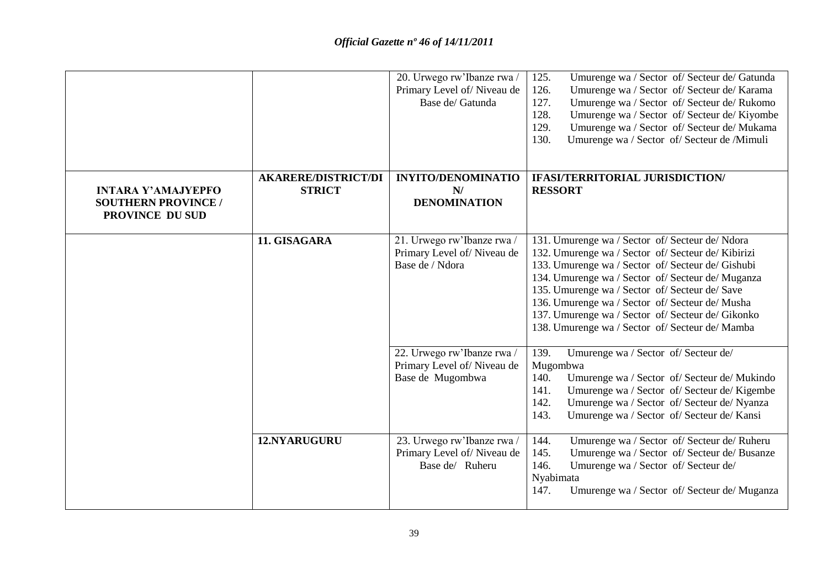|                                                                            |                                             | 20. Urwego rw'Ibanze rwa /<br>Primary Level of/Niveau de<br>Base de/ Gatunda | Umurenge wa / Sector of/ Secteur de/ Gatunda<br>125.<br>Umurenge wa / Sector of/ Secteur de/ Karama<br>126.<br>Umurenge wa / Sector of/ Secteur de/ Rukomo<br>127.<br>128.<br>Umurenge wa / Sector of/ Secteur de/ Kiyombe<br>Umurenge wa / Sector of/ Secteur de/ Mukama<br>129.<br>130.<br>Umurenge wa / Sector of/ Secteur de /Mimuli                                                                                     |
|----------------------------------------------------------------------------|---------------------------------------------|------------------------------------------------------------------------------|------------------------------------------------------------------------------------------------------------------------------------------------------------------------------------------------------------------------------------------------------------------------------------------------------------------------------------------------------------------------------------------------------------------------------|
| <b>INTARA Y'AMAJYEPFO</b><br><b>SOUTHERN PROVINCE /</b><br>PROVINCE DU SUD | <b>AKARERE/DISTRICT/DI</b><br><b>STRICT</b> | <b>INYITO/DENOMINATIO</b><br>N/<br><b>DENOMINATION</b>                       | <b>IFASI/TERRITORIAL JURISDICTION/</b><br><b>RESSORT</b>                                                                                                                                                                                                                                                                                                                                                                     |
|                                                                            | 11. GISAGARA                                | 21. Urwego rw'Ibanze rwa /<br>Primary Level of/Niveau de<br>Base de / Ndora  | 131. Umurenge wa / Sector of/ Secteur de/ Ndora<br>132. Umurenge wa / Sector of/ Secteur de/ Kibirizi<br>133. Umurenge wa / Sector of/ Secteur de/ Gishubi<br>134. Umurenge wa / Sector of/ Secteur de/ Muganza<br>135. Umurenge wa / Sector of/ Secteur de/ Save<br>136. Umurenge wa / Sector of/ Secteur de/ Musha<br>137. Umurenge wa / Sector of/ Secteur de/ Gikonko<br>138. Umurenge wa / Sector of/ Secteur de/ Mamba |
|                                                                            |                                             | 22. Urwego rw'Ibanze rwa /<br>Primary Level of/Niveau de<br>Base de Mugombwa | 139.<br>Umurenge wa / Sector of/ Secteur de/<br>Mugombwa<br>Umurenge wa / Sector of/ Secteur de/ Mukindo<br>140.<br>Umurenge wa / Sector of/ Secteur de/ Kigembe<br>141.<br>142.<br>Umurenge wa / Sector of/ Secteur de/ Nyanza<br>143.<br>Umurenge wa / Sector of/ Secteur de/ Kansi                                                                                                                                        |
|                                                                            | 12.NYARUGURU                                | 23. Urwego rw'Ibanze rwa /<br>Primary Level of/Niveau de<br>Base de/ Ruheru  | 144.<br>Umurenge wa / Sector of/ Secteur de/ Ruheru<br>Umurenge wa / Sector of/ Secteur de/ Busanze<br>145.<br>146.<br>Umurenge wa / Sector of/ Secteur de/<br>Nyabimata<br>Umurenge wa / Sector of/ Secteur de/ Muganza<br>147.                                                                                                                                                                                             |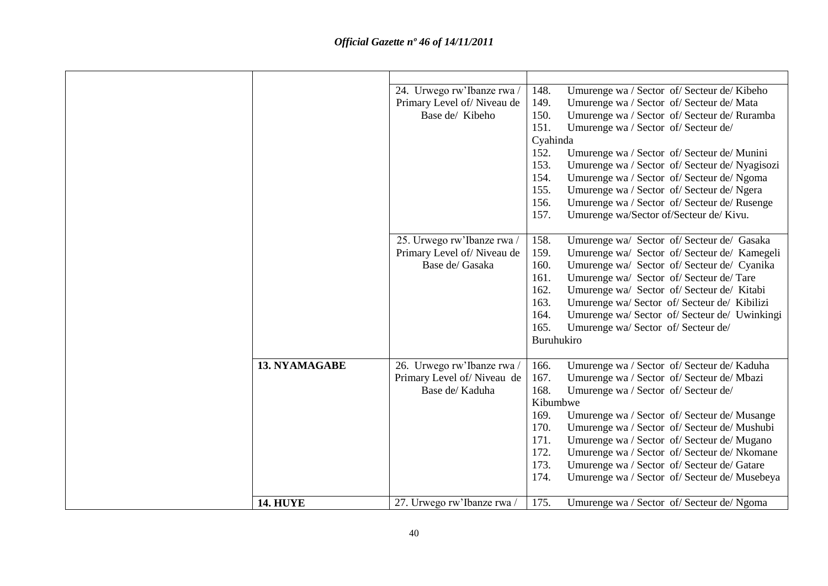|                      | 24. Urwego rw'Ibanze rwa /<br>Primary Level of/Niveau de<br>Base de/ Kibeho | 148.<br>Umurenge wa / Sector of/ Secteur de/ Kibeho<br>149.<br>Umurenge wa / Sector of/ Secteur de/ Mata<br>150.<br>Umurenge wa / Sector of/ Secteur de/ Ruramba<br>151.<br>Umurenge wa / Sector of/ Secteur de/<br>Cyahinda<br>152.<br>Umurenge wa / Sector of/ Secteur de/ Munini<br>153.<br>Umurenge wa / Sector of/ Secteur de/ Nyagisozi<br>154.<br>Umurenge wa / Sector of/ Secteur de/ Ngoma<br>155.<br>Umurenge wa / Sector of/ Secteur de/ Ngera<br>Umurenge wa / Sector of/ Secteur de/ Rusenge<br>156.<br>Umurenge wa/Sector of/Secteur de/ Kivu.<br>157. |
|----------------------|-----------------------------------------------------------------------------|----------------------------------------------------------------------------------------------------------------------------------------------------------------------------------------------------------------------------------------------------------------------------------------------------------------------------------------------------------------------------------------------------------------------------------------------------------------------------------------------------------------------------------------------------------------------|
|                      | 25. Urwego rw'Ibanze rwa /<br>Primary Level of/Niveau de<br>Base de/ Gasaka | 158.<br>Umurenge wa/ Sector of/Secteur de/ Gasaka<br>159.<br>Umurenge wa/ Sector of/Secteur de/Kamegeli<br>160.<br>Umurenge wa/ Sector of/Secteur de/ Cyanika<br>161.<br>Umurenge wa/ Sector of/Secteur de/Tare<br>162.<br>Umurenge wa/ Sector of/Secteur de/Kitabi<br>163.<br>Umurenge wa/ Sector of/ Secteur de/ Kibilizi<br>164.<br>Umurenge wa/ Sector of/ Secteur de/ Uwinkingi<br>165.<br>Umurenge wa/ Sector of/ Secteur de/<br>Buruhukiro                                                                                                                    |
| <b>13. NYAMAGABE</b> | 26. Urwego rw'Ibanze rwa /<br>Primary Level of/Niveau de<br>Base de/ Kaduha | Umurenge wa / Sector of/ Secteur de/ Kaduha<br>166.<br>167.<br>Umurenge wa / Sector of/ Secteur de/ Mbazi<br>168.<br>Umurenge wa / Sector of/ Secteur de/<br>Kibumbwe<br>169.<br>Umurenge wa / Sector of / Secteur de / Musange<br>170.<br>Umurenge wa / Sector of/ Secteur de/ Mushubi<br>171.<br>Umurenge wa / Sector of/ Secteur de/ Mugano<br>172.<br>Umurenge wa / Sector of/ Secteur de/ Nkomane<br>173.<br>Umurenge wa / Sector of/ Secteur de/ Gatare<br>174.<br>Umurenge wa / Sector of/ Secteur de/ Musebeya                                               |
| <b>14. HUYE</b>      | 27. Urwego rw'Ibanze rwa /                                                  | 175.<br>Umurenge wa / Sector of/ Secteur de/ Ngoma                                                                                                                                                                                                                                                                                                                                                                                                                                                                                                                   |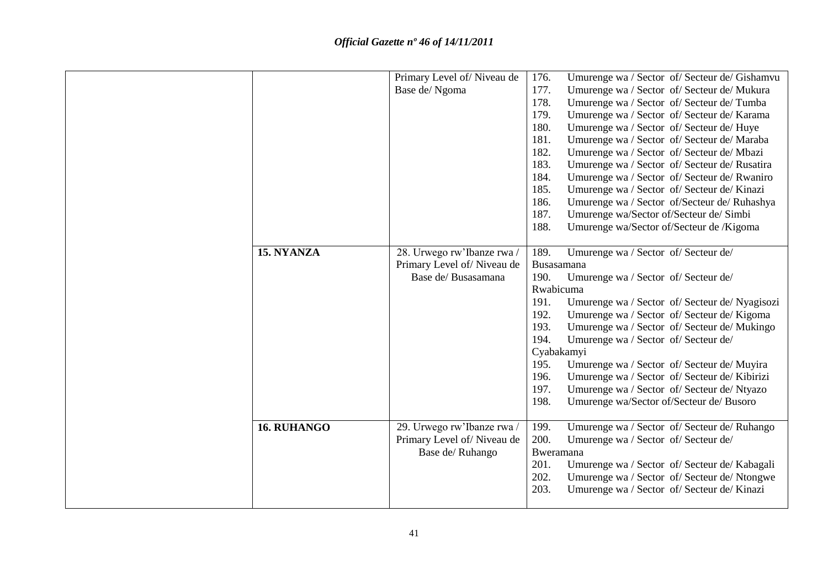|                    | Primary Level of/Niveau de<br>Base de/Ngoma | 176.<br>177.<br>178. | Umurenge wa / Sector of/ Secteur de/ Gishamvu<br>Umurenge wa / Sector of/ Secteur de/ Mukura<br>Umurenge wa / Sector of/ Secteur de/ Tumba |
|--------------------|---------------------------------------------|----------------------|--------------------------------------------------------------------------------------------------------------------------------------------|
|                    |                                             | 179.<br>180.         | Umurenge wa / Sector of/ Secteur de/ Karama<br>Umurenge wa / Sector of/ Secteur de/ Huye                                                   |
|                    |                                             | 181.<br>182.         | Umurenge wa / Sector of/ Secteur de/ Maraba                                                                                                |
|                    |                                             | 183.                 | Umurenge wa / Sector of/ Secteur de/ Mbazi<br>Umurenge wa / Sector of/ Secteur de/ Rusatira                                                |
|                    |                                             | 184.                 | Umurenge wa / Sector of/ Secteur de/ Rwaniro                                                                                               |
|                    |                                             | 185.                 | Umurenge wa / Sector of/ Secteur de/ Kinazi                                                                                                |
|                    |                                             | 186.<br>187.         | Umurenge wa / Sector of/Secteur de/ Ruhashya                                                                                               |
|                    |                                             | 188.                 | Umurenge wa/Sector of/Secteur de/ Simbi<br>Umurenge wa/Sector of/Secteur de /Kigoma                                                        |
|                    |                                             |                      |                                                                                                                                            |
| 15. NYANZA         | 28. Urwego rw'Ibanze rwa /                  | 189.                 | Umurenge wa / Sector of/ Secteur de/                                                                                                       |
|                    | Primary Level of/Niveau de                  | Busasamana           |                                                                                                                                            |
|                    | Base de/ Busasamana                         | 190.                 | Umurenge wa / Sector of/ Secteur de/                                                                                                       |
|                    |                                             | Rwabicuma            |                                                                                                                                            |
|                    |                                             | 191.                 | Umurenge wa / Sector of/ Secteur de/ Nyagisozi                                                                                             |
|                    |                                             | 192.<br>193.         | Umurenge wa / Sector of/ Secteur de/ Kigoma                                                                                                |
|                    |                                             | 194.                 | Umurenge wa / Sector of/ Secteur de/ Mukingo<br>Umurenge wa / Sector of/ Secteur de/                                                       |
|                    |                                             | Cyabakamyi           |                                                                                                                                            |
|                    |                                             | 195.                 | Umurenge wa / Sector of/ Secteur de/ Muyira                                                                                                |
|                    |                                             | 196.                 | Umurenge wa / Sector of/ Secteur de/ Kibirizi                                                                                              |
|                    |                                             | 197.                 | Umurenge wa / Sector of/ Secteur de/ Ntyazo                                                                                                |
|                    |                                             | 198.                 | Umurenge wa/Sector of/Secteur de/ Busoro                                                                                                   |
| <b>16. RUHANGO</b> | 29. Urwego rw'Ibanze rwa /                  | 199.                 | Umurenge wa / Sector of/ Secteur de/ Ruhango                                                                                               |
|                    | Primary Level of/Niveau de                  | 200.                 | Umurenge wa / Sector of/ Secteur de/                                                                                                       |
|                    | Base de/ Ruhango                            | Bweramana            |                                                                                                                                            |
|                    |                                             | 201.                 | Umurenge wa / Sector of/ Secteur de/ Kabagali                                                                                              |
|                    |                                             | 202.                 | Umurenge wa / Sector of/ Secteur de/ Ntongwe                                                                                               |
|                    |                                             | 203.                 | Umurenge wa / Sector of/ Secteur de/ Kinazi                                                                                                |
|                    |                                             |                      |                                                                                                                                            |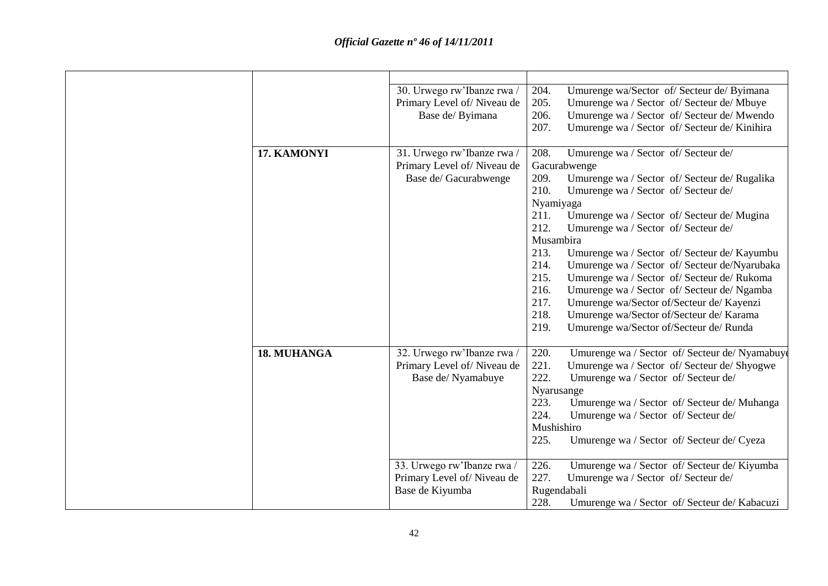|             | 30. Urwego rw'Ibanze rwa / | 204.         | Umurenge wa/Sector of/ Secteur de/ Byimana     |
|-------------|----------------------------|--------------|------------------------------------------------|
|             | Primary Level of/Niveau de | 205.         | Umurenge wa / Sector of/ Secteur de/ Mbuye     |
|             | Base de/ Byimana           | 206.         | Umurenge wa / Sector of/ Secteur de/ Mwendo    |
|             |                            | 207.         | Umurenge wa / Sector of/ Secteur de/ Kinihira  |
|             |                            |              |                                                |
| 17. KAMONYI | 31. Urwego rw'Ibanze rwa/  | 208.         | Umurenge wa / Sector of/ Secteur de/           |
|             | Primary Level of/Niveau de | Gacurabwenge |                                                |
|             | Base de/ Gacurabwenge      | 209.         | Umurenge wa / Sector of/ Secteur de/ Rugalika  |
|             |                            | 210.         | Umurenge wa / Sector of/ Secteur de/           |
|             |                            | Nyamiyaga    |                                                |
|             |                            | 211.         | Umurenge wa / Sector of/ Secteur de/ Mugina    |
|             |                            | 212.         | Umurenge wa / Sector of/ Secteur de/           |
|             |                            | Musambira    |                                                |
|             |                            | 213.         | Umurenge wa / Sector of/ Secteur de/ Kayumbu   |
|             |                            | 214.         | Umurenge wa / Sector of/ Secteur de/Nyarubaka  |
|             |                            | 215.         | Umurenge wa / Sector of/ Secteur de/ Rukoma    |
|             |                            | 216.         | Umurenge wa / Sector of/ Secteur de/ Ngamba    |
|             |                            | 217.         | Umurenge wa/Sector of/Secteur de/ Kayenzi      |
|             |                            | 218.         | Umurenge wa/Sector of/Secteur de/ Karama       |
|             |                            | 219.         | Umurenge wa/Sector of/Secteur de/ Runda        |
|             |                            |              |                                                |
| 18. MUHANGA | 32. Urwego rw'Ibanze rwa / | 220.         | Umurenge wa / Sector of/ Secteur de/ Nyamabuyo |
|             | Primary Level of/Niveau de | 221.         | Umurenge wa / Sector of/ Secteur de/ Shyogwe   |
|             | Base de/ Nyamabuye         | 222.         | Umurenge wa / Sector of/ Secteur de/           |
|             |                            | Nyarusange   |                                                |
|             |                            | 223.         | Umurenge wa / Sector of/ Secteur de/ Muhanga   |
|             |                            | 224.         | Umurenge wa / Sector of/ Secteur de/           |
|             |                            | Mushishiro   |                                                |
|             |                            | 225.         | Umurenge wa / Sector of/ Secteur de/ Cyeza     |
|             |                            |              |                                                |
|             | 33. Urwego rw'Ibanze rwa / | 226.         | Umurenge wa / Sector of/ Secteur de/ Kiyumba   |
|             | Primary Level of/Niveau de | 227.         | Umurenge wa / Sector of/ Secteur de/           |
|             | Base de Kiyumba            | Rugendabali  |                                                |
|             |                            | 228.         | Umurenge wa / Sector of/ Secteur de/ Kabacuzi  |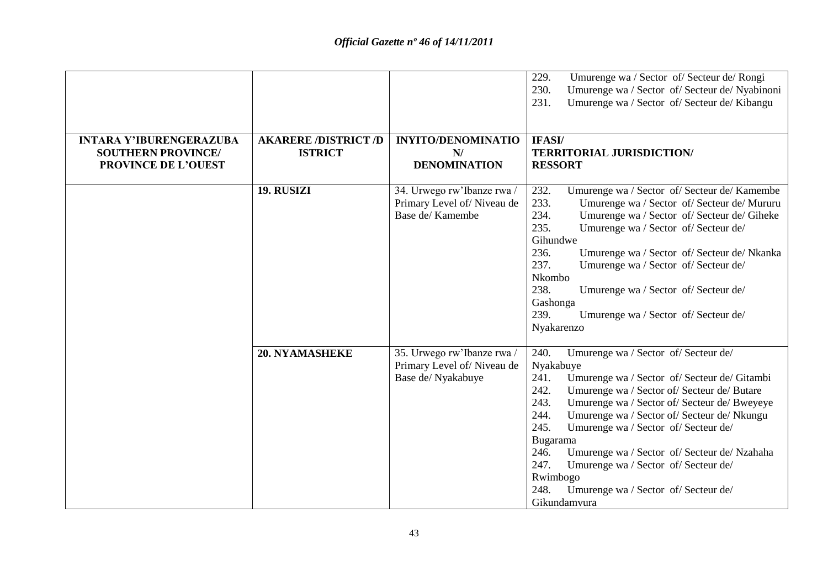|                                                             |                                               |                                                                                | 229.<br>Umurenge wa / Sector of/ Secteur de/ Rongi<br>230.<br>Umurenge wa / Sector of/ Secteur de/ Nyabinoni<br>Umurenge wa / Sector of/ Secteur de/ Kibangu<br>231.                                                                                                                                                                                                                                                                                                                                                                    |
|-------------------------------------------------------------|-----------------------------------------------|--------------------------------------------------------------------------------|-----------------------------------------------------------------------------------------------------------------------------------------------------------------------------------------------------------------------------------------------------------------------------------------------------------------------------------------------------------------------------------------------------------------------------------------------------------------------------------------------------------------------------------------|
| <b>INTARA Y'IBURENGERAZUBA</b><br><b>SOUTHERN PROVINCE/</b> | <b>AKARERE /DISTRICT /D</b><br><b>ISTRICT</b> | <b>INYITO/DENOMINATIO</b><br>N/                                                | IFASI/<br><b>TERRITORIAL JURISDICTION/</b>                                                                                                                                                                                                                                                                                                                                                                                                                                                                                              |
| PROVINCE DE L'OUEST                                         |                                               | <b>DENOMINATION</b>                                                            | <b>RESSORT</b>                                                                                                                                                                                                                                                                                                                                                                                                                                                                                                                          |
|                                                             | 19. RUSIZI                                    | 34. Urwego rw'Ibanze rwa /<br>Primary Level of/Niveau de<br>Base de/Kamembe    | 232.<br>Umurenge wa / Sector of/ Secteur de/ Kamembe<br>233.<br>Umurenge wa / Sector of/ Secteur de/ Mururu<br>234.<br>Umurenge wa / Sector of/ Secteur de/ Giheke<br>235.<br>Umurenge wa / Sector of/ Secteur de/<br>Gihundwe<br>236.<br>Umurenge wa / Sector of/ Secteur de/ Nkanka<br>237.<br>Umurenge wa / Sector of/ Secteur de/<br>Nkombo<br>238.<br>Umurenge wa / Sector of/ Secteur de/<br>Gashonga<br>239.<br>Umurenge wa / Sector of/ Secteur de/<br>Nyakarenzo                                                               |
|                                                             | <b>20. NYAMASHEKE</b>                         | 35. Urwego rw'Ibanze rwa /<br>Primary Level of/Niveau de<br>Base de/ Nyakabuye | 240.<br>Umurenge wa / Sector of/ Secteur de/<br>Nyakabuye<br>Umurenge wa / Sector of/ Secteur de/ Gitambi<br>241.<br>242.<br>Umurenge wa / Sector of/ Secteur de/ Butare<br>243.<br>Umurenge wa / Sector of/ Secteur de/ Bweyeye<br>244.<br>Umurenge wa / Sector of/ Secteur de/ Nkungu<br>245.<br>Umurenge wa / Sector of/ Secteur de/<br>Bugarama<br>246.<br>Umurenge wa / Sector of/ Secteur de/ Nzahaha<br>247.<br>Umurenge wa / Sector of/ Secteur de/<br>Rwimbogo<br>248.<br>Umurenge wa / Sector of/ Secteur de/<br>Gikundamvura |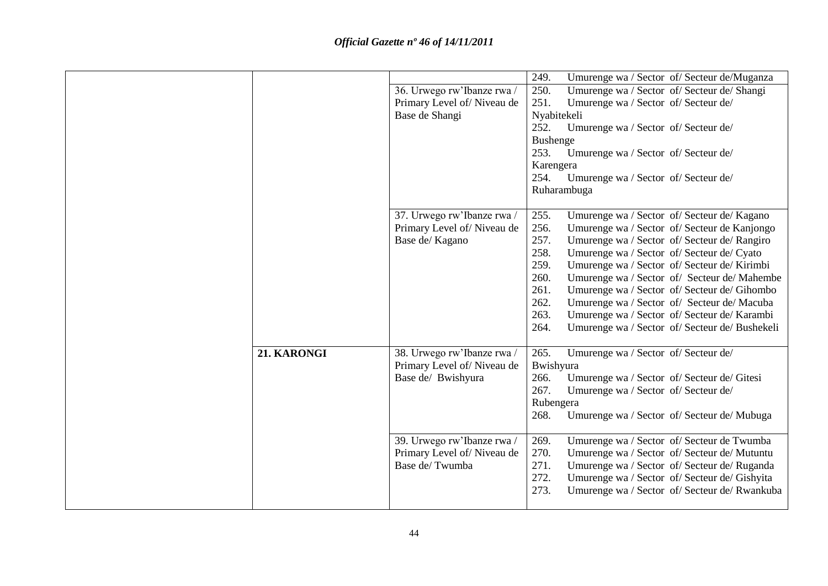|             | 36. Urwego rw'Ibanze rwa /<br>Primary Level of/Niveau de<br>Base de Shangi                                                                 | 249.<br>Umurenge wa / Sector of/ Secteur de/Muganza<br>250.<br>Umurenge wa / Sector of/ Secteur de/ Shangi<br>251.<br>Umurenge wa / Sector of/ Secteur de/<br>Nyabitekeli<br>Umurenge wa / Sector of/ Secteur de/<br>252.<br><b>Bushenge</b><br>253.<br>Umurenge wa / Sector of/ Secteur de/<br>Karengera<br>254.<br>Umurenge wa / Sector of/ Secteur de/<br>Ruharambuga                                                                                                                                                                                                   |
|-------------|--------------------------------------------------------------------------------------------------------------------------------------------|----------------------------------------------------------------------------------------------------------------------------------------------------------------------------------------------------------------------------------------------------------------------------------------------------------------------------------------------------------------------------------------------------------------------------------------------------------------------------------------------------------------------------------------------------------------------------|
|             | 37. Urwego rw'Ibanze rwa /<br>Primary Level of/Niveau de<br>Base de/ Kagano                                                                | 255.<br>Umurenge wa / Sector of/ Secteur de/ Kagano<br>256.<br>Umurenge wa / Sector of/ Secteur de Kanjongo<br>257.<br>Umurenge wa / Sector of/ Secteur de/ Rangiro<br>258.<br>Umurenge wa / Sector of/ Secteur de/ Cyato<br>259.<br>Umurenge wa / Sector of/ Secteur de/ Kirimbi<br>260.<br>Umurenge wa / Sector of/ Secteur de/ Mahembe<br>261.<br>Umurenge wa / Sector of/ Secteur de/ Gihombo<br>262.<br>Umurenge wa / Sector of/ Secteur de/ Macuba<br>263.<br>Umurenge wa / Sector of/ Secteur de/ Karambi<br>264.<br>Umurenge wa / Sector of/ Secteur de/ Bushekeli |
| 21. KARONGI | 38. Urwego rw'Ibanze rwa /<br>Primary Level of/Niveau de<br>Base de/ Bwishyura<br>39. Urwego rw'Ibanze rwa /<br>Primary Level of/Niveau de | 265.<br>Umurenge wa / Sector of/ Secteur de/<br>Bwishyura<br>266.<br>Umurenge wa / Sector of/ Secteur de/ Gitesi<br>267.<br>Umurenge wa / Sector of/ Secteur de/<br>Rubengera<br>268.<br>Umurenge wa / Sector of/ Secteur de/ Mubuga<br>Umurenge wa / Sector of/ Secteur de Twumba<br>269.<br>270.<br>Umurenge wa / Sector of/ Secteur de/ Mutuntu                                                                                                                                                                                                                         |
|             | Base de/Twumba                                                                                                                             | 271.<br>Umurenge wa / Sector of/ Secteur de/ Ruganda<br>272.<br>Umurenge wa / Sector of/ Secteur de/ Gishyita<br>273.<br>Umurenge wa / Sector of/ Secteur de/ Rwankuba                                                                                                                                                                                                                                                                                                                                                                                                     |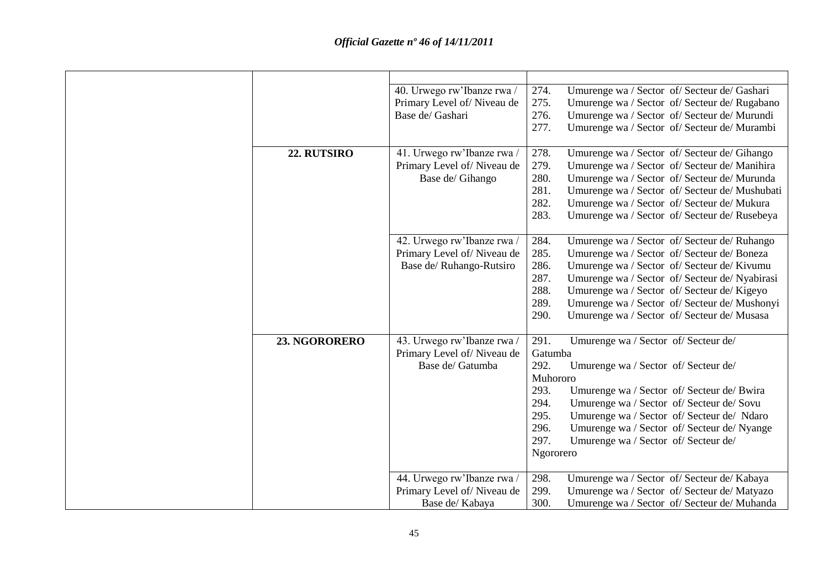|               | 40. Urwego rw'Ibanze rwa / | 274.<br>Umurenge wa / Sector of/ Secteur de/ Gashari   |
|---------------|----------------------------|--------------------------------------------------------|
|               | Primary Level of/Niveau de | 275.<br>Umurenge wa / Sector of/ Secteur de/ Rugabano  |
|               | Base de/ Gashari           | 276.<br>Umurenge wa / Sector of/ Secteur de/ Murundi   |
|               |                            | 277.<br>Umurenge wa / Sector of/ Secteur de/ Murambi   |
|               |                            |                                                        |
| 22. RUTSIRO   | 41. Urwego rw'Ibanze rwa / | 278.<br>Umurenge wa / Sector of/ Secteur de/ Gihango   |
|               | Primary Level of/Niveau de | 279.<br>Umurenge wa / Sector of/ Secteur de/ Manihira  |
|               | Base de/ Gihango           | 280.<br>Umurenge wa / Sector of/ Secteur de/ Murunda   |
|               |                            | 281.<br>Umurenge wa / Sector of/ Secteur de/ Mushubati |
|               |                            | 282.<br>Umurenge wa / Sector of/ Secteur de/ Mukura    |
|               |                            | 283.<br>Umurenge wa / Sector of/ Secteur de/ Rusebeya  |
|               |                            |                                                        |
|               | 42. Urwego rw'Ibanze rwa / | 284.<br>Umurenge wa / Sector of/ Secteur de/ Ruhango   |
|               | Primary Level of/Niveau de | 285.<br>Umurenge wa / Sector of/ Secteur de/ Boneza    |
|               | Base de/ Ruhango-Rutsiro   | 286.<br>Umurenge wa / Sector of/ Secteur de/ Kivumu    |
|               |                            | 287.<br>Umurenge wa / Sector of/ Secteur de/ Nyabirasi |
|               |                            | 288.<br>Umurenge wa / Sector of/ Secteur de/ Kigeyo    |
|               |                            | 289.<br>Umurenge wa / Sector of/ Secteur de/ Mushonyi  |
|               |                            | 290.<br>Umurenge wa / Sector of/ Secteur de/ Musasa    |
|               |                            |                                                        |
| 23. NGORORERO | 43. Urwego rw'Ibanze rwa / | 291.<br>Umurenge wa / Sector of/ Secteur de/           |
|               | Primary Level of/Niveau de | Gatumba                                                |
|               | Base de/ Gatumba           | 292.<br>Umurenge wa / Sector of/ Secteur de/           |
|               |                            | Muhororo                                               |
|               |                            | 293.<br>Umurenge wa / Sector of/ Secteur de/ Bwira     |
|               |                            | 294.<br>Umurenge wa / Sector of/ Secteur de/ Sovu      |
|               |                            | 295.<br>Umurenge wa / Sector of/ Secteur de/ Ndaro     |
|               |                            | 296.<br>Umurenge wa / Sector of/ Secteur de/ Nyange    |
|               |                            | 297.<br>Umurenge wa / Sector of/ Secteur de/           |
|               |                            | Ngororero                                              |
|               |                            |                                                        |
|               | 44. Urwego rw'Ibanze rwa / | 298.<br>Umurenge wa / Sector of/ Secteur de/ Kabaya    |
|               | Primary Level of/Niveau de | 299.<br>Umurenge wa / Sector of/ Secteur de/ Matyazo   |
|               | Base de/ Kabaya            | 300.<br>Umurenge wa / Sector of/ Secteur de/ Muhanda   |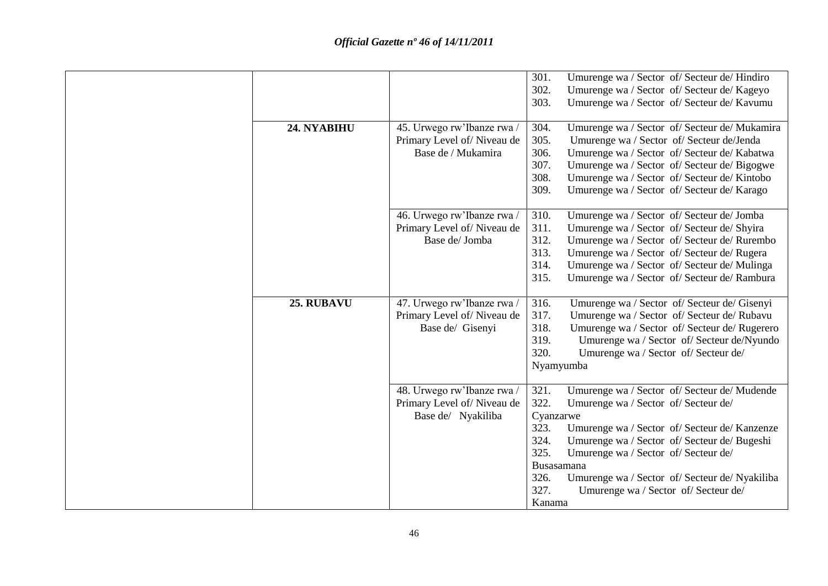|             |                            | 301.       | Umurenge wa / Sector of/ Secteur de/ Hindiro   |
|-------------|----------------------------|------------|------------------------------------------------|
|             |                            | 302.       | Umurenge wa / Sector of/ Secteur de/ Kageyo    |
|             |                            | 303.       | Umurenge wa / Sector of/ Secteur de/ Kavumu    |
|             |                            |            |                                                |
| 24. NYABIHU | 45. Urwego rw'Ibanze rwa / | 304.       | Umurenge wa / Sector of/ Secteur de/ Mukamira  |
|             | Primary Level of/Niveau de | 305.       | Umurenge wa / Sector of/ Secteur de/Jenda      |
|             | Base de / Mukamira         | 306.       | Umurenge wa / Sector of/ Secteur de/ Kabatwa   |
|             |                            | 307.       | Umurenge wa / Sector of/ Secteur de/ Bigogwe   |
|             |                            | 308.       | Umurenge wa / Sector of/ Secteur de/ Kintobo   |
|             |                            | 309.       | Umurenge wa / Sector of/ Secteur de/ Karago    |
|             |                            |            |                                                |
|             | 46. Urwego rw'Ibanze rwa / | 310.       | Umurenge wa / Sector of/ Secteur de/ Jomba     |
|             | Primary Level of/Niveau de | 311.       | Umurenge wa / Sector of/ Secteur de/ Shyira    |
|             | Base de/Jomba              | 312.       | Umurenge wa / Sector of/ Secteur de/ Rurembo   |
|             |                            | 313.       | Umurenge wa / Sector of/ Secteur de/ Rugera    |
|             |                            | 314.       | Umurenge wa / Sector of/ Secteur de/ Mulinga   |
|             |                            | 315.       | Umurenge wa / Sector of/ Secteur de/ Rambura   |
|             |                            |            |                                                |
| 25. RUBAVU  | 47. Urwego rw'Ibanze rwa / | 316.       | Umurenge wa / Sector of/ Secteur de/ Gisenyi   |
|             | Primary Level of/Niveau de | 317.       | Umurenge wa / Sector of/ Secteur de/ Rubavu    |
|             | Base de/ Gisenyi           | 318.       | Umurenge wa / Sector of/ Secteur de/ Rugerero  |
|             |                            | 319.       | Umurenge wa / Sector of/ Secteur de/Nyundo     |
|             |                            | 320.       | Umurenge wa / Sector of/ Secteur de/           |
|             |                            | Nyamyumba  |                                                |
|             |                            |            |                                                |
|             | 48. Urwego rw'Ibanze rwa / | 321.       | Umurenge wa / Sector of/ Secteur de/ Mudende   |
|             | Primary Level of/Niveau de | 322.       | Umurenge wa / Sector of/ Secteur de/           |
|             | Base de/ Nyakiliba         | Cyanzarwe  |                                                |
|             |                            | 323.       | Umurenge wa / Sector of/ Secteur de/ Kanzenze  |
|             |                            | 324.       | Umurenge wa / Sector of/ Secteur de/ Bugeshi   |
|             |                            | 325.       | Umurenge wa / Sector of/ Secteur de/           |
|             |                            | Busasamana |                                                |
|             |                            | 326.       | Umurenge wa / Sector of/ Secteur de/ Nyakiliba |
|             |                            | 327.       | Umurenge wa / Sector of/ Secteur de/           |
|             |                            | Kanama     |                                                |
|             |                            |            |                                                |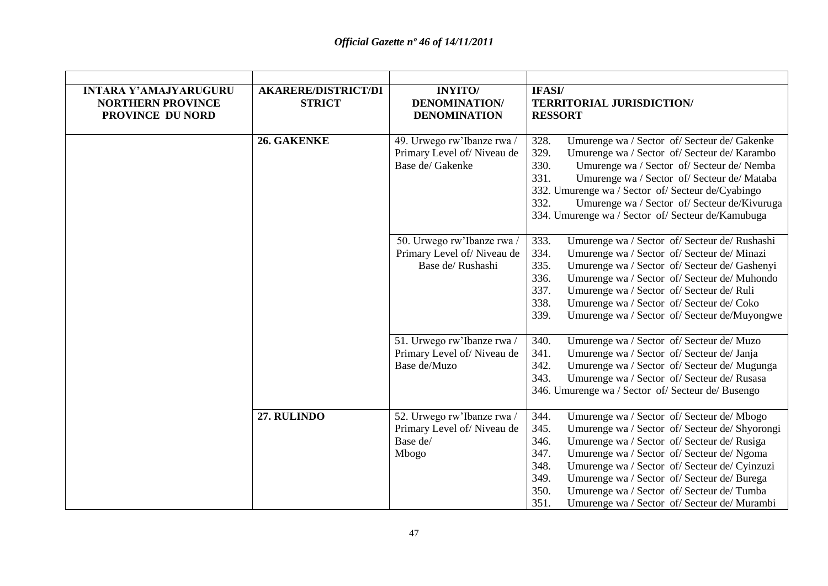| <b>INTARA Y'AMAJYARUGURU</b><br><b>NORTHERN PROVINCE</b><br>PROVINCE DU NORD | <b>AKARERE/DISTRICT/DI</b><br><b>STRICT</b> | <b>INYITO</b><br><b>DENOMINATION/</b><br><b>DENOMINATION</b>                  | IFASI/<br><b>TERRITORIAL JURISDICTION/</b><br><b>RESSORT</b>                                                                                                                                                                                                                                                                                                                                                                                            |
|------------------------------------------------------------------------------|---------------------------------------------|-------------------------------------------------------------------------------|---------------------------------------------------------------------------------------------------------------------------------------------------------------------------------------------------------------------------------------------------------------------------------------------------------------------------------------------------------------------------------------------------------------------------------------------------------|
|                                                                              | 26. GAKENKE                                 | 49. Urwego rw'Ibanze rwa /<br>Primary Level of/Niveau de<br>Base de/ Gakenke  | Umurenge wa / Sector of/ Secteur de/ Gakenke<br>328.<br>329.<br>Umurenge wa / Sector of/ Secteur de/ Karambo<br>330.<br>Umurenge wa / Sector of/ Secteur de/ Nemba<br>331.<br>Umurenge wa / Sector of/ Secteur de/ Mataba<br>332. Umurenge wa / Sector of/ Secteur de/Cyabingo<br>332.<br>Umurenge wa / Sector of/ Secteur de/Kivuruga<br>334. Umurenge wa / Sector of/ Secteur de/Kamubuga                                                             |
|                                                                              |                                             | 50. Urwego rw'Ibanze rwa /<br>Primary Level of/Niveau de<br>Base de/ Rushashi | 333.<br>Umurenge wa / Sector of/ Secteur de/ Rushashi<br>334.<br>Umurenge wa / Sector of/ Secteur de/ Minazi<br>335.<br>Umurenge wa / Sector of/ Secteur de/ Gashenyi<br>336.<br>Umurenge wa / Sector of/ Secteur de/ Muhondo<br>337.<br>Umurenge wa / Sector of/ Secteur de/ Ruli<br>338.<br>Umurenge wa / Sector of/ Secteur de/ Coko<br>339.<br>Umurenge wa / Sector of/ Secteur de/Muyongwe                                                         |
|                                                                              |                                             | 51. Urwego rw'Ibanze rwa /<br>Primary Level of/Niveau de<br>Base de/Muzo      | 340.<br>Umurenge wa / Sector of/ Secteur de/ Muzo<br>341.<br>Umurenge wa / Sector of/ Secteur de/ Janja<br>342.<br>Umurenge wa / Sector of/ Secteur de/ Mugunga<br>343.<br>Umurenge wa / Sector of/ Secteur de/ Rusasa<br>346. Umurenge wa / Sector of/ Secteur de/ Busengo                                                                                                                                                                             |
|                                                                              | 27. RULINDO                                 | 52. Urwego rw'Ibanze rwa /<br>Primary Level of/Niveau de<br>Base de/<br>Mbogo | 344.<br>Umurenge wa / Sector of/ Secteur de/ Mbogo<br>345.<br>Umurenge wa / Sector of/ Secteur de/ Shyorongi<br>346.<br>Umurenge wa / Sector of/ Secteur de/ Rusiga<br>347.<br>Umurenge wa / Sector of/ Secteur de/ Ngoma<br>348.<br>Umurenge wa / Sector of/ Secteur de/ Cyinzuzi<br>349.<br>Umurenge wa / Sector of/ Secteur de/ Burega<br>350.<br>Umurenge wa / Sector of/ Secteur de/ Tumba<br>351.<br>Umurenge wa / Sector of/ Secteur de/ Murambi |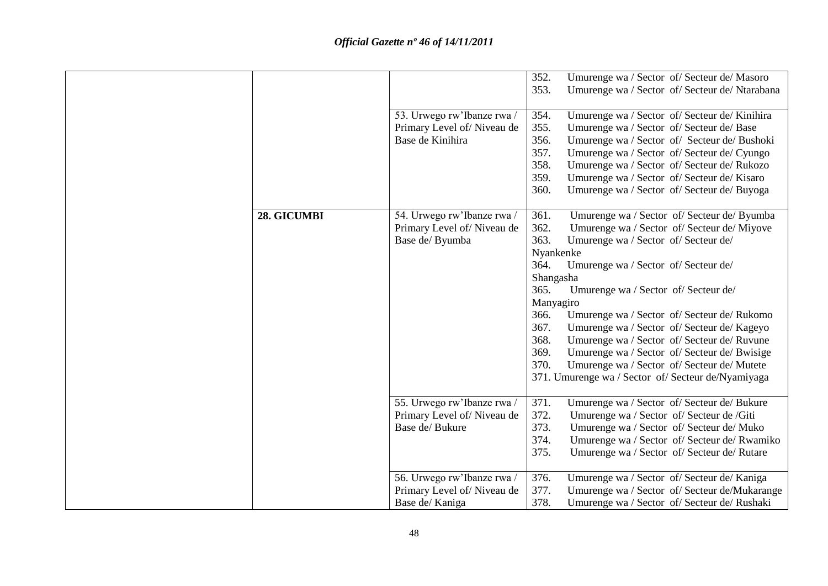|             | 53. Urwego rw'Ibanze rwa /<br>Primary Level of/Niveau de<br>Base de Kinihira | 352.<br>353.<br>354.<br>355.<br>356.<br>357.<br>358.<br>359.<br>360.                                                | Umurenge wa / Sector of/ Secteur de/ Masoro<br>Umurenge wa / Sector of/ Secteur de/ Ntarabana<br>Umurenge wa / Sector of/ Secteur de/ Kinihira<br>Umurenge wa / Sector of/ Secteur de/ Base<br>Umurenge wa / Sector of/ Secteur de/ Bushoki<br>Umurenge wa / Sector of/ Secteur de/ Cyungo<br>Umurenge wa / Sector of/ Secteur de/ Rukozo<br>Umurenge wa / Sector of/ Secteur de/ Kisaro<br>Umurenge wa / Sector of/ Secteur de/ Buyoga                                                                              |
|-------------|------------------------------------------------------------------------------|---------------------------------------------------------------------------------------------------------------------|----------------------------------------------------------------------------------------------------------------------------------------------------------------------------------------------------------------------------------------------------------------------------------------------------------------------------------------------------------------------------------------------------------------------------------------------------------------------------------------------------------------------|
| 28. GICUMBI | 54. Urwego rw'Ibanze rwa /<br>Primary Level of/Niveau de<br>Base de/ Byumba  | 361.<br>362.<br>363.<br>Nyankenke<br>364.<br>Shangasha<br>365.<br>Manyagiro<br>366.<br>367.<br>368.<br>369.<br>370. | Umurenge wa / Sector of/ Secteur de/ Byumba<br>Umurenge wa / Sector of/ Secteur de/ Miyove<br>Umurenge wa / Sector of/ Secteur de/<br>Umurenge wa / Sector of/ Secteur de/<br>Umurenge wa / Sector of/ Secteur de/<br>Umurenge wa / Sector of/ Secteur de/ Rukomo<br>Umurenge wa / Sector of/ Secteur de/ Kageyo<br>Umurenge wa / Sector of/ Secteur de/ Ruvune<br>Umurenge wa / Sector of/ Secteur de/ Bwisige<br>Umurenge wa / Sector of/ Secteur de/ Mutete<br>371. Umurenge wa / Sector of/ Secteur de/Nyamiyaga |
|             | 55. Urwego rw'Ibanze rwa /<br>Primary Level of/Niveau de<br>Base de/ Bukure  | 371.<br>372.<br>373.<br>374.<br>375.                                                                                | Umurenge wa / Sector of/ Secteur de/ Bukure<br>Umurenge wa / Sector of/ Secteur de /Giti<br>Umurenge wa / Sector of/ Secteur de/ Muko<br>Umurenge wa / Sector of/ Secteur de/ Rwamiko<br>Umurenge wa / Sector of/ Secteur de/ Rutare                                                                                                                                                                                                                                                                                 |
|             | 56. Urwego rw'Ibanze rwa /<br>Primary Level of/Niveau de<br>Base de/ Kaniga  | 376.<br>377.<br>378.                                                                                                | Umurenge wa / Sector of/ Secteur de/ Kaniga<br>Umurenge wa / Sector of/ Secteur de/Mukarange<br>Umurenge wa / Sector of/ Secteur de/ Rushaki                                                                                                                                                                                                                                                                                                                                                                         |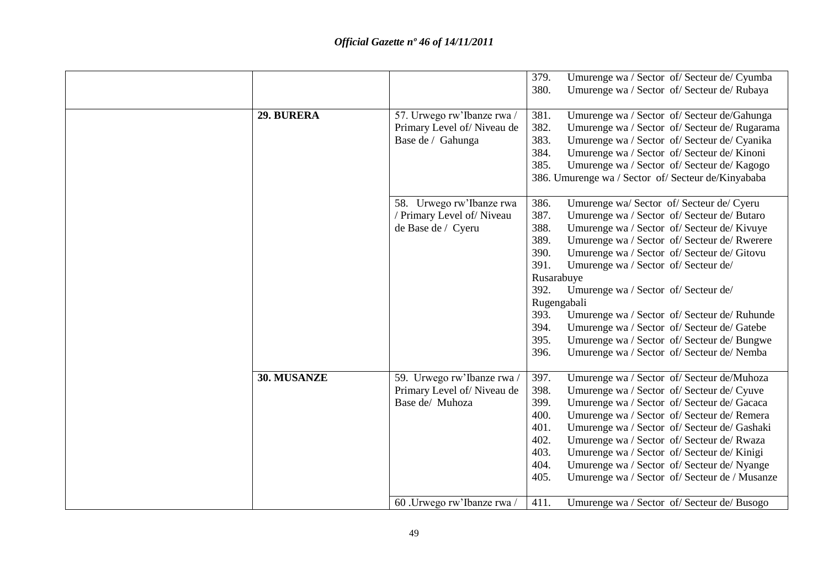| 29. BURERA  | 57. Urwego rw'Ibanze rwa /<br>Primary Level of/Niveau de<br>Base de / Gahunga                           | 379.<br>Umurenge wa / Sector of/ Secteur de/ Cyumba<br>380.<br>Umurenge wa / Sector of/ Secteur de/ Rubaya<br>381.<br>Umurenge wa / Sector of/ Secteur de/Gahunga<br>382.<br>Umurenge wa / Sector of/ Secteur de/ Rugarama<br>383.<br>Umurenge wa / Sector of/ Secteur de/ Cyanika<br>384.<br>Umurenge wa / Sector of/ Secteur de/ Kinoni<br>385.<br>Umurenge wa / Sector of/ Secteur de/ Kagogo<br>386. Umurenge wa / Sector of/ Secteur de/Kinyababa                                                                                                                                                                                  |
|-------------|---------------------------------------------------------------------------------------------------------|-----------------------------------------------------------------------------------------------------------------------------------------------------------------------------------------------------------------------------------------------------------------------------------------------------------------------------------------------------------------------------------------------------------------------------------------------------------------------------------------------------------------------------------------------------------------------------------------------------------------------------------------|
|             | 58. Urwego rw'Ibanze rwa<br>/ Primary Level of/ Niveau<br>de Base de / Cyeru                            | 386.<br>Umurenge wa/ Sector of/ Secteur de/ Cyeru<br>387.<br>Umurenge wa / Sector of/ Secteur de/ Butaro<br>388.<br>Umurenge wa / Sector of/ Secteur de/ Kivuye<br>389.<br>Umurenge wa / Sector of/ Secteur de/ Rwerere<br>390.<br>Umurenge wa / Sector of/ Secteur de/ Gitovu<br>391.<br>Umurenge wa / Sector of/ Secteur de/<br>Rusarabuye<br>392.<br>Umurenge wa / Sector of/ Secteur de/<br>Rugengabali<br>393.<br>Umurenge wa / Sector of/ Secteur de/ Ruhunde<br>394.<br>Umurenge wa / Sector of/ Secteur de/ Gatebe<br>395.<br>Umurenge wa / Sector of/ Secteur de/ Bungwe<br>396.<br>Umurenge wa / Sector of/ Secteur de/ Nemba |
| 30. MUSANZE | 59. Urwego rw'Ibanze rwa<br>Primary Level of/Niveau de<br>Base de/ Muhoza<br>60 .Urwego rw'Ibanze rwa / | Umurenge wa / Sector of/ Secteur de/Muhoza<br>397.<br>398.<br>Umurenge wa / Sector of/ Secteur de/ Cyuve<br>399.<br>Umurenge wa / Sector of/ Secteur de/ Gacaca<br>400.<br>Umurenge wa / Sector of/ Secteur de/ Remera<br>401.<br>Umurenge wa / Sector of/ Secteur de/ Gashaki<br>402.<br>Umurenge wa / Sector of/ Secteur de/ Rwaza<br>403.<br>Umurenge wa / Sector of/ Secteur de/ Kinigi<br>404.<br>Umurenge wa / Sector of/ Secteur de/ Nyange<br>405.<br>Umurenge wa / Sector of/ Secteur de / Musanze<br>Umurenge wa / Sector of/ Secteur de/ Busogo<br>411.                                                                      |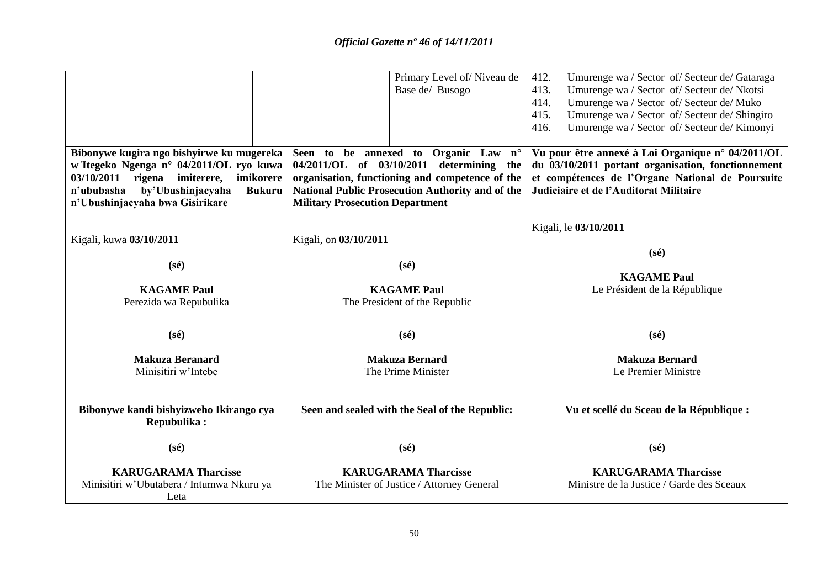|                                                                                                                                                                                                                         | Primary Level of/Niveau de<br>Base de/ Busogo                                                                                                                                                                                     | 412.<br>Umurenge wa / Sector of/ Secteur de/ Gataraga<br>Umurenge wa / Sector of/ Secteur de/ Nkotsi<br>413.<br>Umurenge wa / Sector of/ Secteur de/ Muko<br>414.<br>415.<br>Umurenge wa / Sector of/ Secteur de/ Shingiro<br>416.<br>Umurenge wa / Sector of/ Secteur de/ Kimonyi |
|-------------------------------------------------------------------------------------------------------------------------------------------------------------------------------------------------------------------------|-----------------------------------------------------------------------------------------------------------------------------------------------------------------------------------------------------------------------------------|------------------------------------------------------------------------------------------------------------------------------------------------------------------------------------------------------------------------------------------------------------------------------------|
| Bibonywe kugira ngo bishyirwe ku mugereka<br>w Itegeko Ngenga n° 04/2011/OL ryo kuwa<br>$03/10/2011$ rigena imiterere,<br>imikorere<br>n'ububasha by'Ubushinjacyaha<br><b>Bukuru</b><br>n'Ubushinjacyaha bwa Gisirikare | Seen to be annexed to Organic Law n°<br>04/2011/OL of 03/10/2011 determining the<br>organisation, functioning and competence of the<br>National Public Prosecution Authority and of the<br><b>Military Prosecution Department</b> | Vu pour être annexé à Loi Organique n° 04/2011/OL<br>du 03/10/2011 portant organisation, fonctionnement<br>et compétences de l'Organe National de Poursuite<br>Judiciaire et de l'Auditorat Militaire                                                                              |
| Kigali, kuwa 03/10/2011<br>$(s\acute{e})$                                                                                                                                                                               | Kigali, on 03/10/2011<br>$(s\acute{e})$                                                                                                                                                                                           | Kigali, le 03/10/2011<br>$(s\acute{e})$                                                                                                                                                                                                                                            |
| <b>KAGAME Paul</b><br>Perezida wa Repubulika                                                                                                                                                                            | <b>KAGAME Paul</b><br>The President of the Republic                                                                                                                                                                               | <b>KAGAME Paul</b><br>Le Président de la République                                                                                                                                                                                                                                |
| $(s\acute{e})$                                                                                                                                                                                                          | $(s\acute{e})$                                                                                                                                                                                                                    | $(s\acute{e})$                                                                                                                                                                                                                                                                     |
| <b>Makuza Beranard</b><br>Minisitiri w'Intebe                                                                                                                                                                           | <b>Makuza Bernard</b><br>The Prime Minister                                                                                                                                                                                       | <b>Makuza Bernard</b><br>Le Premier Ministre                                                                                                                                                                                                                                       |
| Bibonywe kandi bishyizweho Ikirango cya<br>Repubulika:                                                                                                                                                                  | Seen and sealed with the Seal of the Republic:                                                                                                                                                                                    | Vu et scellé du Sceau de la République :                                                                                                                                                                                                                                           |
| $(s\acute{e})$                                                                                                                                                                                                          | $(s\acute{e})$                                                                                                                                                                                                                    | $(s\acute{e})$                                                                                                                                                                                                                                                                     |
| <b>KARUGARAMA Tharcisse</b><br>Minisitiri w'Ubutabera / Intumwa Nkuru ya<br>Leta                                                                                                                                        | <b>KARUGARAMA Tharcisse</b><br>The Minister of Justice / Attorney General                                                                                                                                                         | <b>KARUGARAMA Tharcisse</b><br>Ministre de la Justice / Garde des Sceaux                                                                                                                                                                                                           |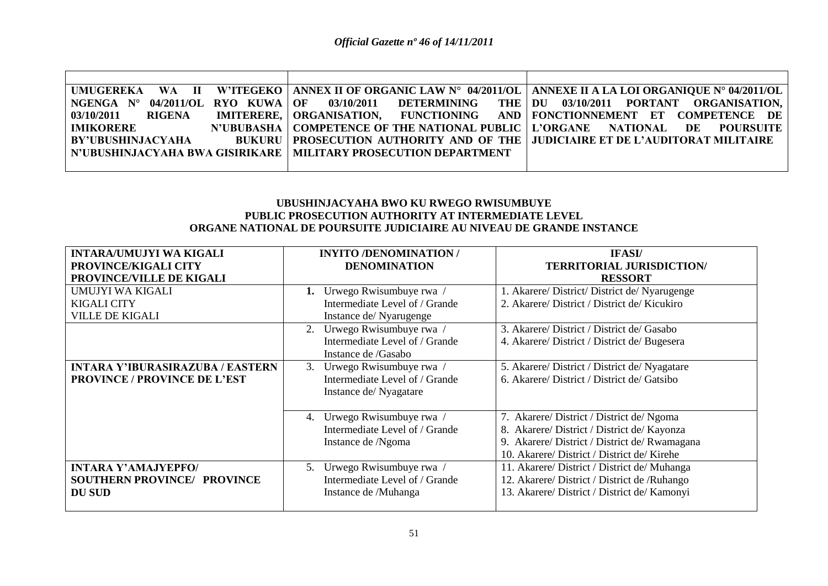|                      |                                                                   | UMUGEREKA WA II W'ITEGEKO   ANNEX II OF ORGANIC LAW N° 04/2011/OL   ANNEXE II A LA LOI ORGANIQUE N° 04/2011/OL |
|----------------------|-------------------------------------------------------------------|----------------------------------------------------------------------------------------------------------------|
| $NGENGA$ $N^{\circ}$ |                                                                   | 04/2011/OL RYO KUWA OF 03/10/2011 DETERMINING THE DU 03/10/2011 PORTANT ORGANISATION,                          |
| 03/10/2011<br>RIGENA |                                                                   | <b>IMITERERE,   ORGANISATION, } FUNCTIONING } AND   FONCTIONNEMENT ET COMPETENCE DE  </b>                      |
| <b>IMIKORERE</b>     |                                                                   | N'UBUBASHA   COMPETENCE OF THE NATIONAL PUBLIC   L'ORGANE NATIONAL DE POURSUITE                                |
| BY'UBUSHINJACYAHA    |                                                                   | BUKURU   PROSECUTION AUTHORITY AND OF THE   JUDICIAIRE ET DE L'AUDITORAT MILITAIRE                             |
|                      | N'UBUSHINJACYAHA BWA GISIRIKARE   MILITARY PROSECUTION DEPARTMENT |                                                                                                                |
|                      |                                                                   |                                                                                                                |

### **UBUSHINJACYAHA BWO KU RWEGO RWISUMBUYE PUBLIC PROSECUTION AUTHORITY AT INTERMEDIATE LEVEL ORGANE NATIONAL DE POURSUITE JUDICIAIRE AU NIVEAU DE GRANDE INSTANCE**

| <b>INTARA/UMUJYI WA KIGALI</b>          | <b>INYITO /DENOMINATION /</b>  | <b>IFASI</b> /                                |
|-----------------------------------------|--------------------------------|-----------------------------------------------|
| <b>PROVINCE/KIGALI CITY</b>             | <b>DENOMINATION</b>            | <b>TERRITORIAL JURISDICTION/</b>              |
| PROVINCE/VILLE DE KIGALI                |                                | <b>RESSORT</b>                                |
| UMUJYI WA KIGALI                        | Urwego Rwisumbuye rwa          | 1. Akarere/ District/ District de/ Nyarugenge |
| <b>KIGALI CITY</b>                      | Intermediate Level of / Grande | 2. Akarere/ District / District de/ Kicukiro  |
| <b>VILLE DE KIGALI</b>                  | Instance de/Nyarugenge         |                                               |
|                                         | Urwego Rwisumbuye rwa /<br>2.  | 3. Akarere/District / District de/ Gasabo     |
|                                         | Intermediate Level of / Grande | 4. Akarere/District / District de/ Bugesera   |
|                                         | Instance de /Gasabo            |                                               |
| <b>INTARA Y'IBURASIRAZUBA / EASTERN</b> | Urwego Rwisumbuye rwa /<br>3.  | 5. Akarere/ District / District de/ Nyagatare |
| <b>PROVINCE / PROVINCE DE L'EST</b>     | Intermediate Level of / Grande | 6. Akarere/District / District de/ Gatsibo    |
|                                         | Instance de/Nyagatare          |                                               |
|                                         |                                |                                               |
|                                         | Urwego Rwisumbuye rwa /<br>4.  | 7. Akarere/ District / District de/ Ngoma     |
|                                         | Intermediate Level of / Grande | 8. Akarere/ District / District de/ Kayonza   |
|                                         | Instance de /Ngoma             | 9. Akarere/ District / District de/ Rwamagana |
|                                         |                                | 10. Akarere/District / District de/Kirehe     |
| <b>INTARA Y'AMAJYEPFO/</b>              | Urwego Rwisumbuye rwa /<br>5.  | 11. Akarere/ District / District de/ Muhanga  |
| <b>SOUTHERN PROVINCE/ PROVINCE</b>      | Intermediate Level of / Grande | 12. Akarere/ District / District de /Ruhango  |
| <b>DU SUD</b>                           | Instance de /Muhanga           | 13. Akarere/ District / District de/ Kamonyi  |
|                                         |                                |                                               |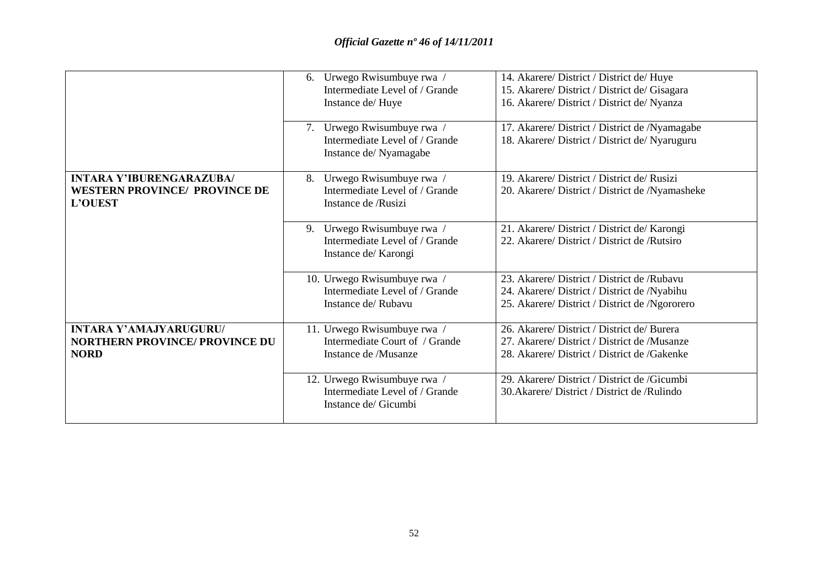|                                                                                           | 6. Urwego Rwisumbuye rwa /<br>Intermediate Level of / Grande<br>Instance de/Huye<br>7. Urwego Rwisumbuye rwa /<br>Intermediate Level of / Grande | 14. Akarere/ District / District de/ Huye<br>15. Akarere/ District / District de/ Gisagara<br>16. Akarere/ District / District de/ Nyanza<br>17. Akarere/ District / District de /Nyamagabe<br>18. Akarere/ District / District de/ Nyaruguru |
|-------------------------------------------------------------------------------------------|--------------------------------------------------------------------------------------------------------------------------------------------------|-----------------------------------------------------------------------------------------------------------------------------------------------------------------------------------------------------------------------------------------------|
|                                                                                           | Instance de/Nyamagabe                                                                                                                            |                                                                                                                                                                                                                                               |
| <b>INTARA Y'IBURENGARAZUBA/</b><br><b>WESTERN PROVINCE/ PROVINCE DE</b><br><b>L'OUEST</b> | Urwego Rwisumbuye rwa /<br>8.<br>Intermediate Level of / Grande<br>Instance de /Rusizi                                                           | 19. Akarere/District / District de/Rusizi<br>20. Akarere/ District / District de /Nyamasheke                                                                                                                                                  |
|                                                                                           | 9. Urwego Rwisumbuye rwa /<br>Intermediate Level of / Grande<br>Instance de/ Karongi                                                             | 21. Akarere/ District / District de/ Karongi<br>22. Akarere/District / District de /Rutsiro                                                                                                                                                   |
|                                                                                           | 10. Urwego Rwisumbuye rwa /<br>Intermediate Level of / Grande<br>Instance de/Rubavu                                                              | 23. Akarere/ District / District de /Rubavu<br>24. Akarere/ District / District de /Nyabihu<br>25. Akarere/ District / District de /Ngororero                                                                                                 |
| <b>INTARA Y'AMAJYARUGURU/</b><br><b>NORTHERN PROVINCE/ PROVINCE DU</b><br><b>NORD</b>     | 11. Urwego Rwisumbuye rwa /<br>Intermediate Court of / Grande<br>Instance de /Musanze                                                            | 26. Akarere/ District / District de/ Burera<br>27. Akarere/District / District de /Musanze<br>28. Akarere/District / District de /Gakenke                                                                                                     |
|                                                                                           | 12. Urwego Rwisumbuye rwa /<br>Intermediate Level of / Grande<br>Instance de/ Gicumbi                                                            | 29. Akarere/ District / District de /Gicumbi<br>30. Akarere/ District / District de / Rulindo                                                                                                                                                 |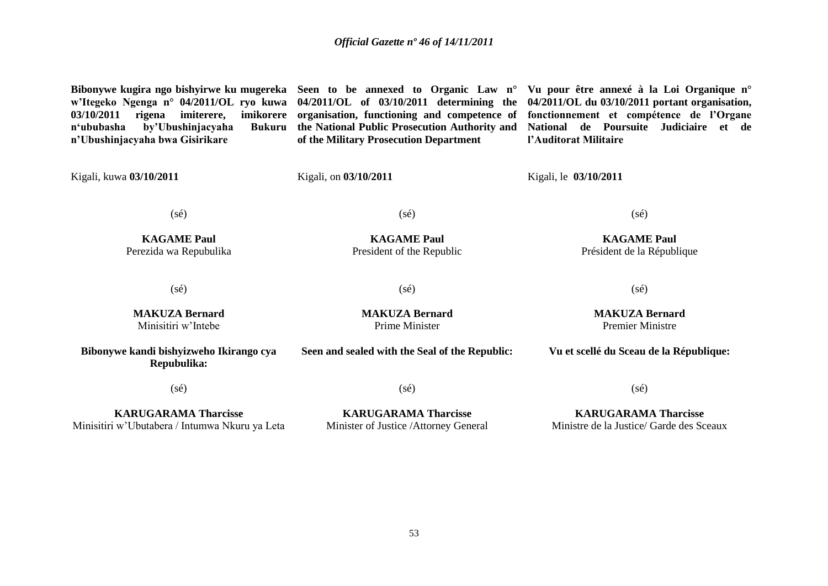**Bibonywe kugira ngo bishyirwe ku mugereka Seen to be annexed to Organic Law n° Vu pour être annexé à la Loi Organique n° w'Itegeko Ngenga n° 04/2011/OL ryo kuwa 04/2011/OL of 03/10/2011 determining the 04/2011/OL du 03/10/2011 portant organisation, 03/10/2011 rigena imiterere, imikorere**  n'ububasha by'Ubushinjacyaha **n'Ubushinjacyaha bwa Gisirikare**  Kigali, kuwa **03/10/2011 organisation, functioning and competence of fonctionnement et compétence de l'Organe the National Public Prosecution Authority and National de Poursuite Judiciaire et de of the Military Prosecution Department**  Kigali, on **03/10/2011 l'Auditorat Militaire**  Kigali, le **03/10/2011**

(sé)

(sé)

**KAGAME Paul** President of the Republic

(sé)

**KAGAME Paul** Perezida wa Repubulika

(sé)

**MAKUZA Bernard** Minisitiri w"Intebe

**MAKUZA Bernard** Prime Minister

**KAGAME Paul** Président de la République

(sé)

 $(s\acute{e})$ 

**MAKUZA Bernard** Premier Ministre

**Vu et scellé du Sceau de la République:**

(sé)

**Bibonywe kandi bishyizweho Ikirango cya Repubulika:**

(sé)

**Seen and sealed with the Seal of the Republic:**

**KARUGARAMA Tharcisse** Minisitiri w"Ubutabera / Intumwa Nkuru ya Leta

**KARUGARAMA Tharcisse** Minister of Justice /Attorney General (sé)

**KARUGARAMA Tharcisse** Ministre de la Justice/ Garde des Sceaux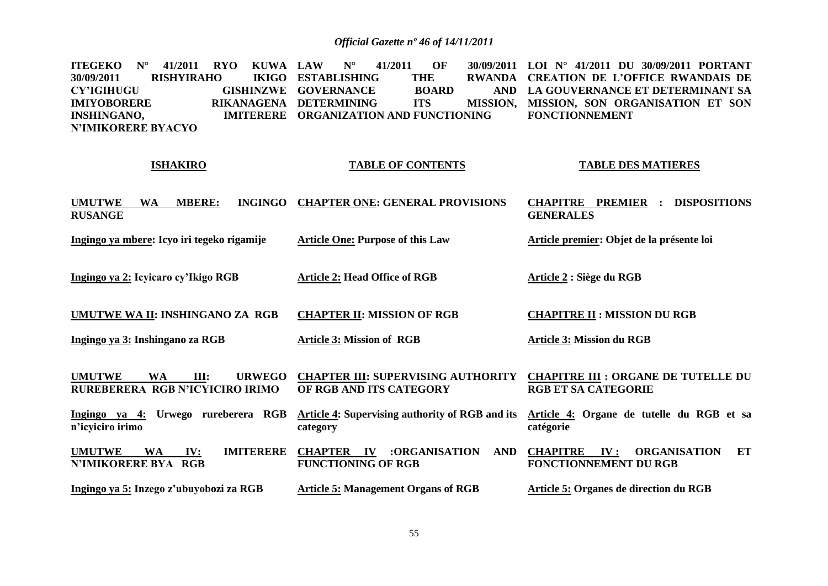**ITEGEKO** N° 41/2011 RYO KUWA LAW **30/09/2011 RISHYIRAHO CY'IGIHUGU GISHINZWE GOVERNANCE BOARD AND IMIYOBORERE INSHINGANO, N'IMIKORERE BYACYO LAW N° 41/2011 OF 30/09/2011 LOI N° 41/2011 DU 30/09/2011 PORTANT IKIGO ESTABLISHING THE** RIKANAGENA DETERMINING ITS **IMITERERE ORGANIZATION AND FUNCTIONING RWANDA CREATION DE L'OFFICE RWANDAIS DE LA GOUVERNANCE ET DETERMINANT SA MISSION, SON ORGANISATION ET SON FONCTIONNEMENT**

#### **ISHAKIRO**

#### **TABLE OF CONTENTS**

#### **TABLE DES MATIERES**

**UMUTWE WA MBERE: RUSANGE CHAPTER ONE: GENERAL PROVISIONS CHAPITRE PREMIER : DISPOSITIONS GENERALES**

**Ingingo ya mbere: Icyo iri tegeko rigamije Article One: Purpose of this Law Article premier: Objet de la présente loi** 

**Ingingo ya 2: Icyicaro cy'Ikigo RGB Article 2: Head Office of RGB Article 2 : Siège du RGB**

**UMUTWE WA II: INSHINGANO ZA RGB CHAPTER II: MISSION OF RGB CHAPITRE II : MISSION DU RGB**

**Ingingo ya 3: Inshingano za RGB Article 3: Mission of RGB**

**UMUTWE WA III: URWEGO RUREBERERA RGB N'ICYICIRO IRIMO CHAPTER III: SUPERVISING AUTHORITY OF RGB AND ITS CATEGORY CHAPITRE III : ORGANE DE TUTELLE DU RGB ET SA CATEGORIE**

**Ingingo ya 4: Urwego rureberera RGB n'icyiciro irimo Article 4: Supervising authority of RGB and its category Article 4: Organe de tutelle du RGB et sa catégorie**

**UMUTWE WA IV: IMITERERE N'IMIKORERE BYA RGB CHAPTER IV :ORGANISATION AND FUNCTIONING OF RGB CHAPITRE IV : ORGANISATION ET FONCTIONNEMENT DU RGB**

**Ingingo ya 5: Inzego z'ubuyobozi za RGB**

**Article 5: Management Organs of RGB**

**Article 5: Organes de direction du RGB**

**Article 3: Mission du RGB**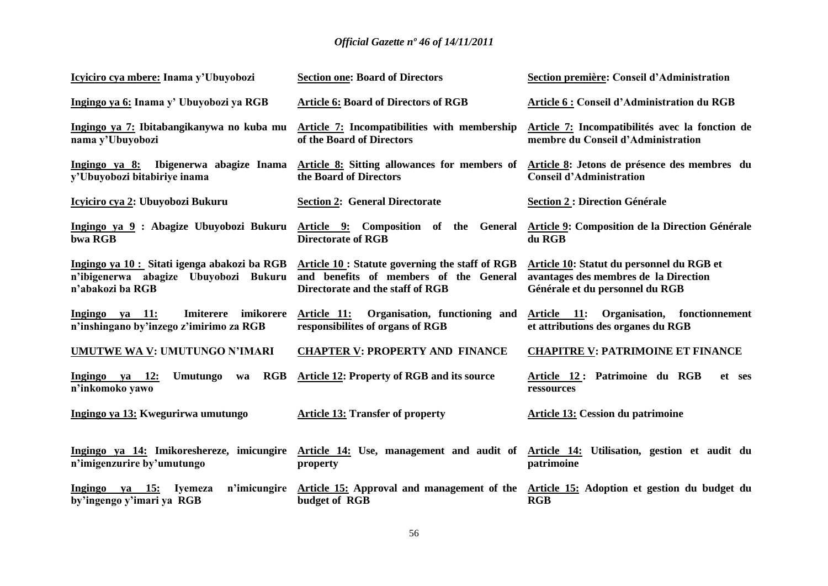| Icyiciro cya mbere: Inama y'Ubuyobozi                                                                     | <b>Section one: Board of Directors</b>                                                                                        | Section première: Conseil d'Administration                                                                            |
|-----------------------------------------------------------------------------------------------------------|-------------------------------------------------------------------------------------------------------------------------------|-----------------------------------------------------------------------------------------------------------------------|
| Ingingo ya 6: Inama y' Ubuyobozi ya RGB                                                                   | <b>Article 6: Board of Directors of RGB</b>                                                                                   | Article 6 : Conseil d'Administration du RGB                                                                           |
| Ingingo ya 7: Ibitabangikanywa no kuba mu<br>nama y'Ubuyobozi                                             | Article 7: Incompatibilities with membership<br>of the Board of Directors                                                     | Article 7: Incompatibilités avec la fonction de<br>membre du Conseil d'Administration                                 |
| Ingingo ya 8:<br>Ibigenerwa abagize Inama<br>v'Ubuyobozi bitabiriye inama                                 | Article 8: Sitting allowances for members of<br>the Board of Directors                                                        | Article 8: Jetons de présence des membres du<br><b>Conseil d'Administration</b>                                       |
| <u>Icyiciro cya 2:</u> Ubuyobozi Bukuru                                                                   | <b>Section 2: General Directorate</b>                                                                                         | <b>Section 2 : Direction Générale</b>                                                                                 |
| Ingingo ya 9 : Abagize Ubuyobozi Bukuru<br>bwa RGB                                                        | Article 9: Composition of the General<br><b>Directorate of RGB</b>                                                            | Article 9: Composition de la Direction Générale<br>du RGB                                                             |
| Ingingo ya 10 : Sitati igenga abakozi ba RGB<br>n'ibigenerwa abagize Ubuyobozi Bukuru<br>n'abakozi ba RGB | Article 10 : Statute governing the staff of RGB<br>and benefits of members of the General<br>Directorate and the staff of RGB | Article 10: Statut du personnel du RGB et<br>avantages des membres de la Direction<br>Générale et du personnel du RGB |
| imikorere<br>Ingingo ya 11:<br>Imiterere<br>n'inshingano by'inzego z'imirimo za RGB                       | Organisation, functioning and<br>Article 11:<br>responsibilities of organs of RGB                                             | Article 11: Organisation, fonctionnement<br>et attributions des organes du RGB                                        |
| <b>UMUTWE WA V: UMUTUNGO N'IMARI</b>                                                                      | <b>CHAPTER V: PROPERTY AND FINANCE</b>                                                                                        | <b>CHAPITRE V: PATRIMOINE ET FINANCE</b>                                                                              |
| RGB<br>Ingingo ya 12:<br><b>Umutungo</b><br>wa<br>n'inkomoko yawo                                         | Article 12: Property of RGB and its source                                                                                    | Article 12: Patrimoine du RGB<br>et ses<br>ressources                                                                 |
| Ingingo ya 13: Kwegurirwa umutungo                                                                        | <b>Article 13: Transfer of property</b>                                                                                       | <b>Article 13: Cession du patrimoine</b>                                                                              |
| Ingingo ya 14: Imikoreshereze, imicungire<br>n'imigenzurire by'umutungo                                   | Article 14: Use, management and audit of<br>property                                                                          | Article 14: Utilisation, gestion et audit du<br>patrimoine                                                            |
| Ingingo<br>va 15:<br>Ivemeza<br>n'imicungire<br>by'ingengo y'imari ya RGB                                 | budget of RGB                                                                                                                 | Article 15: Approval and management of the Article 15: Adoption et gestion du budget du<br>RGB                        |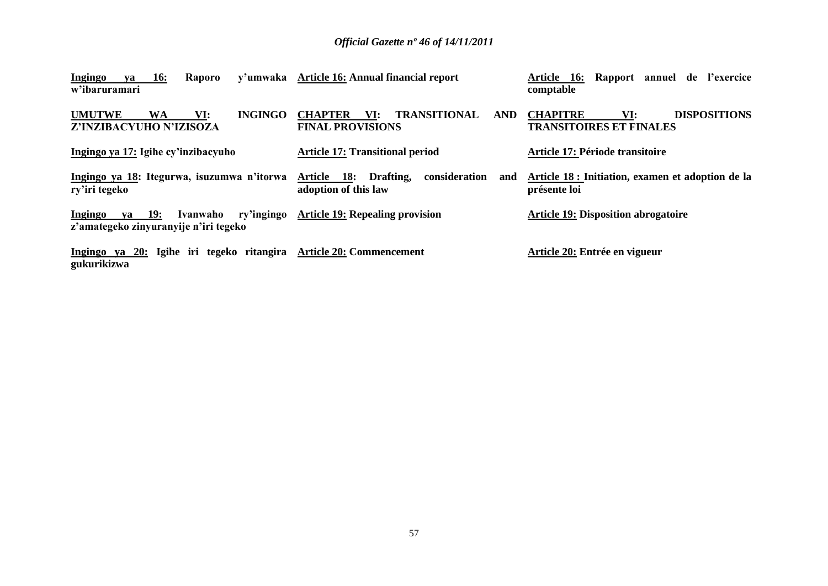| <b>16:</b><br>Ingingo<br>Raporo<br>va<br>w'ibaruramari                               | y'umwaka Article 16: Annual financial report                                   | Article 16: Rapport annuel de l'exercice<br>comptable                           |
|--------------------------------------------------------------------------------------|--------------------------------------------------------------------------------|---------------------------------------------------------------------------------|
| <b>INGINGO</b><br><b>UMUTWE</b><br>VI:<br><b>WA</b><br>Z'INZIBACYUHO N'IZISOZA       | <b>TRANSITIONAL</b><br><b>CHAPTER</b><br>AND<br>VI:<br><b>FINAL PROVISIONS</b> | <b>DISPOSITIONS</b><br><b>CHAPITRE</b><br>VI:<br><b>TRANSITOIRES ET FINALES</b> |
| Ingingo ya 17: Igihe cy'inzibacyuho                                                  | <b>Article 17: Transitional period</b>                                         | Article 17: Période transitoire                                                 |
| Ingingo ya 18: Itegurwa, isuzumwa n'itorwa<br>ry'iri tegeko                          | Article 18: Drafting,<br>consideration<br>and<br>adoption of this law          | Article 18 : Initiation, examen et adoption de la<br>présente loi               |
| ry'ingingo<br>ya 19:<br>Ingingo<br>Ivanwaho<br>z'amategeko zinyuranyije n'iri tegeko | <b>Article 19: Repealing provision</b>                                         | <b>Article 19: Disposition abrogatoire</b>                                      |
| Ingingo ya 20: Igihe iri tegeko ritangira<br>gukurikizwa                             | <b>Article 20: Commencement</b>                                                | Article 20: Entrée en vigueur                                                   |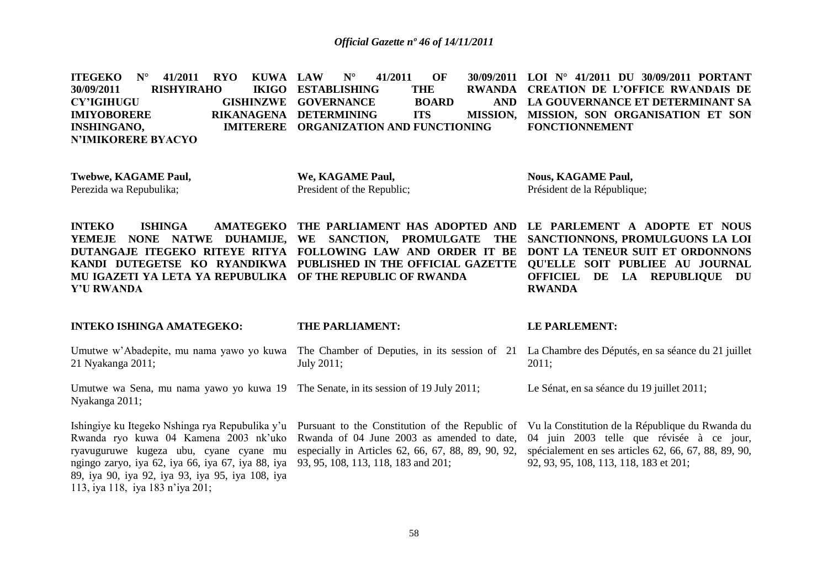**ITEGEKO N° 41/2011 RYO KUWA 30/09/2011 RISHYIRAHO CY'IGIHUGU GISHINZWE GOVERNANCE BOARD AND IMIYOBORERE INSHINGANO, N'IMIKORERE BYACYO LAW N° 41/2011 OF 30/09/2011 LOI N° 41/2011 DU 30/09/2011 PORTANT IKIGO ESTABLISHING THE** RIKANAGENA DETERMINING ITS **IMITERERE ORGANIZATION AND FUNCTIONING RWANDA CREATION DE L'OFFICE RWANDAIS DE LA GOUVERNANCE ET DETERMINANT SA MISSION, SON ORGANISATION ET SON FONCTIONNEMENT**

**Twebwe, KAGAME Paul,** Perezida wa Repubulika;

**We, KAGAME Paul,**  President of the Republic;

**Nous, KAGAME Paul,**  Président de la République;

**INTEKO ISHINGA AMATEGEKO THE PARLIAMENT HAS ADOPTED AND LE PARLEMENT A ADOPTE ET NOUS YEMEJE NONE NATWE DUHAMIJE, WE SANCTION, PROMULGATE THE SANCTIONNONS, PROMULGUONS LA LOI DUTANGAJE ITEGEKO RITEYE RITYA FOLLOWING LAW AND ORDER IT BE DONT LA TENEUR SUIT ET ORDONNONS KANDI DUTEGETSE KO RYANDIKWA PUBLISHED IN THE OFFICIAL GAZETTE QU'ELLE SOIT PUBLIEE AU JOURNAL MU IGAZETI YA LETA YA REPUBULIKA OF THE REPUBLIC OF RWANDA Y'U RWANDA OFFICIEL DE LA REPUBLIQUE DU RWANDA**

#### **INTEKO ISHINGA AMATEGEKO:**

#### **THE PARLIAMENT:**

#### **LE PARLEMENT:**

Umutwe w"Abadepite, mu nama yawo yo kuwa 21 Nyakanga 2011; The Chamber of Deputies, in its session of 21 La Chambre des Députés, en sa séance du 21 juillet July 2011; 2011;

Umutwe wa Sena, mu nama yawo yo kuwa 19 The Senate, in its session of 19 July 2011; Nyakanga 2011;

Rwanda ryo kuwa 04 Kamena 2003 nk"uko ryavuguruwe kugeza ubu, cyane cyane mu ngingo zaryo, iya 62, iya 66, iya 67, iya 88, iya 89, iya 90, iya 92, iya 93, iya 95, iya 108, iya 113, iya 118, iya 183 n"iya 201;

Rwanda of 04 June 2003 as amended to date, especially in Articles 62, 66, 67, 88, 89, 90, 92, 93, 95, 108, 113, 118, 183 and 201;

Ishingiye ku Itegeko Nshinga rya Repubulika y'u Pursuant to the Constitution of the Republic of Vu la Constitution de la République du Rwanda du 04 juin 2003 telle que révisée à ce jour, spécialement en ses articles 62, 66, 67, 88, 89, 90, 92, 93, 95, 108, 113, 118, 183 et 201;

Le Sénat, en sa séance du 19 juillet 2011;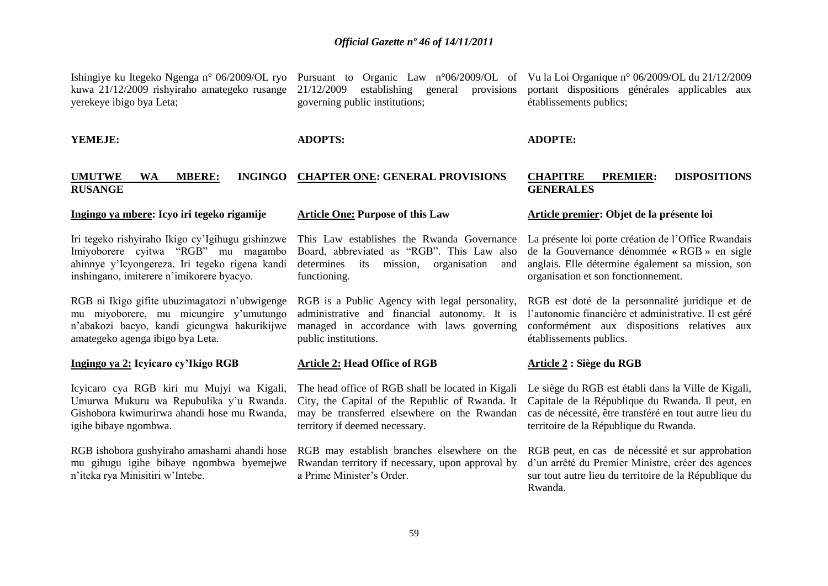Ishingiye ku Itegeko Ngenga n° 06/2009/OL ryo Pursuant to Organic Law n°06/2009/OL of Vu la Loi Organique n° 06/2009/OL du 21/12/2009 kuwa 21/12/2009 rishyiraho amategeko rusange yerekeye ibigo bya Leta;

**YEMEJE:** 

21/12/2009 establishing general provisions governing public institutions;

portant dispositions générales applicables aux établissements publics;

**ADOPTS:** 

#### **ADOPTE:**

#### **UMUTWE WA MBERE: RUSANGE CHAPTER ONE: GENERAL PROVISIONS**

#### **Ingingo ya mbere: Icyo iri tegeko rigamije**

Iri tegeko rishyiraho Ikigo cy"Igihugu gishinzwe Imiyoborere cyitwa "RGB" mu magambo ahinnye y"Icyongereza. Iri tegeko rigena kandi inshingano, imiterere n"imikorere byacyo.

RGB ni Ikigo gifite ubuzimagatozi n"ubwigenge mu miyoborere, mu micungire y"umutungo n"abakozi bacyo, kandi gicungwa hakurikijwe amategeko agenga ibigo bya Leta.

#### **Ingingo ya 2: Icyicaro cy'Ikigo RGB**

Icyicaro cya RGB kiri mu Mujyi wa Kigali, Umurwa Mukuru wa Repubulika y"u Rwanda. Gishobora kwimurirwa ahandi hose mu Rwanda, igihe bibaye ngombwa.

RGB ishobora gushyiraho amashami ahandi hose mu gihugu igihe bibaye ngombwa byemejwe n"iteka rya Minisitiri w"Intebe.

#### **Article One: Purpose of this Law**

This Law establishes the Rwanda Governance Board, abbreviated as "RGB". This Law also determines its mission, organisation and functioning.

RGB is a Public Agency with legal personality, administrative and financial autonomy. It is managed in accordance with laws governing public institutions.

#### **Article 2: Head Office of RGB**

The head office of RGB shall be located in Kigali City, the Capital of the Republic of Rwanda. It may be transferred elsewhere on the Rwandan territory if deemed necessary.

RGB may establish branches elsewhere on the Rwandan territory if necessary, upon approval by a Prime Minister"s Order.

#### **CHAPITRE PREMIER: DISPOSITIONS GENERALES**

#### **Article premier: Objet de la présente loi**

La présente loi porte création de l"Office Rwandais de la Gouvernance dénommée **«** RGB » en sigle anglais. Elle détermine également sa mission, son organisation et son fonctionnement.

RGB est doté de la personnalité juridique et de l"autonomie financière et administrative. Il est géré conformément aux dispositions relatives aux établissements publics.

#### **Article 2 : Siège du RGB**

Le siège du RGB est établi dans la Ville de Kigali, Capitale de la République du Rwanda. Il peut, en cas de nécessité, être transféré en tout autre lieu du territoire de la République du Rwanda.

RGB peut, en cas de nécessité et sur approbation d"un arrêté du Premier Ministre, créer des agences sur tout autre lieu du territoire de la République du Rwanda.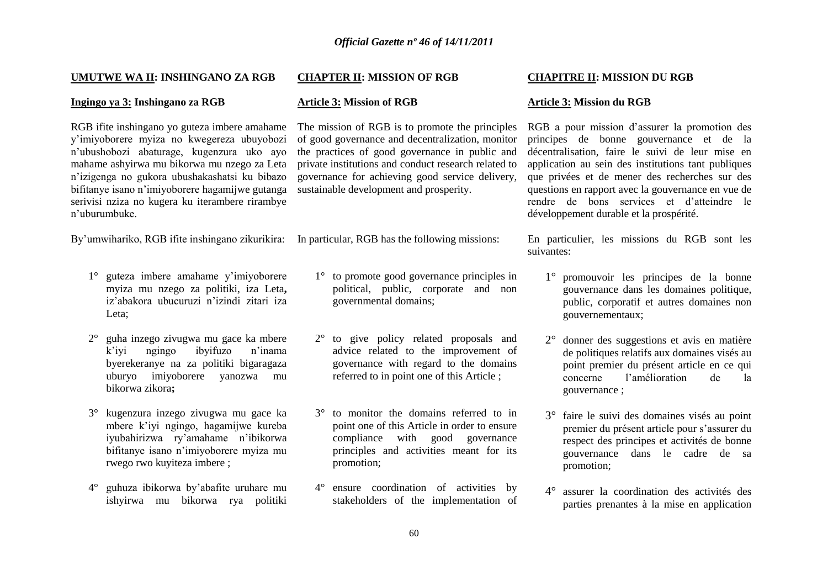#### **UMUTWE WA II: INSHINGANO ZA RGB**

#### **Ingingo ya 3: Inshingano za RGB**

RGB ifite inshingano yo guteza imbere amahame y"imiyoborere myiza no kwegereza ubuyobozi n"ubushobozi abaturage, kugenzura uko ayo mahame ashyirwa mu bikorwa mu nzego za Leta n"izigenga no gukora ubushakashatsi ku bibazo bifitanye isano n"imiyoborere hagamijwe gutanga serivisi nziza no kugera ku iterambere rirambye n"uburumbuke.

By'umwihariko, RGB ifite inshingano zikurikira: In particular, RGB has the following missions:

- 1° guteza imbere amahame y"imiyoborere myiza mu nzego za politiki, iza Leta**,**  iz"abakora ubucuruzi n"izindi zitari iza Leta;
- 2° guha inzego zivugwa mu gace ka mbere k"iyi ngingo ibyifuzo n"inama byerekeranye na za politiki bigaragaza uburyo imiyoborere yanozwa mu bikorwa zikora**;**
- 3° kugenzura inzego zivugwa mu gace ka mbere k"iyi ngingo, hagamijwe kureba iyubahirizwa ry"amahame n"ibikorwa bifitanye isano n"imiyoborere myiza mu rwego rwo kuyiteza imbere ;
- 4° guhuza ibikorwa by"abafite uruhare mu ishyirwa mu bikorwa rya politiki

#### **CHAPTER II: MISSION OF RGB**

#### **Article 3: Mission of RGB**

The mission of RGB is to promote the principles of good governance and decentralization, monitor the practices of good governance in public and private institutions and conduct research related to governance for achieving good service delivery, sustainable development and prosperity.

- 1° to promote good governance principles in political, public, corporate and non governmental domains;
- 2° to give policy related proposals and advice related to the improvement of governance with regard to the domains referred to in point one of this Article ;
- 3° to monitor the domains referred to in point one of this Article in order to ensure compliance with good governance principles and activities meant for its promotion;
- 4° ensure coordination of activities by stakeholders of the implementation of

#### **CHAPITRE II: MISSION DU RGB**

#### **Article 3: Mission du RGB**

RGB a pour mission d"assurer la promotion des principes de bonne gouvernance et de la décentralisation, faire le suivi de leur mise en application au sein des institutions tant publiques que privées et de mener des recherches sur des questions en rapport avec la gouvernance en vue de rendre de bons services et d"atteindre le développement durable et la prospérité.

En particulier, les missions du RGB sont les suivantes:

- 1° promouvoir les principes de la bonne gouvernance dans les domaines politique, public, corporatif et autres domaines non gouvernementaux;
- 2° donner des suggestions et avis en matière de politiques relatifs aux domaines visés au point premier du présent article en ce qui concerne l"amélioration de la gouvernance ;
- 3° faire le suivi des domaines visés au point premier du présent article pour s"assurer du respect des principes et activités de bonne gouvernance dans le cadre de sa promotion;
- 4° assurer la coordination des activités des parties prenantes à la mise en application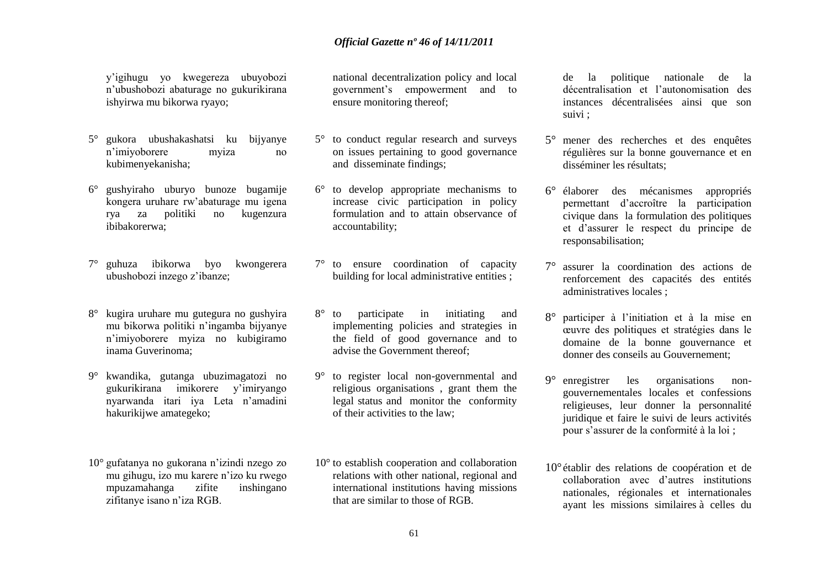y"igihugu yo kwegereza ubuyobozi n"ubushobozi abaturage no gukurikirana ishyirwa mu bikorwa ryayo;

- 5° gukora ubushakashatsi ku bijyanye n"imiyoborere myiza no kubimenyekanisha;
- 6° gushyiraho uburyo bunoze bugamije kongera uruhare rw"abaturage mu igena rya za politiki no kugenzura ibibakorerwa;
- 7° guhuza ibikorwa byo kwongerera ubushobozi inzego z"ibanze;
- 8° kugira uruhare mu gutegura no gushyira mu bikorwa politiki n"ingamba bijyanye n"imiyoborere myiza no kubigiramo inama Guverinoma;
- 9° kwandika, gutanga ubuzimagatozi no gukurikirana imikorere y"imiryango nyarwanda itari iya Leta n"amadini hakurikijwe amategeko;
- 10° gufatanya no gukorana n"izindi nzego zo mu gihugu, izo mu karere n"izo ku rwego mpuzamahanga zifite inshingano zifitanye isano n"iza RGB.

national decentralization policy and local government"s empowerment and to ensure monitoring thereof;

- 5° to conduct regular research and surveys on issues pertaining to good governance and disseminate findings;
- 6° to develop appropriate mechanisms to increase civic participation in policy formulation and to attain observance of accountability;
- 7° to ensure coordination of capacity building for local administrative entities ;
- 8° to participate in initiating and implementing policies and strategies in the field of good governance and to advise the Government thereof;
- 9° to register local non-governmental and religious organisations , grant them the legal status and monitor the conformity of their activities to the law;
- 10° to establish cooperation and collaboration relations with other national, regional and international institutions having missions that are similar to those of RGB.

de la politique nationale de la décentralisation et l"autonomisation des instances décentralisées ainsi que son suivi ;

- 5° mener des recherches et des enquêtes régulières sur la bonne gouvernance et en disséminer les résultats;
- 6° élaborer des mécanismes appropriés permettant d"accroître la participation civique dans la formulation des politiques et d"assurer le respect du principe de responsabilisation;
- 7° assurer la coordination des actions de renforcement des capacités des entités administratives locales ;
- 8° participer à l"initiation et à la mise en œuvre des politiques et stratégies dans le domaine de la bonne gouvernance et donner des conseils au Gouvernement;
- 9° enregistrer les organisations nongouvernementales locales et confessions religieuses, leur donner la personnalité juridique et faire le suivi de leurs activités pour s"assurer de la conformité à la loi ;
- 10° établir des relations de coopération et de collaboration avec d"autres institutions nationales, régionales et internationales ayant les missions similaires à celles du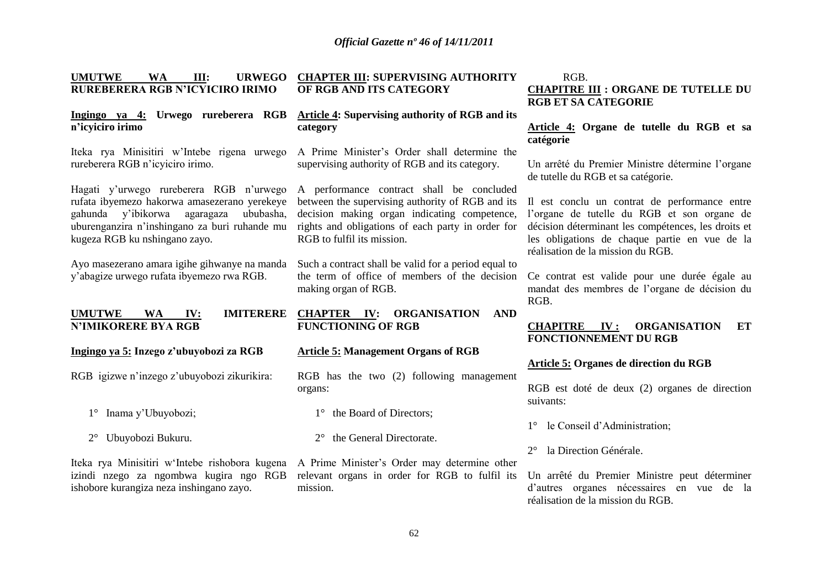| III:<br><b>UMUTWE</b><br><b>WA</b><br><b>URWEGO</b>             | <b>CHAPTER III: SUPERVISING AUTHORITY</b>                                                   | RGB.                                                |
|-----------------------------------------------------------------|---------------------------------------------------------------------------------------------|-----------------------------------------------------|
| RUREBERERA RGB N'ICYICIRO IRIMO                                 | OF RGB AND ITS CATEGORY                                                                     | <b>CHAPITRE III : ORGANE DE TUTELLE DU</b>          |
|                                                                 |                                                                                             | <b>RGB ET SA CATEGORIE</b>                          |
| Ingingo ya 4: Urwego rureberera RGB                             | <b>Article 4: Supervising authority of RGB and its</b>                                      |                                                     |
| n'icyiciro irimo                                                | category                                                                                    | Article 4: Organe de tutelle du RGB et sa           |
|                                                                 |                                                                                             | catégorie                                           |
| Iteka rya Minisitiri w'Intebe rigena urwego                     | A Prime Minister's Order shall determine the                                                |                                                     |
| rureberera RGB n'icyiciro irimo.                                | supervising authority of RGB and its category.                                              | Un arrêté du Premier Ministre détermine l'organe    |
|                                                                 |                                                                                             | de tutelle du RGB et sa catégorie.                  |
| Hagati y'urwego rureberera RGB n'urwego                         | A performance contract shall be concluded                                                   |                                                     |
| rufata ibyemezo hakorwa amasezerano yerekeye                    | between the supervising authority of RGB and its                                            | Il est conclu un contrat de performance entre       |
| gahunda y'ibikorwa agaragaza<br>ububasha,                       | decision making organ indicating competence,                                                | l'organe de tutelle du RGB et son organe de         |
| uburenganzira n'inshingano za buri ruhande mu                   | rights and obligations of each party in order for                                           | décision déterminant les compétences, les droits et |
| kugeza RGB ku nshingano zayo.                                   | RGB to fulfil its mission.                                                                  | les obligations de chaque partie en vue de la       |
|                                                                 |                                                                                             | réalisation de la mission du RGB.                   |
| Ayo masezerano amara igihe gihwanye na manda                    | Such a contract shall be valid for a period equal to                                        |                                                     |
| y'abagize urwego rufata ibyemezo rwa RGB.                       | the term of office of members of the decision                                               | Ce contrat est valide pour une durée égale au       |
|                                                                 | making organ of RGB.                                                                        | mandat des membres de l'organe de décision du       |
|                                                                 |                                                                                             |                                                     |
|                                                                 |                                                                                             | RGB.                                                |
| <b>UMUTWE</b><br><b>IMITERERE</b><br><b>WA</b><br>$I_{\rm V}$ : | <b>ORGANISATION</b><br><b>CHAPTER IV:</b><br><b>AND</b>                                     |                                                     |
| <b>N'IMIKORERE BYA RGB</b>                                      | <b>FUNCTIONING OF RGB</b>                                                                   | <b>ORGANISATION</b><br><b>CHAPITRE</b><br>IV:<br>ET |
|                                                                 |                                                                                             | FONCTIONNEMENT DU RGB                               |
| Ingingo ya 5: Inzego z'ubuyobozi za RGB                         | <b>Article 5: Management Organs of RGB</b>                                                  |                                                     |
|                                                                 |                                                                                             | Article 5: Organes de direction du RGB              |
| RGB igizwe n'inzego z'ubuyobozi zikurikira:                     | RGB has the two (2) following management                                                    |                                                     |
|                                                                 | organs:                                                                                     | RGB est doté de deux (2) organes de direction       |
|                                                                 |                                                                                             | suivants:                                           |
| Inama y'Ubuyobozi;<br>$1^{\circ}$                               | the Board of Directors;                                                                     |                                                     |
|                                                                 |                                                                                             | le Conseil d'Administration;<br>$1^{\circ}$         |
| $2^{\circ}$ Ubuyobozi Bukuru.                                   | the General Directorate.                                                                    |                                                     |
|                                                                 |                                                                                             | la Direction Générale.<br>$2^{\circ}$               |
|                                                                 | Iteka rya Minisitiri w'Intebe rishobora kugena A Prime Minister's Order may determine other |                                                     |
| izindi nzego za ngombwa kugira ngo RGB                          | relevant organs in order for RGB to fulfil its                                              | Un arrêté du Premier Ministre peut déterminer       |
| ishobore kurangiza neza inshingano zayo.                        | mission.                                                                                    | d'autres organes nécessaires en vue de la           |
|                                                                 |                                                                                             | réalisation de la mission du RGB.                   |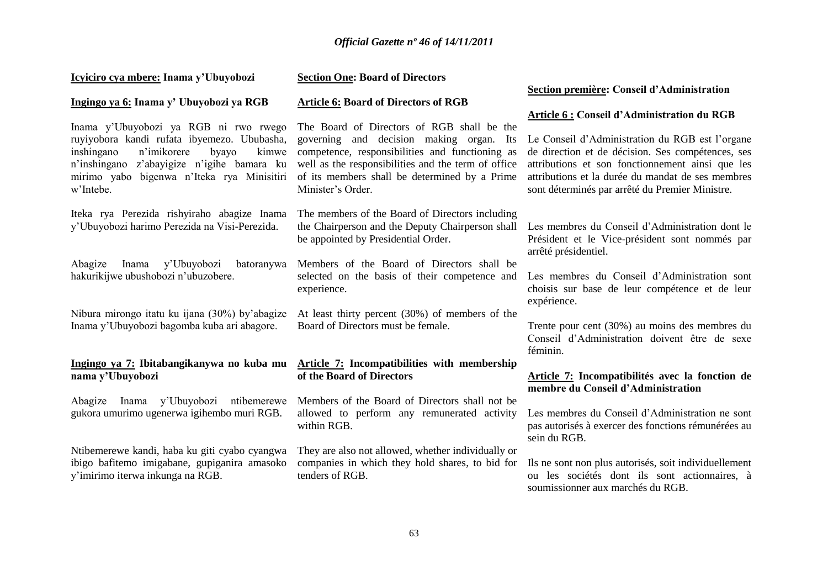| Icyiciro cya mbere: Inama y'Ubuyobozi                                                                                               | <b>Section One: Board of Directors</b>                                                                                                     |                                                                                                                                                          |
|-------------------------------------------------------------------------------------------------------------------------------------|--------------------------------------------------------------------------------------------------------------------------------------------|----------------------------------------------------------------------------------------------------------------------------------------------------------|
|                                                                                                                                     |                                                                                                                                            | Section première: Conseil d'Administration                                                                                                               |
| Ingingo ya 6: Inama y' Ubuyobozi ya RGB                                                                                             | <b>Article 6: Board of Directors of RGB</b>                                                                                                |                                                                                                                                                          |
| Inama y'Ubuyobozi ya RGB ni rwo rwego<br>ruyiyobora kandi rufata ibyemezo. Ububasha,<br>inshingano<br>n'imikorere<br>byayo<br>kimwe | The Board of Directors of RGB shall be the<br>governing and decision making organ. Its<br>competence, responsibilities and functioning as  | Article 6 : Conseil d'Administration du RGB<br>Le Conseil d'Administration du RGB est l'organe<br>de direction et de décision. Ses compétences, ses      |
| n'inshingano z'abayigize n'igihe bamara ku<br>mirimo yabo bigenwa n'Iteka rya Minisitiri<br>w'Intebe.                               | well as the responsibilities and the term of office<br>of its members shall be determined by a Prime<br>Minister's Order.                  | attributions et son fonctionnement ainsi que les<br>attributions et la durée du mandat de ses membres<br>sont déterminés par arrêté du Premier Ministre. |
| Iteka rya Perezida rishyiraho abagize Inama<br>y'Ubuyobozi harimo Perezida na Visi-Perezida.                                        | The members of the Board of Directors including<br>the Chairperson and the Deputy Chairperson shall<br>be appointed by Presidential Order. | Les membres du Conseil d'Administration dont le<br>Président et le Vice-président sont nommés par<br>arrêté présidentiel.                                |
| Abagize<br>y'Ubuyobozi<br>Inama<br>batoranywa<br>hakurikijwe ubushobozi n'ubuzobere.                                                | Members of the Board of Directors shall be<br>selected on the basis of their competence and<br>experience.                                 | Les membres du Conseil d'Administration sont<br>choisis sur base de leur compétence et de leur<br>expérience.                                            |
| Nibura mirongo itatu ku ijana (30%) by'abagize<br>Inama y'Ubuyobozi bagomba kuba ari abagore.                                       | At least thirty percent (30%) of members of the<br>Board of Directors must be female.                                                      | Trente pour cent (30%) au moins des membres du<br>Conseil d'Administration doivent être de sexe<br>féminin.                                              |
| nama y'Ubuyobozi                                                                                                                    | Ingingo ya 7: Ibitabangikanywa no kuba mu Article 7: Incompatibilities with membership<br>of the Board of Directors                        | Article 7: Incompatibilités avec la fonction de<br>membre du Conseil d'Administration                                                                    |
| Inama y'Ubuyobozi ntibemerewe<br>Abagize<br>gukora umurimo ugenerwa igihembo muri RGB.                                              | Members of the Board of Directors shall not be<br>allowed to perform any remunerated activity<br>within RGB.                               | Les membres du Conseil d'Administration ne sont<br>pas autorisés à exercer des fonctions rémunérées au<br>sein du RGB.                                   |
| Ntibemerewe kandi, haba ku giti cyabo cyangwa<br>ibigo bafitemo imigabane, gupiganira amasoko<br>y'imirimo iterwa inkunga na RGB.   | They are also not allowed, whether individually or<br>companies in which they hold shares, to bid for<br>tenders of RGB.                   | Ils ne sont non plus autorisés, soit individuellement<br>ou les sociétés dont ils sont actionnaires, à<br>soumissionner aux marchés du RGB.              |
|                                                                                                                                     |                                                                                                                                            |                                                                                                                                                          |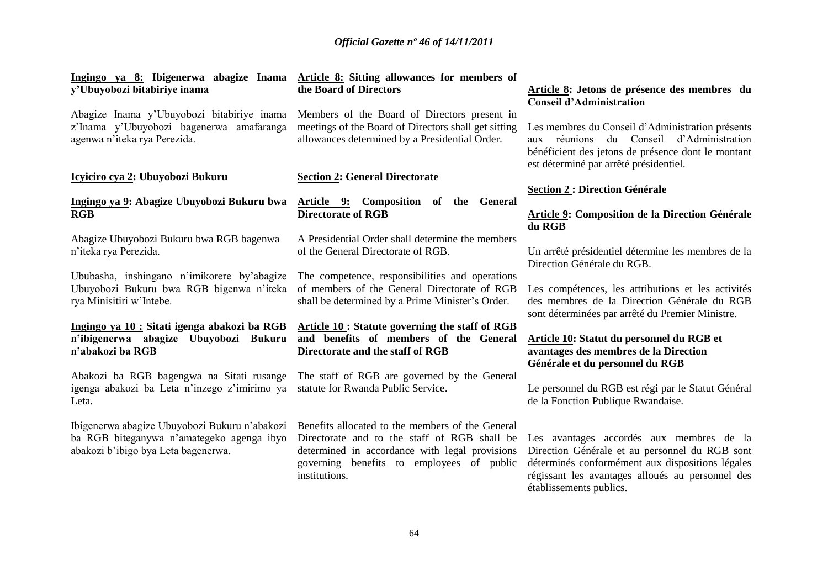| Ingingo ya 8: Ibigenerwa abagize Inama                                                                                            | Article 8: Sitting allowances for members of                                                                                                                                                                     | Article 8: Jetons de présence des membres du                                                                                                                                                                                  |
|-----------------------------------------------------------------------------------------------------------------------------------|------------------------------------------------------------------------------------------------------------------------------------------------------------------------------------------------------------------|-------------------------------------------------------------------------------------------------------------------------------------------------------------------------------------------------------------------------------|
| y'Ubuyobozi bitabiriye inama                                                                                                      | the Board of Directors                                                                                                                                                                                           | <b>Conseil d'Administration</b>                                                                                                                                                                                               |
| Abagize Inama y'Ubuyobozi bitabiriye inama<br>z'Inama y'Ubuyobozi bagenerwa amafaranga<br>agenwa n'iteka rya Perezida.            | Members of the Board of Directors present in<br>meetings of the Board of Directors shall get sitting<br>allowances determined by a Presidential Order.                                                           | Les membres du Conseil d'Administration présents<br>du Conseil d'Administration<br>aux réunions<br>bénéficient des jetons de présence dont le montant<br>est déterminé par arrêté présidentiel.                               |
| Icyiciro cya 2: Ubuyobozi Bukuru                                                                                                  | <b>Section 2: General Directorate</b>                                                                                                                                                                            | <b>Section 2: Direction Générale</b>                                                                                                                                                                                          |
| Ingingo ya 9: Abagize Ubuyobozi Bukuru bwa                                                                                        | Article 9: Composition of the General                                                                                                                                                                            | Article 9: Composition de la Direction Générale                                                                                                                                                                               |
| <b>RGB</b>                                                                                                                        | <b>Directorate of RGB</b>                                                                                                                                                                                        | du RGB                                                                                                                                                                                                                        |
| Abagize Ubuyobozi Bukuru bwa RGB bagenwa                                                                                          | A Presidential Order shall determine the members                                                                                                                                                                 | Un arrêté présidentiel détermine les membres de la                                                                                                                                                                            |
| n'iteka rya Perezida.                                                                                                             | of the General Directorate of RGB.                                                                                                                                                                               | Direction Générale du RGB.                                                                                                                                                                                                    |
| Ububasha, inshingano n'imikorere by'abagize                                                                                       | The competence, responsibilities and operations                                                                                                                                                                  | Les compétences, les attributions et les activités                                                                                                                                                                            |
| Ubuyobozi Bukuru bwa RGB bigenwa n'iteka                                                                                          | of members of the General Directorate of RGB                                                                                                                                                                     | des membres de la Direction Générale du RGB                                                                                                                                                                                   |
| rya Minisitiri w'Intebe.                                                                                                          | shall be determined by a Prime Minister's Order.                                                                                                                                                                 | sont déterminées par arrêté du Premier Ministre.                                                                                                                                                                              |
| Ingingo ya 10 : Sitati igenga abakozi ba RGB                                                                                      | Article 10 : Statute governing the staff of RGB                                                                                                                                                                  | Article 10: Statut du personnel du RGB et                                                                                                                                                                                     |
| n'ibigenerwa abagize Ubuyobozi Bukuru                                                                                             | and benefits of members of the General                                                                                                                                                                           | avantages des membres de la Direction                                                                                                                                                                                         |
| n'abakozi ba RGB                                                                                                                  | Directorate and the staff of RGB                                                                                                                                                                                 | Générale et du personnel du RGB                                                                                                                                                                                               |
| Abakozi ba RGB bagengwa na Sitati rusange<br>igenga abakozi ba Leta n'inzego z'imirimo ya<br>Leta.                                | The staff of RGB are governed by the General<br>statute for Rwanda Public Service.                                                                                                                               | Le personnel du RGB est régi par le Statut Général<br>de la Fonction Publique Rwandaise.                                                                                                                                      |
| Ibigenerwa abagize Ubuyobozi Bukuru n'abakozi<br>ba RGB biteganywa n'amategeko agenga ibyo<br>abakozi b'ibigo bya Leta bagenerwa. | Benefits allocated to the members of the General<br>Directorate and to the staff of RGB shall be<br>determined in accordance with legal provisions<br>governing benefits to employees of public<br>institutions. | Les avantages accordés aux membres de la<br>Direction Générale et au personnel du RGB sont<br>déterminés conformément aux dispositions légales<br>régissant les avantages alloués au personnel des<br>établissements publics. |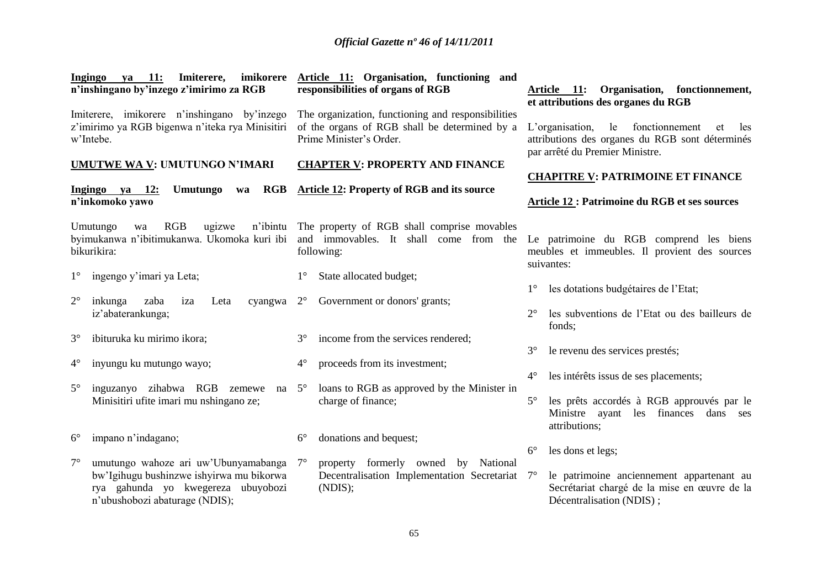| imikorere<br>Ingingo<br><b>11:</b><br>Imiterere,<br>ya<br>n'inshingano by'inzego z'imirimo za RGB                                                                     | Article 11: Organisation, functioning and<br>responsibilities of organs of RGB                                                 | Organisation, fonctionnement,<br>Article 11:<br>et attributions des organes du RGB                                                      |
|-----------------------------------------------------------------------------------------------------------------------------------------------------------------------|--------------------------------------------------------------------------------------------------------------------------------|-----------------------------------------------------------------------------------------------------------------------------------------|
| Imiterere, imikorere n'inshingano by'inzego<br>z'imirimo ya RGB bigenwa n'iteka rya Minisitiri<br>w'Intebe.                                                           | The organization, functioning and responsibilities<br>of the organs of RGB shall be determined by a<br>Prime Minister's Order. | L'organisation,<br>le fonctionnement<br>les<br>et<br>attributions des organes du RGB sont déterminés<br>par arrêté du Premier Ministre. |
| <b>UMUTWE WA V: UMUTUNGO N'IMARI</b>                                                                                                                                  | <b>CHAPTER V: PROPERTY AND FINANCE</b>                                                                                         | <b>CHAPITRE V: PATRIMOINE ET FINANCE</b>                                                                                                |
| RGB<br>Ingingo ya 12:<br>Umutungo<br>wa<br>n'inkomoko yawo                                                                                                            | <b>Article 12: Property of RGB and its source</b>                                                                              | <b>Article 12 : Patrimoine du RGB et ses sources</b>                                                                                    |
| RGB<br>Umutungo<br>ugizwe<br>wa<br>byimukanwa n'ibitimukanwa. Ukomoka kuri ibi<br>bikurikira:                                                                         | n'ibintu The property of RGB shall comprise movables<br>and immovables. It shall come from the<br>following:                   | Le patrimoine du RGB comprend les biens<br>meubles et immeubles. Il provient des sources<br>suivantes:                                  |
| ingengo y'imari ya Leta;<br>$1^{\circ}$                                                                                                                               | State allocated budget;<br>$1^{\circ}$                                                                                         | les dotations budgétaires de l'Etat;<br>$1^{\circ}$                                                                                     |
| $2^{\circ}$<br>inkunga<br>zaba<br>Leta<br>cyangwa<br>iza<br>iz'abaterankunga;                                                                                         | Government or donors' grants;<br>$2^{\circ}$                                                                                   | les subventions de l'Etat ou des bailleurs de<br>$2^{\circ}$<br>fonds:                                                                  |
| ibituruka ku mirimo ikora;<br>$3^\circ$                                                                                                                               | income from the services rendered;<br>$3^\circ$                                                                                | le revenu des services prestés;<br>$3^\circ$                                                                                            |
| $4^\circ$<br>inyungu ku mutungo wayo;                                                                                                                                 | $4^\circ$<br>proceeds from its investment;                                                                                     | les intérêts issus de ses placements;<br>$4^{\circ}$                                                                                    |
| $5^\circ$<br>inguzanyo zihabwa RGB zemewe na<br>Minisitiri ufite imari mu nshingano ze;                                                                               | loans to RGB as approved by the Minister in<br>$5^{\circ}$<br>charge of finance;                                               | $5^\circ$<br>les prêts accordés à RGB approuvés par le<br>Ministre ayant les finances dans ses<br>attributions;                         |
| impano n'indagano;<br>$6^{\circ}$                                                                                                                                     | $6^{\circ}$<br>donations and bequest;                                                                                          | les dons et legs;<br>$6^{\circ}$                                                                                                        |
| $7^\circ$<br>umutungo wahoze ari uw'Ubunyamabanga<br>bw'Igihugu bushinzwe ishyirwa mu bikorwa<br>rya gahunda yo kwegereza ubuyobozi<br>n'ubushobozi abaturage (NDIS); | property formerly owned<br>$7^\circ$<br>by National<br>Decentralisation Implementation Secretariat<br>(NDIS);                  | $7^\circ$<br>le patrimoine anciennement appartenant au<br>Secrétariat chargé de la mise en œuvre de la<br>Décentralisation (NDIS);      |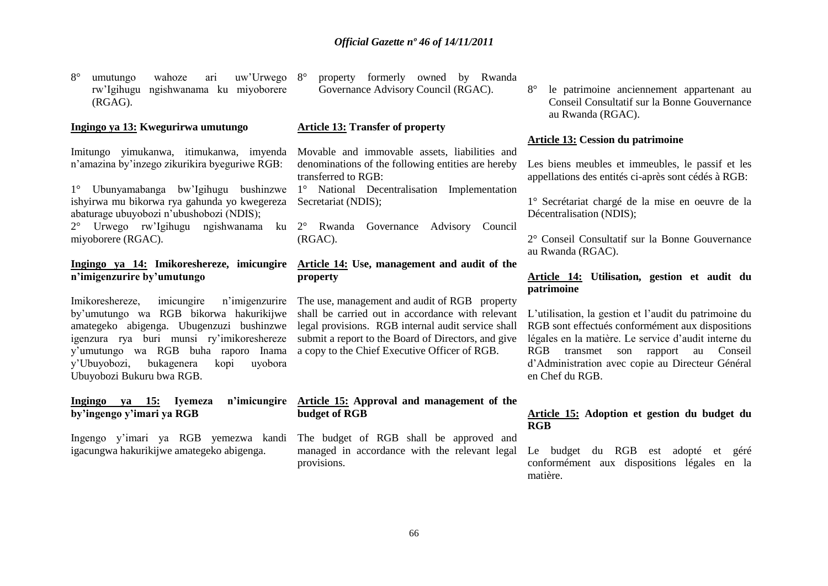8° umutungo wahoze ari uw"Urwego rw"Igihugu ngishwanama ku miyoborere (RGAG).

#### **Ingingo ya 13: Kwegurirwa umutungo**

Imitungo yimukanwa, itimukanwa, imyenda n"amazina by"inzego zikurikira byeguriwe RGB:

1° Ubunyamabanga bw"Igihugu bushinzwe ishyirwa mu bikorwa rya gahunda yo kwegereza abaturage ubuyobozi n"ubushobozi (NDIS);

miyoborere (RGAC).

#### **Ingingo ya 14: Imikoreshereze, imicungire n'imigenzurire by'umutungo**

Imikoreshereze, imicungire n"imigenzurire by"umutungo wa RGB bikorwa hakurikijwe amategeko abigenga. Ubugenzuzi bushinzwe igenzura rya buri munsi ry"imikoreshereze y"umutungo wa RGB buha raporo Inama y"Ubuyobozi, bukagenera kopi uyobora Ubuyobozi Bukuru bwa RGB.

#### **Ingingo ya 15: Ivemeza by'ingengo y'imari ya RGB**

Ingengo y"imari ya RGB yemezwa kandi igacungwa hakurikijwe amategeko abigenga.

8° property formerly owned by Rwanda Governance Advisory Council (RGAC).

#### **Article 13: Transfer of property**

Movable and immovable assets, liabilities and denominations of the following entities are hereby transferred to RGB:

1° National Decentralisation Implementation Secretariat (NDIS);

2° Urwego rw"Igihugu ngishwanama ku 2° Rwanda Governance Advisory Council (RGAC).

### **Article 14: Use, management and audit of the property**

The use, management and audit of RGB property shall be carried out in accordance with relevant legal provisions. RGB internal audit service shall submit a report to the Board of Directors, and give a copy to the Chief Executive Officer of RGB.

#### **Article 15: Approval and management of the budget of RGB**

The budget of RGB shall be approved and managed in accordance with the relevant legal provisions.

8° le patrimoine anciennement appartenant au Conseil Consultatif sur la Bonne Gouvernance au Rwanda (RGAC).

#### **Article 13: Cession du patrimoine**

Les biens meubles et immeubles, le passif et les appellations des entités ci-après sont cédés à RGB:

1° Secrétariat chargé de la mise en oeuvre de la Décentralisation (NDIS);

2° Conseil Consultatif sur la Bonne Gouvernance au Rwanda (RGAC).

#### **Article 14: Utilisation, gestion et audit du patrimoine**

L"utilisation, la gestion et l"audit du patrimoine du RGB sont effectués conformément aux dispositions légales en la matière. Le service d"audit interne du RGB transmet son rapport au Conseil d"Administration avec copie au Directeur Général en Chef du RGB.

#### **Article 15: Adoption et gestion du budget du RGB**

Le budget du RGB est adopté et géré conformément aux dispositions légales en la matière.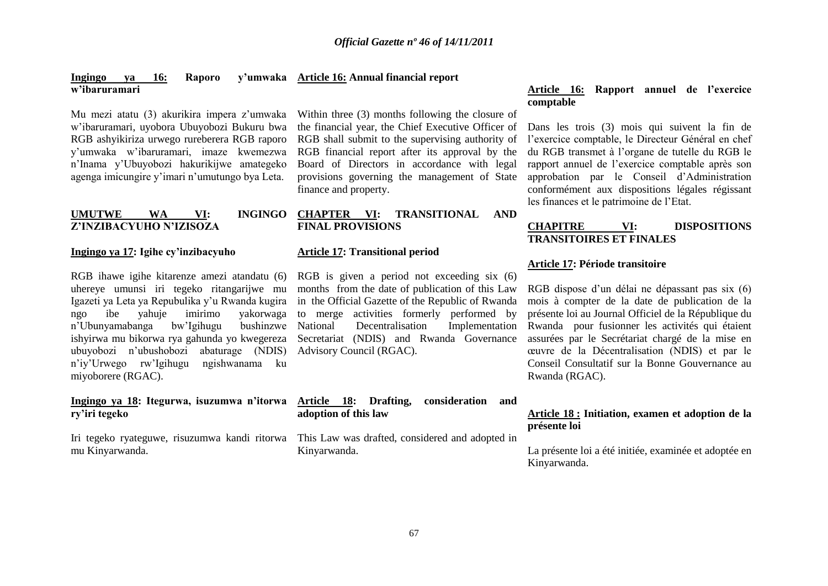#### **Ingingo ya 16: Raporo w'ibaruramari Article 16: Annual financial report**

Mu mezi atatu (3) akurikira impera z"umwaka w"ibaruramari, uyobora Ubuyobozi Bukuru bwa RGB ashyikiriza urwego rureberera RGB raporo y"umwaka w"ibaruramari, imaze kwemezwa n"Inama y"Ubuyobozi hakurikijwe amategeko agenga imicungire y"imari n"umutungo bya Leta.

#### **UMUTWE WA VI: INGINGO Z'INZIBACYUHO N'IZISOZA**

#### **Ingingo ya 17: Igihe cy'inzibacyuho**

RGB ihawe igihe kitarenze amezi atandatu (6) uhereye umunsi iri tegeko ritangarijwe mu Igazeti ya Leta ya Repubulika y"u Rwanda kugira ngo ibe yahuje imirimo yakorwaga n"Ubunyamabanga bw"Igihugu bushinzwe ishyirwa mu bikorwa rya gahunda yo kwegereza ubuyobozi n"ubushobozi abaturage (NDIS) n"iy"Urwego rw"Igihugu ngishwanama ku miyoborere (RGAC).

#### **Ingingo ya 18: Itegurwa, isuzumwa n'itorwa ry'iri tegeko**

mu Kinyarwanda.

Within three (3) months following the closure of the financial year, the Chief Executive Officer of RGB shall submit to the supervising authority of RGB financial report after its approval by the Board of Directors in accordance with legal provisions governing the management of State finance and property.

#### **CHAPTER VI: TRANSITIONAL AND FINAL PROVISIONS**

#### **Article 17: Transitional period**

RGB is given a period not exceeding six (6) months from the date of publication of this Law in the Official Gazette of the Republic of Rwanda to merge activities formerly performed by National Decentralisation Implementation Secretariat (NDIS) and Rwanda Governance Advisory Council (RGAC).

### **Article 18: Drafting, consideration and adoption of this law**

Iri tegeko ryateguwe, risuzumwa kandi ritorwa This Law was drafted, considered and adopted in Kinyarwanda.

#### **Article 16: Rapport annuel de l'exercice comptable**

Dans les trois (3) mois qui suivent la fin de l"exercice comptable, le Directeur Général en chef du RGB transmet à l"organe de tutelle du RGB le rapport annuel de l"exercice comptable après son approbation par le Conseil d"Administration conformément aux dispositions légales régissant les finances et le patrimoine de l"Etat.

#### **CHAPITRE VI: DISPOSITIONS TRANSITOIRES ET FINALES**

#### **Article 17: Période transitoire**

RGB dispose d"un délai ne dépassant pas six (6) mois à compter de la date de publication de la présente loi au Journal Officiel de la République du Rwanda pour fusionner les activités qui étaient assurées par le Secrétariat chargé de la mise en œuvre de la Décentralisation (NDIS) et par le Conseil Consultatif sur la Bonne Gouvernance au Rwanda (RGAC).

#### **Article 18 : Initiation, examen et adoption de la présente loi**

La présente loi a été initiée, examinée et adoptée en Kinyarwanda.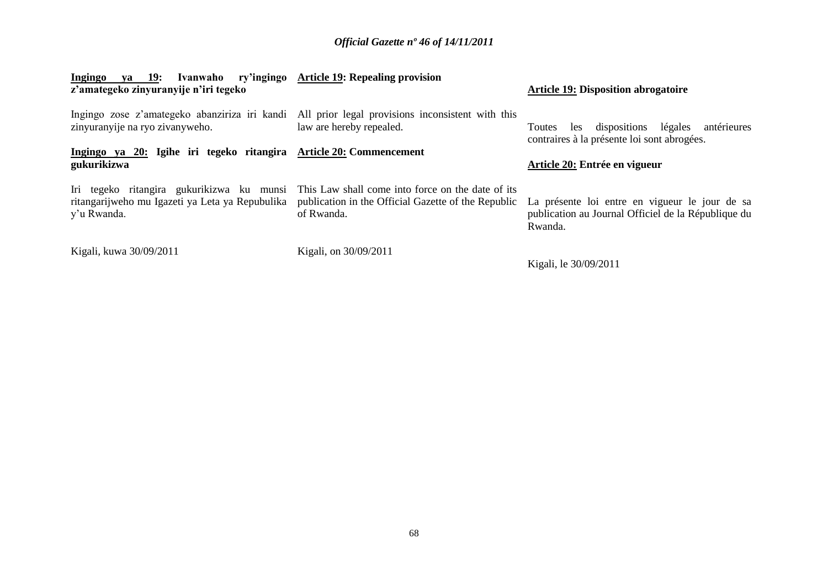| <b>Ingingo</b><br>ya 19:<br>Ivanwaho<br>z'amategeko zinyuranyije n'iri tegeko     | ry'ingingo Article 19: Repealing provision                                                                                                                       | <b>Article 19: Disposition abrogatoire</b>                                                                       |
|-----------------------------------------------------------------------------------|------------------------------------------------------------------------------------------------------------------------------------------------------------------|------------------------------------------------------------------------------------------------------------------|
| zinyuranyije na ryo zivanyweho.                                                   | Ingingo zose z'amategeko abanziriza iri kandi All prior legal provisions inconsistent with this<br>law are hereby repealed.                                      | antérieures<br>légales<br>les dispositions<br>Toutes<br>contraires à la présente loi sont abrogées.              |
| Ingingo ya 20: Igihe iri tegeko ritangira Article 20: Commencement<br>gukurikizwa |                                                                                                                                                                  | Article 20: Entrée en vigueur                                                                                    |
| ritangarijweho mu Igazeti ya Leta ya Repubulika<br>y'u Rwanda.                    | Iri tegeko ritangira gukurikizwa ku munsi This Law shall come into force on the date of its<br>publication in the Official Gazette of the Republic<br>of Rwanda. | La présente loi entre en vigueur le jour de sa<br>publication au Journal Officiel de la République du<br>Rwanda. |
| Kigali, kuwa 30/09/2011                                                           | Kigali, on 30/09/2011                                                                                                                                            | Kigali, le 30/09/2011                                                                                            |